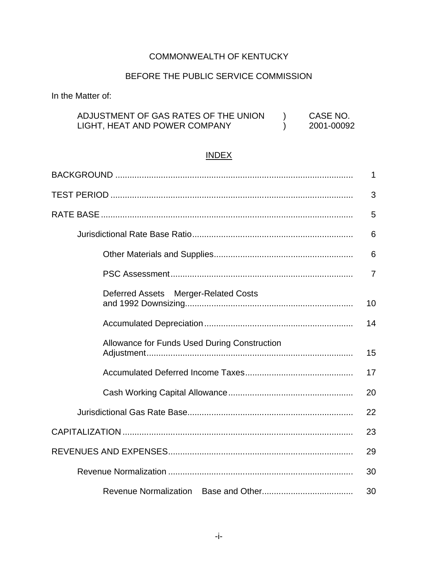# COMMONWEALTH OF KENTUCKY

# BEFORE THE PUBLIC SERVICE COMMISSION

In the Matter of:

| ADJUSTMENT OF GAS RATES OF THE UNION | CASE NO.   |
|--------------------------------------|------------|
| LIGHT, HEAT AND POWER COMPANY        | 2001-00092 |

# INDEX

|                                              | 1              |
|----------------------------------------------|----------------|
|                                              | 3              |
|                                              | 5              |
|                                              | 6              |
|                                              | 6              |
|                                              | $\overline{7}$ |
| Deferred Assets Merger-Related Costs         | 10             |
|                                              | 14             |
| Allowance for Funds Used During Construction | 15             |
|                                              | 17             |
|                                              | 20             |
|                                              | 22             |
|                                              | 23             |
|                                              | 29             |
|                                              | 30             |
|                                              | 30             |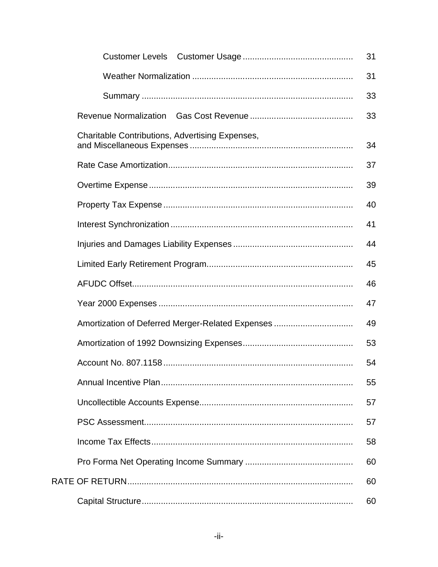| <b>Customer Levels</b>                                 | 31 |
|--------------------------------------------------------|----|
|                                                        | 31 |
|                                                        | 33 |
| <b>Revenue Normalization</b>                           | 33 |
| <b>Charitable Contributions, Advertising Expenses,</b> | 34 |
|                                                        | 37 |
|                                                        | 39 |
|                                                        | 40 |
|                                                        | 41 |
|                                                        | 44 |
|                                                        | 45 |
|                                                        | 46 |
|                                                        | 47 |
| Amortization of Deferred Merger-Related Expenses       | 49 |
|                                                        | 53 |
|                                                        | 54 |
|                                                        | 55 |
|                                                        | 57 |
|                                                        | 57 |
|                                                        | 58 |
|                                                        | 60 |
|                                                        | 60 |
|                                                        | 60 |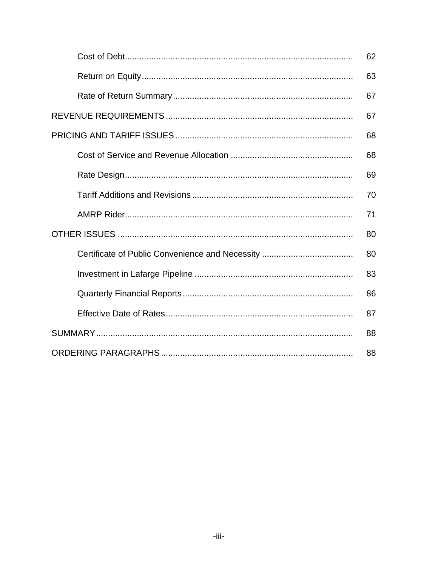| 62 |
|----|
| 63 |
| 67 |
| 67 |
| 68 |
| 68 |
| 69 |
| 70 |
| 71 |
| 80 |
| 80 |
| 83 |
| 86 |
| 87 |
| 88 |
| 88 |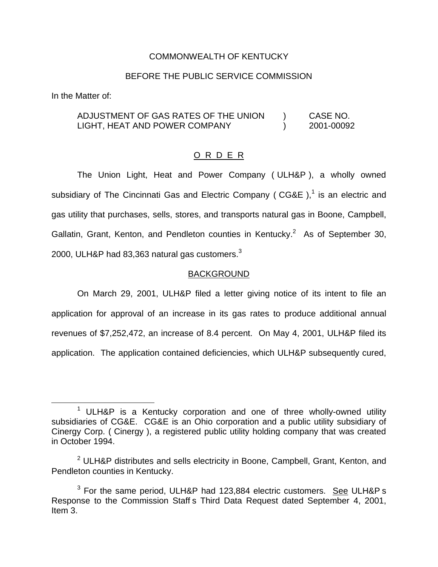#### COMMONWEALTH OF KENTUCKY

#### BEFORE THE PUBLIC SERVICE COMMISSION

In the Matter of:

## ADJUSTMENT OF GAS RATES OF THE UNION ) CASE NO. LIGHT, HEAT AND POWER COMPANY (2001-00092

#### O R D E R

The Union Light, Heat and Power Company ( ULH&P ), a wholly owned subsidiary of The Cincinnati Gas and Electric Company ( $CGAE$ ),<sup>1</sup> is an electric and gas utility that purchases, sells, stores, and transports natural gas in Boone, Campbell, Gallatin, Grant, Kenton, and Pendleton counties in Kentucky.<sup>2</sup> As of September 30, 2000, ULH&P had 83,363 natural gas customers.<sup>3</sup>

#### **BACKGROUND**

On March 29, 2001, ULH&P filed a letter giving notice of its intent to file an application for approval of an increase in its gas rates to produce additional annual revenues of \$7,252,472, an increase of 8.4 percent. On May 4, 2001, ULH&P filed its application. The application contained deficiencies, which ULH&P subsequently cured,

 $1$  ULH&P is a Kentucky corporation and one of three wholly-owned utility subsidiaries of CG&E. CG&E is an Ohio corporation and a public utility subsidiary of Cinergy Corp. ( Cinergy ), a registered public utility holding company that was created in October 1994.

 $2$  ULH&P distributes and sells electricity in Boone, Campbell, Grant, Kenton, and Pendleton counties in Kentucky.

 $3$  For the same period, ULH&P had 123,884 electric customers. See ULH&P s Response to the Commission Staff s Third Data Request dated September 4, 2001, Item 3.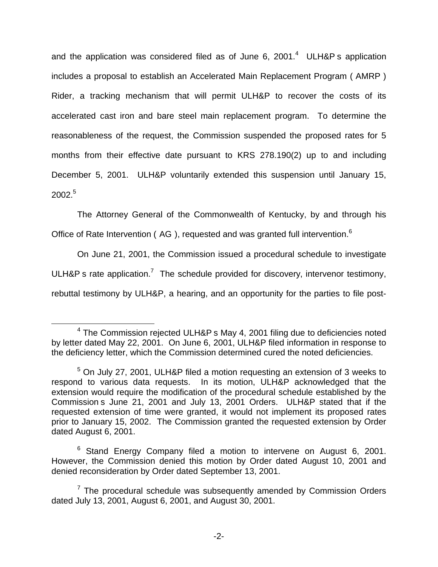and the application was considered filed as of June 6, 2001. $4$  ULH&P s application includes a proposal to establish an Accelerated Main Replacement Program ( AMRP ) Rider, a tracking mechanism that will permit ULH&P to recover the costs of its accelerated cast iron and bare steel main replacement program. To determine the reasonableness of the request, the Commission suspended the proposed rates for 5 months from their effective date pursuant to KRS 278.190(2) up to and including December 5, 2001. ULH&P voluntarily extended this suspension until January 15,  $2002^{5}$ 

The Attorney General of the Commonwealth of Kentucky, by and through his Office of Rate Intervention (AG), requested and was granted full intervention.<sup>6</sup>

On June 21, 2001, the Commission issued a procedural schedule to investigate ULH&P s rate application.<sup>7</sup> The schedule provided for discovery, intervenor testimony, rebuttal testimony by ULH&P, a hearing, and an opportunity for the parties to file post-

<sup>4</sup> The Commission rejected ULH&P s May 4, 2001 filing due to deficiencies noted by letter dated May 22, 2001. On June 6, 2001, ULH&P filed information in response to the deficiency letter, which the Commission determined cured the noted deficiencies.

<sup>&</sup>lt;sup>5</sup> On July 27, 2001, ULH&P filed a motion requesting an extension of 3 weeks to respond to various data requests. In its motion, ULH&P acknowledged that the extension would require the modification of the procedural schedule established by the Commission s June 21, 2001 and July 13, 2001 Orders. ULH&P stated that if the requested extension of time were granted, it would not implement its proposed rates prior to January 15, 2002. The Commission granted the requested extension by Order dated August 6, 2001.

 $6$  Stand Energy Company filed a motion to intervene on August 6, 2001. However, the Commission denied this motion by Order dated August 10, 2001 and denied reconsideration by Order dated September 13, 2001.

 $7$  The procedural schedule was subsequently amended by Commission Orders dated July 13, 2001, August 6, 2001, and August 30, 2001.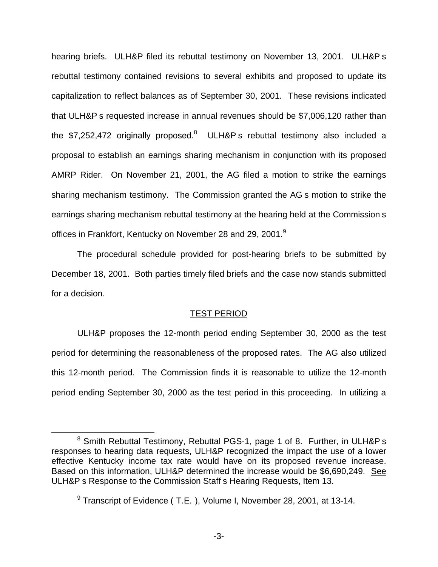hearing briefs. ULH&P filed its rebuttal testimony on November 13, 2001. ULH&P s rebuttal testimony contained revisions to several exhibits and proposed to update its capitalization to reflect balances as of September 30, 2001. These revisions indicated that ULH&P s requested increase in annual revenues should be \$7,006,120 rather than the \$7,252,472 originally proposed.<sup>8</sup> ULH&P s rebuttal testimony also included a proposal to establish an earnings sharing mechanism in conjunction with its proposed AMRP Rider. On November 21, 2001, the AG filed a motion to strike the earnings sharing mechanism testimony. The Commission granted the AG s motion to strike the earnings sharing mechanism rebuttal testimony at the hearing held at the Commission s offices in Frankfort, Kentucky on November 28 and 29, 2001.<sup>9</sup>

The procedural schedule provided for post-hearing briefs to be submitted by December 18, 2001. Both parties timely filed briefs and the case now stands submitted for a decision.

#### TEST PERIOD

ULH&P proposes the 12-month period ending September 30, 2000 as the test period for determining the reasonableness of the proposed rates. The AG also utilized this 12-month period. The Commission finds it is reasonable to utilize the 12-month period ending September 30, 2000 as the test period in this proceeding. In utilizing a

<sup>8</sup> Smith Rebuttal Testimony, Rebuttal PGS-1, page 1 of 8. Further, in ULH&P s responses to hearing data requests, ULH&P recognized the impact the use of a lower effective Kentucky income tax rate would have on its proposed revenue increase. Based on this information, ULH&P determined the increase would be \$6,690,249. See ULH&P s Response to the Commission Staff s Hearing Requests, Item 13.

<sup>&</sup>lt;sup>9</sup> Transcript of Evidence (T.E.), Volume I, November 28, 2001, at 13-14.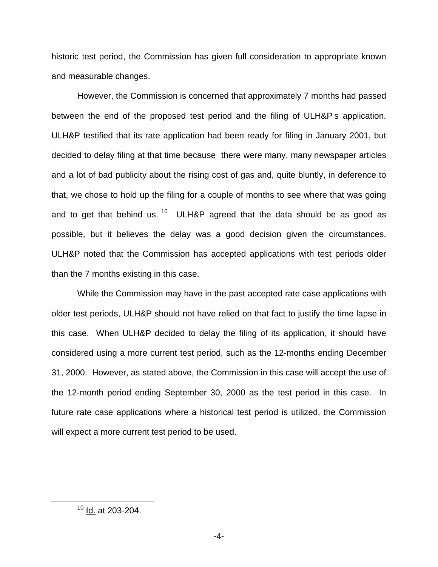historic test period, the Commission has given full consideration to appropriate known and measurable changes.

However, the Commission is concerned that approximately 7 months had passed between the end of the proposed test period and the filing of ULH&P s application. ULH&P testified that its rate application had been ready for filing in January 2001, but decided to delay filing at that time because there were many, many newspaper articles and a lot of bad publicity about the rising cost of gas and, quite bluntly, in deference to that, we chose to hold up the filing for a couple of months to see where that was going and to get that behind us.  $10$  ULH&P agreed that the data should be as good as possible, but it believes the delay was a good decision given the circumstances. ULH&P noted that the Commission has accepted applications with test periods older than the 7 months existing in this case.

While the Commission may have in the past accepted rate case applications with older test periods, ULH&P should not have relied on that fact to justify the time lapse in this case. When ULH&P decided to delay the filing of its application, it should have considered using a more current test period, such as the 12-months ending December 31, 2000. However, as stated above, the Commission in this case will accept the use of the 12-month period ending September 30, 2000 as the test period in this case. In future rate case applications where a historical test period is utilized, the Commission will expect a more current test period to be used.

<sup>10</sup> Id. at 203-204.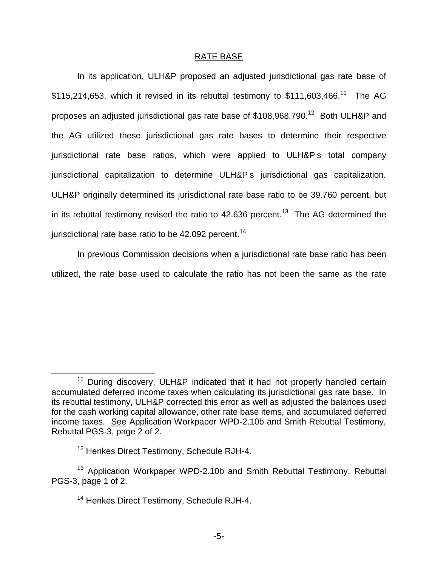#### RATE BASE

In its application, ULH&P proposed an adjusted jurisdictional gas rate base of  $$115,214,653$ , which it revised in its rebuttal testimony to  $$111,603,466$ .<sup>11</sup> The AG proposes an adjusted jurisdictional gas rate base of \$108,968,790.<sup>12</sup> Both ULH&P and the AG utilized these jurisdictional gas rate bases to determine their respective jurisdictional rate base ratios, which were applied to ULH&P s total company jurisdictional capitalization to determine ULH&P s jurisdictional gas capitalization. ULH&P originally determined its jurisdictional rate base ratio to be 39.760 percent, but in its rebuttal testimony revised the ratio to  $42.636$  percent.<sup>13</sup> The AG determined the jurisdictional rate base ratio to be  $42.092$  percent.<sup>14</sup>

In previous Commission decisions when a jurisdictional rate base ratio has been utilized, the rate base used to calculate the ratio has not been the same as the rate

<sup>&</sup>lt;sup>11</sup> During discovery, ULH&P indicated that it had not properly handled certain accumulated deferred income taxes when calculating its jurisdictional gas rate base. In its rebuttal testimony, ULH&P corrected this error as well as adjusted the balances used for the cash working capital allowance, other rate base items, and accumulated deferred income taxes. See Application Workpaper WPD-2.10b and Smith Rebuttal Testimony, Rebuttal PGS-3, page 2 of 2.

<sup>&</sup>lt;sup>12</sup> Henkes Direct Testimony, Schedule RJH-4.

<sup>&</sup>lt;sup>13</sup> Application Workpaper WPD-2.10b and Smith Rebuttal Testimony, Rebuttal PGS-3, page 1 of 2.

<sup>&</sup>lt;sup>14</sup> Henkes Direct Testimony, Schedule RJH-4.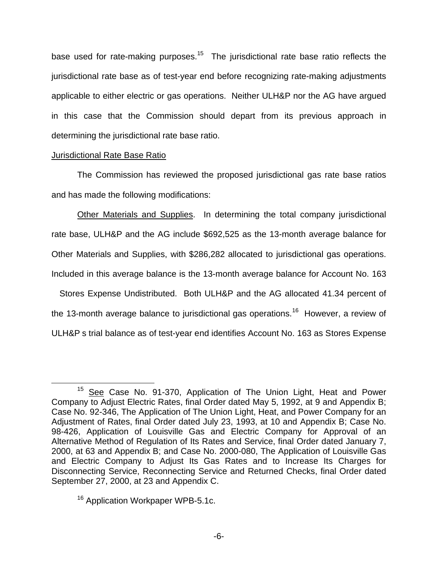base used for rate-making purposes.<sup>15</sup> The jurisdictional rate base ratio reflects the jurisdictional rate base as of test-year end before recognizing rate-making adjustments applicable to either electric or gas operations. Neither ULH&P nor the AG have argued in this case that the Commission should depart from its previous approach in determining the jurisdictional rate base ratio.

#### Jurisdictional Rate Base Ratio

The Commission has reviewed the proposed jurisdictional gas rate base ratios and has made the following modifications:

Other Materials and Supplies. In determining the total company jurisdictional rate base, ULH&P and the AG include \$692,525 as the 13-month average balance for Other Materials and Supplies, with \$286,282 allocated to jurisdictional gas operations. Included in this average balance is the 13-month average balance for Account No. 163

 Stores Expense Undistributed. Both ULH&P and the AG allocated 41.34 percent of the 13-month average balance to jurisdictional gas operations.<sup>16</sup> However, a review of ULH&P s trial balance as of test-year end identifies Account No. 163 as Stores Expense

<sup>&</sup>lt;sup>15</sup> See Case No. 91-370, Application of The Union Light, Heat and Power Company to Adjust Electric Rates, final Order dated May 5, 1992, at 9 and Appendix B; Case No. 92-346, The Application of The Union Light, Heat, and Power Company for an Adjustment of Rates, final Order dated July 23, 1993, at 10 and Appendix B; Case No. 98-426, Application of Louisville Gas and Electric Company for Approval of an Alternative Method of Regulation of Its Rates and Service, final Order dated January 7, 2000, at 63 and Appendix B; and Case No. 2000-080, The Application of Louisville Gas and Electric Company to Adjust Its Gas Rates and to Increase Its Charges for Disconnecting Service, Reconnecting Service and Returned Checks, final Order dated September 27, 2000, at 23 and Appendix C.

<sup>&</sup>lt;sup>16</sup> Application Workpaper WPB-5.1c.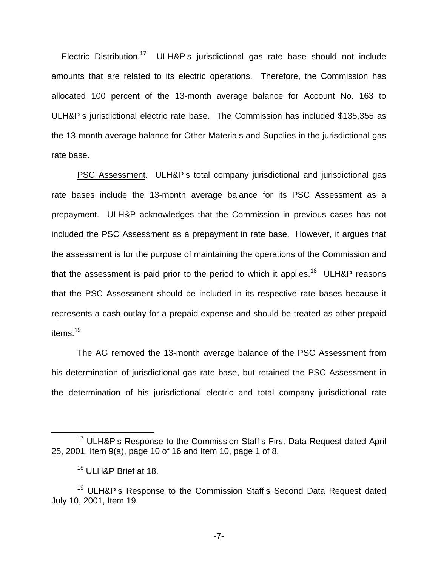Electric Distribution.<sup>17</sup> ULH&P s jurisdictional gas rate base should not include amounts that are related to its electric operations. Therefore, the Commission has allocated 100 percent of the 13-month average balance for Account No. 163 to ULH&P s jurisdictional electric rate base. The Commission has included \$135,355 as the 13-month average balance for Other Materials and Supplies in the jurisdictional gas rate base.

PSC Assessment. ULH&P s total company jurisdictional and jurisdictional gas rate bases include the 13-month average balance for its PSC Assessment as a prepayment. ULH&P acknowledges that the Commission in previous cases has not included the PSC Assessment as a prepayment in rate base. However, it argues that the assessment is for the purpose of maintaining the operations of the Commission and that the assessment is paid prior to the period to which it applies.<sup>18</sup> ULH&P reasons that the PSC Assessment should be included in its respective rate bases because it represents a cash outlay for a prepaid expense and should be treated as other prepaid items.<sup>19</sup>

The AG removed the 13-month average balance of the PSC Assessment from his determination of jurisdictional gas rate base, but retained the PSC Assessment in the determination of his jurisdictional electric and total company jurisdictional rate

<sup>&</sup>lt;sup>17</sup> ULH&P s Response to the Commission Staff s First Data Request dated April 25, 2001, Item 9(a), page 10 of 16 and Item 10, page 1 of 8.

<sup>&</sup>lt;sup>18</sup> ULH&P Brief at 18.

<sup>&</sup>lt;sup>19</sup> ULH&P s Response to the Commission Staff s Second Data Request dated July 10, 2001, Item 19.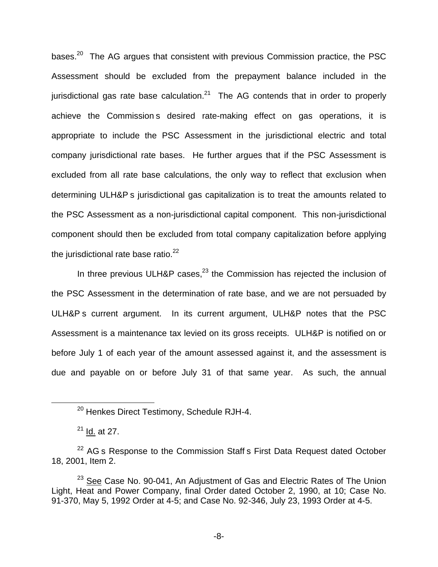bases. $20$  The AG argues that consistent with previous Commission practice, the PSC Assessment should be excluded from the prepayment balance included in the jurisdictional gas rate base calculation.<sup>21</sup> The AG contends that in order to properly achieve the Commission s desired rate-making effect on gas operations, it is appropriate to include the PSC Assessment in the jurisdictional electric and total company jurisdictional rate bases. He further argues that if the PSC Assessment is excluded from all rate base calculations, the only way to reflect that exclusion when determining ULH&P s jurisdictional gas capitalization is to treat the amounts related to the PSC Assessment as a non-jurisdictional capital component. This non-jurisdictional component should then be excluded from total company capitalization before applying the jurisdictional rate base ratio. $^{22}$ 

In three previous ULH&P cases, $^{23}$  the Commission has rejected the inclusion of the PSC Assessment in the determination of rate base, and we are not persuaded by ULH&P s current argument. In its current argument, ULH&P notes that the PSC Assessment is a maintenance tax levied on its gross receipts. ULH&P is notified on or before July 1 of each year of the amount assessed against it, and the assessment is due and payable on or before July 31 of that same year. As such, the annual

<sup>&</sup>lt;sup>20</sup> Henkes Direct Testimony, Schedule RJH-4.

 $21$  Id. at 27.

 $22$  AG s Response to the Commission Staff s First Data Request dated October 18, 2001, Item 2.

<sup>&</sup>lt;sup>23</sup> See Case No. 90-041, An Adjustment of Gas and Electric Rates of The Union Light, Heat and Power Company, final Order dated October 2, 1990, at 10; Case No. 91-370, May 5, 1992 Order at 4-5; and Case No. 92-346, July 23, 1993 Order at 4-5.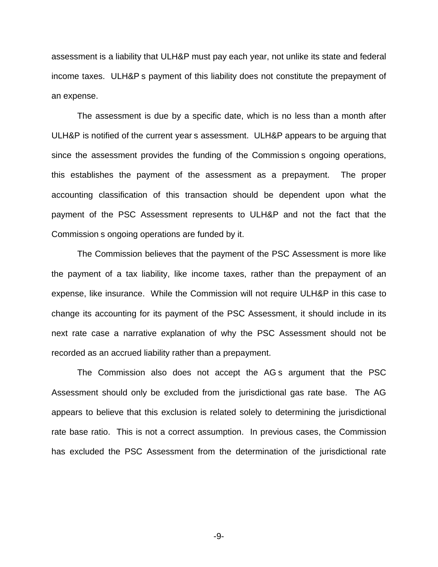assessment is a liability that ULH&P must pay each year, not unlike its state and federal income taxes. ULH&P s payment of this liability does not constitute the prepayment of an expense.

The assessment is due by a specific date, which is no less than a month after ULH&P is notified of the current year s assessment. ULH&P appears to be arguing that since the assessment provides the funding of the Commission s ongoing operations, this establishes the payment of the assessment as a prepayment. The proper accounting classification of this transaction should be dependent upon what the payment of the PSC Assessment represents to ULH&P and not the fact that the Commission s ongoing operations are funded by it.

The Commission believes that the payment of the PSC Assessment is more like the payment of a tax liability, like income taxes, rather than the prepayment of an expense, like insurance. While the Commission will not require ULH&P in this case to change its accounting for its payment of the PSC Assessment, it should include in its next rate case a narrative explanation of why the PSC Assessment should not be recorded as an accrued liability rather than a prepayment.

The Commission also does not accept the AG s argument that the PSC Assessment should only be excluded from the jurisdictional gas rate base. The AG appears to believe that this exclusion is related solely to determining the jurisdictional rate base ratio. This is not a correct assumption. In previous cases, the Commission has excluded the PSC Assessment from the determination of the jurisdictional rate

-9-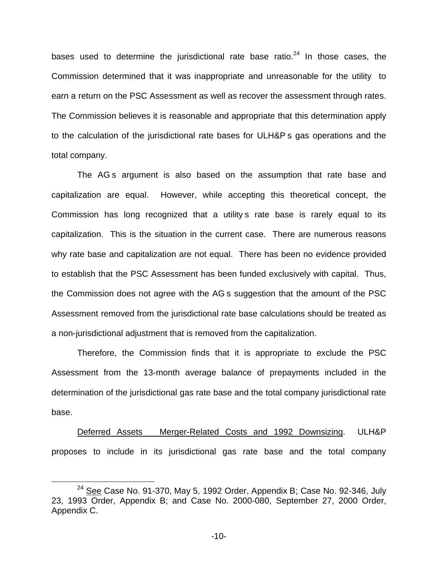bases used to determine the jurisdictional rate base ratio. $24$  In those cases, the Commission determined that it was inappropriate and unreasonable for the utility to earn a return on the PSC Assessment as well as recover the assessment through rates. The Commission believes it is reasonable and appropriate that this determination apply to the calculation of the jurisdictional rate bases for ULH&P s gas operations and the total company.

The AG s argument is also based on the assumption that rate base and capitalization are equal. However, while accepting this theoretical concept, the Commission has long recognized that a utility s rate base is rarely equal to its capitalization. This is the situation in the current case. There are numerous reasons why rate base and capitalization are not equal. There has been no evidence provided to establish that the PSC Assessment has been funded exclusively with capital. Thus, the Commission does not agree with the AG s suggestion that the amount of the PSC Assessment removed from the jurisdictional rate base calculations should be treated as a non-jurisdictional adjustment that is removed from the capitalization.

Therefore, the Commission finds that it is appropriate to exclude the PSC Assessment from the 13-month average balance of prepayments included in the determination of the jurisdictional gas rate base and the total company jurisdictional rate base.

Deferred Assets Merger-Related Costs and 1992 Downsizing. ULH&P proposes to include in its jurisdictional gas rate base and the total company

 $24$  See Case No. 91-370, May 5, 1992 Order, Appendix B; Case No. 92-346, July 23, 1993 Order, Appendix B; and Case No. 2000-080, September 27, 2000 Order, Appendix C.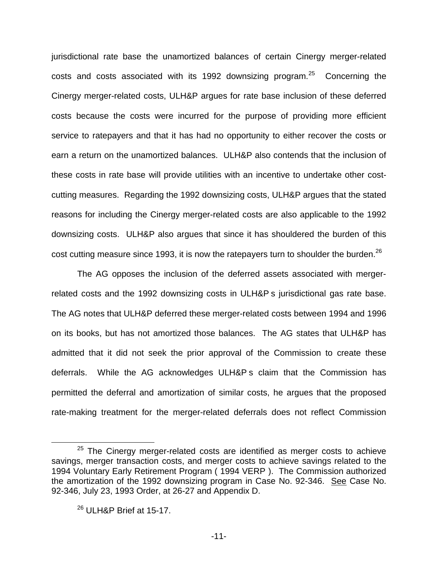jurisdictional rate base the unamortized balances of certain Cinergy merger-related costs and costs associated with its 1992 downsizing program. $25$  Concerning the Cinergy merger-related costs, ULH&P argues for rate base inclusion of these deferred costs because the costs were incurred for the purpose of providing more efficient service to ratepayers and that it has had no opportunity to either recover the costs or earn a return on the unamortized balances. ULH&P also contends that the inclusion of these costs in rate base will provide utilities with an incentive to undertake other costcutting measures. Regarding the 1992 downsizing costs, ULH&P argues that the stated reasons for including the Cinergy merger-related costs are also applicable to the 1992 downsizing costs. ULH&P also argues that since it has shouldered the burden of this cost cutting measure since 1993, it is now the ratepayers turn to shoulder the burden.<sup>26</sup>

The AG opposes the inclusion of the deferred assets associated with mergerrelated costs and the 1992 downsizing costs in ULH&P s jurisdictional gas rate base. The AG notes that ULH&P deferred these merger-related costs between 1994 and 1996 on its books, but has not amortized those balances. The AG states that ULH&P has admitted that it did not seek the prior approval of the Commission to create these deferrals. While the AG acknowledges ULH&P s claim that the Commission has permitted the deferral and amortization of similar costs, he argues that the proposed rate-making treatment for the merger-related deferrals does not reflect Commission

 $25$  The Cinergy merger-related costs are identified as merger costs to achieve savings, merger transaction costs, and merger costs to achieve savings related to the 1994 Voluntary Early Retirement Program ( 1994 VERP ). The Commission authorized the amortization of the 1992 downsizing program in Case No. 92-346. See Case No. 92-346, July 23, 1993 Order, at 26-27 and Appendix D.

 $26$  ULH&P Brief at 15-17.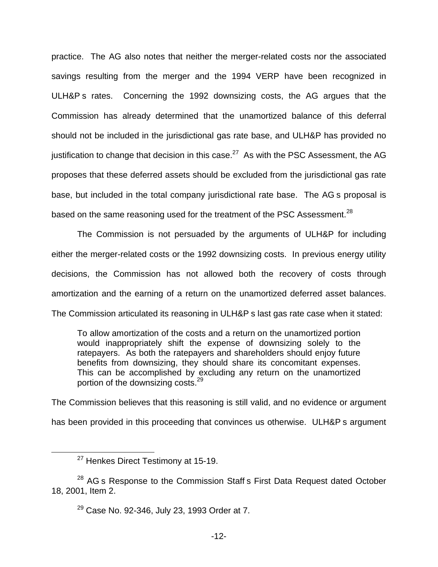practice. The AG also notes that neither the merger-related costs nor the associated savings resulting from the merger and the 1994 VERP have been recognized in ULH&P s rates. Concerning the 1992 downsizing costs, the AG argues that the Commission has already determined that the unamortized balance of this deferral should not be included in the jurisdictional gas rate base, and ULH&P has provided no justification to change that decision in this case.<sup>27</sup> As with the PSC Assessment, the AG proposes that these deferred assets should be excluded from the jurisdictional gas rate base, but included in the total company jurisdictional rate base. The AG s proposal is based on the same reasoning used for the treatment of the PSC Assessment.<sup>28</sup>

The Commission is not persuaded by the arguments of ULH&P for including either the merger-related costs or the 1992 downsizing costs. In previous energy utility decisions, the Commission has not allowed both the recovery of costs through amortization and the earning of a return on the unamortized deferred asset balances. The Commission articulated its reasoning in ULH&P s last gas rate case when it stated:

To allow amortization of the costs and a return on the unamortized portion would inappropriately shift the expense of downsizing solely to the ratepayers. As both the ratepayers and shareholders should enjoy future benefits from downsizing, they should share its concomitant expenses. This can be accomplished by excluding any return on the unamortized portion of the downsizing costs.29

The Commission believes that this reasoning is still valid, and no evidence or argument has been provided in this proceeding that convinces us otherwise. ULH&P s argument

<sup>&</sup>lt;sup>27</sup> Henkes Direct Testimony at 15-19.

<sup>&</sup>lt;sup>28</sup> AG s Response to the Commission Staff s First Data Request dated October 18, 2001, Item 2.

<sup>29</sup> Case No. 92-346, July 23, 1993 Order at 7.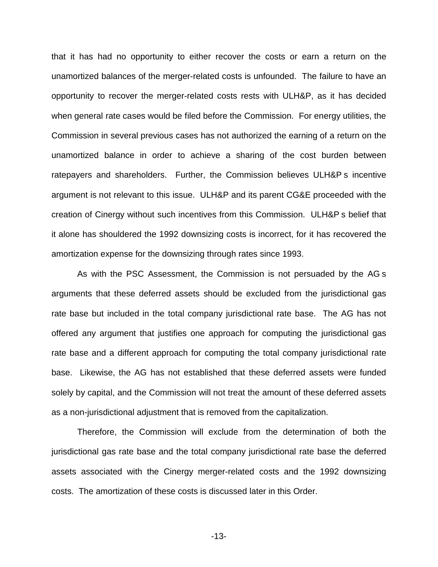that it has had no opportunity to either recover the costs or earn a return on the unamortized balances of the merger-related costs is unfounded. The failure to have an opportunity to recover the merger-related costs rests with ULH&P, as it has decided when general rate cases would be filed before the Commission. For energy utilities, the Commission in several previous cases has not authorized the earning of a return on the unamortized balance in order to achieve a sharing of the cost burden between ratepayers and shareholders. Further, the Commission believes ULH&P s incentive argument is not relevant to this issue. ULH&P and its parent CG&E proceeded with the creation of Cinergy without such incentives from this Commission. ULH&P s belief that it alone has shouldered the 1992 downsizing costs is incorrect, for it has recovered the amortization expense for the downsizing through rates since 1993.

As with the PSC Assessment, the Commission is not persuaded by the AG s arguments that these deferred assets should be excluded from the jurisdictional gas rate base but included in the total company jurisdictional rate base. The AG has not offered any argument that justifies one approach for computing the jurisdictional gas rate base and a different approach for computing the total company jurisdictional rate base. Likewise, the AG has not established that these deferred assets were funded solely by capital, and the Commission will not treat the amount of these deferred assets as a non-jurisdictional adjustment that is removed from the capitalization.

Therefore, the Commission will exclude from the determination of both the jurisdictional gas rate base and the total company jurisdictional rate base the deferred assets associated with the Cinergy merger-related costs and the 1992 downsizing costs. The amortization of these costs is discussed later in this Order.

-13-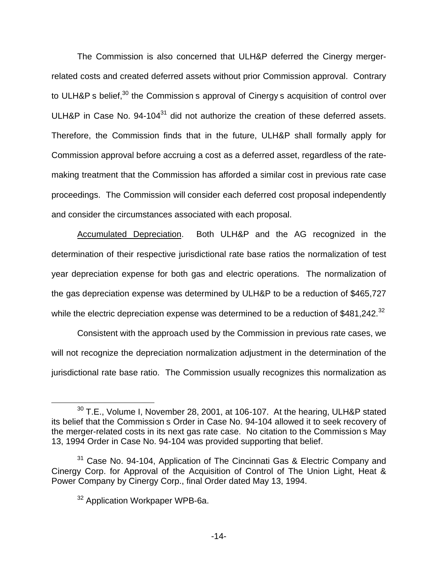The Commission is also concerned that ULH&P deferred the Cinergy mergerrelated costs and created deferred assets without prior Commission approval. Contrary to ULH&P s belief,<sup>30</sup> the Commission s approval of Cinergy s acquisition of control over ULH&P in Case No. 94-104<sup>31</sup> did not authorize the creation of these deferred assets. Therefore, the Commission finds that in the future, ULH&P shall formally apply for Commission approval before accruing a cost as a deferred asset, regardless of the ratemaking treatment that the Commission has afforded a similar cost in previous rate case proceedings. The Commission will consider each deferred cost proposal independently and consider the circumstances associated with each proposal.

Accumulated Depreciation. Both ULH&P and the AG recognized in the determination of their respective jurisdictional rate base ratios the normalization of test year depreciation expense for both gas and electric operations. The normalization of the gas depreciation expense was determined by ULH&P to be a reduction of \$465,727 while the electric depreciation expense was determined to be a reduction of \$481,242.<sup>32</sup>

Consistent with the approach used by the Commission in previous rate cases, we will not recognize the depreciation normalization adjustment in the determination of the jurisdictional rate base ratio. The Commission usually recognizes this normalization as

 $30$  T.E., Volume I, November 28, 2001, at 106-107. At the hearing, ULH&P stated its belief that the Commission s Order in Case No. 94-104 allowed it to seek recovery of the merger-related costs in its next gas rate case. No citation to the Commission s May 13, 1994 Order in Case No. 94-104 was provided supporting that belief.

<sup>&</sup>lt;sup>31</sup> Case No. 94-104, Application of The Cincinnati Gas & Electric Company and Cinergy Corp. for Approval of the Acquisition of Control of The Union Light, Heat & Power Company by Cinergy Corp., final Order dated May 13, 1994.

<sup>&</sup>lt;sup>32</sup> Application Workpaper WPB-6a.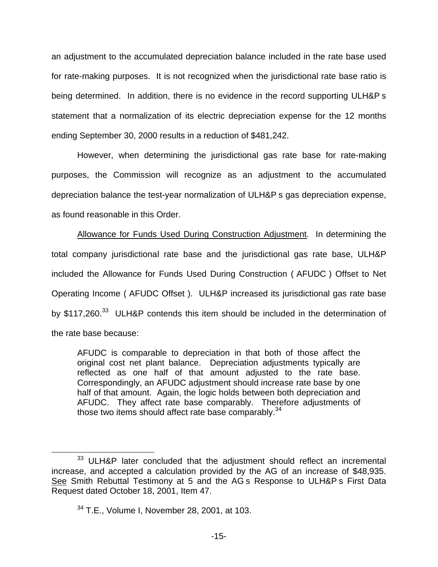an adjustment to the accumulated depreciation balance included in the rate base used for rate-making purposes. It is not recognized when the jurisdictional rate base ratio is being determined. In addition, there is no evidence in the record supporting ULH&P s statement that a normalization of its electric depreciation expense for the 12 months ending September 30, 2000 results in a reduction of \$481,242.

However, when determining the jurisdictional gas rate base for rate-making purposes, the Commission will recognize as an adjustment to the accumulated depreciation balance the test-year normalization of ULH&P s gas depreciation expense, as found reasonable in this Order.

Allowance for Funds Used During Construction Adjustment. In determining the total company jurisdictional rate base and the jurisdictional gas rate base, ULH&P included the Allowance for Funds Used During Construction ( AFUDC ) Offset to Net Operating Income ( AFUDC Offset ). ULH&P increased its jurisdictional gas rate base by \$117,260.<sup>33</sup> ULH&P contends this item should be included in the determination of the rate base because:

AFUDC is comparable to depreciation in that both of those affect the original cost net plant balance. Depreciation adjustments typically are reflected as one half of that amount adjusted to the rate base. Correspondingly, an AFUDC adjustment should increase rate base by one half of that amount. Again, the logic holds between both depreciation and AFUDC. They affect rate base comparably. Therefore adjustments of those two items should affect rate base comparably.<sup>34</sup>

<sup>&</sup>lt;sup>33</sup> ULH&P later concluded that the adjustment should reflect an incremental increase, and accepted a calculation provided by the AG of an increase of \$48,935. See Smith Rebuttal Testimony at 5 and the AG s Response to ULH&P s First Data Request dated October 18, 2001, Item 47.

<sup>&</sup>lt;sup>34</sup> T.E., Volume I, November 28, 2001, at 103.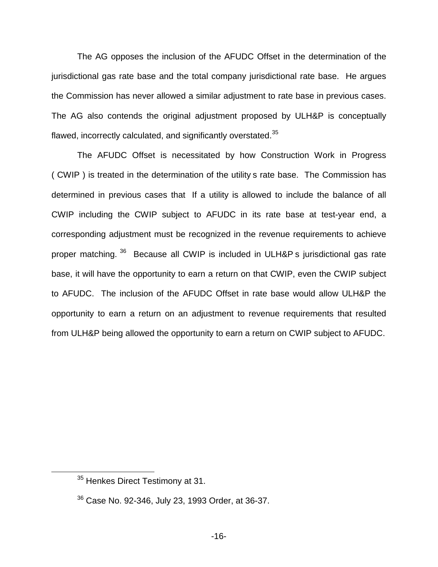The AG opposes the inclusion of the AFUDC Offset in the determination of the jurisdictional gas rate base and the total company jurisdictional rate base. He argues the Commission has never allowed a similar adjustment to rate base in previous cases. The AG also contends the original adjustment proposed by ULH&P is conceptually flawed, incorrectly calculated, and significantly overstated.<sup>35</sup>

The AFUDC Offset is necessitated by how Construction Work in Progress ( CWIP ) is treated in the determination of the utility s rate base. The Commission has determined in previous cases that If a utility is allowed to include the balance of all CWIP including the CWIP subject to AFUDC in its rate base at test-year end, a corresponding adjustment must be recognized in the revenue requirements to achieve proper matching. <sup>36</sup> Because all CWIP is included in ULH&P s jurisdictional gas rate base, it will have the opportunity to earn a return on that CWIP, even the CWIP subject to AFUDC. The inclusion of the AFUDC Offset in rate base would allow ULH&P the opportunity to earn a return on an adjustment to revenue requirements that resulted from ULH&P being allowed the opportunity to earn a return on CWIP subject to AFUDC.

<sup>&</sup>lt;sup>35</sup> Henkes Direct Testimony at 31.

 $36$  Case No. 92-346, July 23, 1993 Order, at 36-37,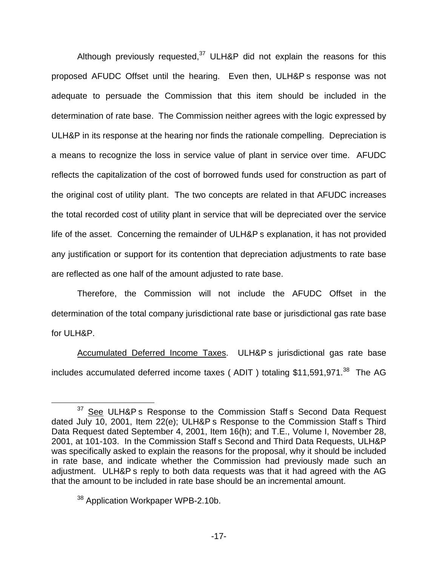Although previously requested, $37$  ULH&P did not explain the reasons for this proposed AFUDC Offset until the hearing. Even then, ULH&P s response was not adequate to persuade the Commission that this item should be included in the determination of rate base. The Commission neither agrees with the logic expressed by ULH&P in its response at the hearing nor finds the rationale compelling. Depreciation is a means to recognize the loss in service value of plant in service over time. AFUDC reflects the capitalization of the cost of borrowed funds used for construction as part of the original cost of utility plant. The two concepts are related in that AFUDC increases the total recorded cost of utility plant in service that will be depreciated over the service life of the asset. Concerning the remainder of ULH&P s explanation, it has not provided any justification or support for its contention that depreciation adjustments to rate base are reflected as one half of the amount adjusted to rate base.

Therefore, the Commission will not include the AFUDC Offset in the determination of the total company jurisdictional rate base or jurisdictional gas rate base for ULH&P.

Accumulated Deferred Income Taxes. ULH&P s jurisdictional gas rate base includes accumulated deferred income taxes (ADIT) totaling \$11,591,971.<sup>38</sup> The AG

 $37$  See ULH&P s Response to the Commission Staff s Second Data Request dated July 10, 2001, Item  $22(e)$ ; ULH&P s Response to the Commission Staff s Third Data Request dated September 4, 2001, Item 16(h); and T.E., Volume I, November 28, 2001, at 101-103. In the Commission Staff s Second and Third Data Requests, ULH&P was specifically asked to explain the reasons for the proposal, why it should be included in rate base, and indicate whether the Commission had previously made such an adjustment. ULH&P s reply to both data requests was that it had agreed with the AG that the amount to be included in rate base should be an incremental amount.

<sup>&</sup>lt;sup>38</sup> Application Workpaper WPB-2.10b.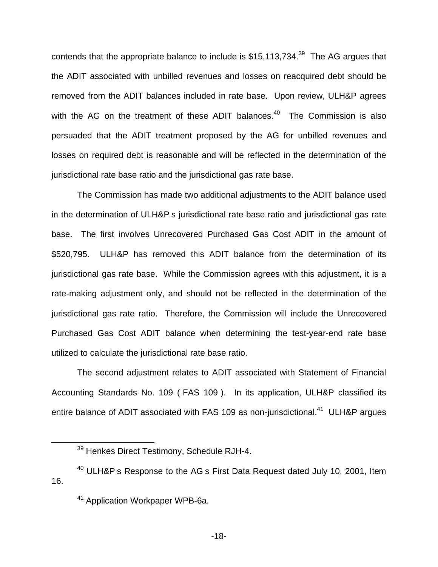contends that the appropriate balance to include is \$15,113,734.<sup>39</sup> The AG argues that the ADIT associated with unbilled revenues and losses on reacquired debt should be removed from the ADIT balances included in rate base. Upon review, ULH&P agrees with the AG on the treatment of these ADIT balances. $40$  The Commission is also persuaded that the ADIT treatment proposed by the AG for unbilled revenues and losses on required debt is reasonable and will be reflected in the determination of the jurisdictional rate base ratio and the jurisdictional gas rate base.

The Commission has made two additional adjustments to the ADIT balance used in the determination of ULH&P s jurisdictional rate base ratio and jurisdictional gas rate base. The first involves Unrecovered Purchased Gas Cost ADIT in the amount of \$520,795. ULH&P has removed this ADIT balance from the determination of its jurisdictional gas rate base. While the Commission agrees with this adjustment, it is a rate-making adjustment only, and should not be reflected in the determination of the jurisdictional gas rate ratio. Therefore, the Commission will include the Unrecovered Purchased Gas Cost ADIT balance when determining the test-year-end rate base utilized to calculate the jurisdictional rate base ratio.

The second adjustment relates to ADIT associated with Statement of Financial Accounting Standards No. 109 ( FAS 109 ). In its application, ULH&P classified its entire balance of ADIT associated with FAS 109 as non-jurisdictional.<sup>41</sup> ULH&P argues

-18-

<sup>&</sup>lt;sup>39</sup> Henkes Direct Testimony, Schedule RJH-4.

<sup>&</sup>lt;sup>40</sup> ULH&P s Response to the AG s First Data Request dated July 10, 2001, Item 16.

<sup>41</sup> Application Workpaper WPB-6a.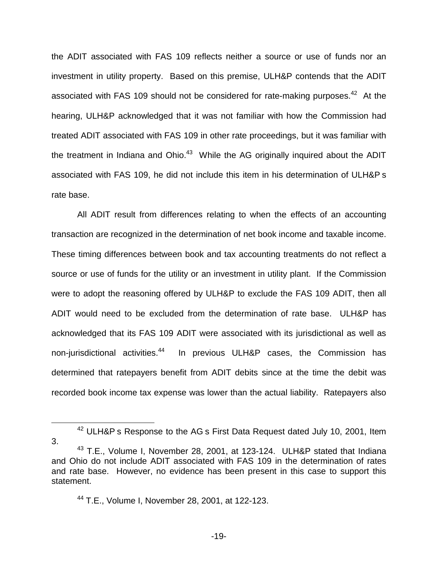the ADIT associated with FAS 109 reflects neither a source or use of funds nor an investment in utility property. Based on this premise, ULH&P contends that the ADIT associated with FAS 109 should not be considered for rate-making purposes.<sup>42</sup> At the hearing, ULH&P acknowledged that it was not familiar with how the Commission had treated ADIT associated with FAS 109 in other rate proceedings, but it was familiar with the treatment in Indiana and Ohio. $43$  While the AG originally inquired about the ADIT associated with FAS 109, he did not include this item in his determination of ULH&P s rate base.

All ADIT result from differences relating to when the effects of an accounting transaction are recognized in the determination of net book income and taxable income. These timing differences between book and tax accounting treatments do not reflect a source or use of funds for the utility or an investment in utility plant. If the Commission were to adopt the reasoning offered by ULH&P to exclude the FAS 109 ADIT, then all ADIT would need to be excluded from the determination of rate base. ULH&P has acknowledged that its FAS 109 ADIT were associated with its jurisdictional as well as non-jurisdictional activities.<sup>44</sup> In previous ULH&P cases, the Commission has determined that ratepayers benefit from ADIT debits since at the time the debit was recorded book income tax expense was lower than the actual liability. Ratepayers also

<sup>&</sup>lt;sup>42</sup> ULH&P s Response to the AG s First Data Request dated July 10, 2001, Item 3.

<sup>&</sup>lt;sup>43</sup> T.E., Volume I, November 28, 2001, at 123-124. ULH&P stated that Indiana and Ohio do not include ADIT associated with FAS 109 in the determination of rates and rate base. However, no evidence has been present in this case to support this statement.

<sup>44</sup> T.E., Volume I, November 28, 2001, at 122-123.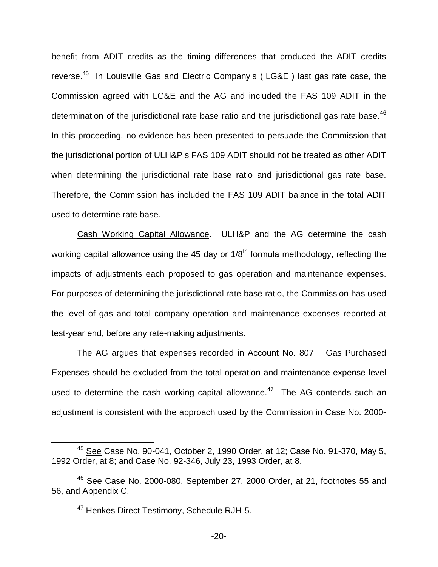benefit from ADIT credits as the timing differences that produced the ADIT credits reverse.45 In Louisville Gas and Electric Company s ( LG&E ) last gas rate case, the Commission agreed with LG&E and the AG and included the FAS 109 ADIT in the determination of the jurisdictional rate base ratio and the jurisdictional gas rate base.<sup>46</sup> In this proceeding, no evidence has been presented to persuade the Commission that the jurisdictional portion of ULH&P s FAS 109 ADIT should not be treated as other ADIT when determining the jurisdictional rate base ratio and jurisdictional gas rate base. Therefore, the Commission has included the FAS 109 ADIT balance in the total ADIT used to determine rate base.

Cash Working Capital Allowance. ULH&P and the AG determine the cash working capital allowance using the 45 day or  $1/8<sup>th</sup>$  formula methodology, reflecting the impacts of adjustments each proposed to gas operation and maintenance expenses. For purposes of determining the jurisdictional rate base ratio, the Commission has used the level of gas and total company operation and maintenance expenses reported at test-year end, before any rate-making adjustments.

The AG argues that expenses recorded in Account No. 807 Gas Purchased Expenses should be excluded from the total operation and maintenance expense level used to determine the cash working capital allowance.<sup>47</sup> The AG contends such an adjustment is consistent with the approach used by the Commission in Case No. 2000-

 $45$  See Case No. 90-041, October 2, 1990 Order, at 12; Case No. 91-370, May 5, 1992 Order, at 8; and Case No. 92-346, July 23, 1993 Order, at 8.

 $46$  See Case No. 2000-080, September 27, 2000 Order, at 21, footnotes 55 and 56, and Appendix C.

<sup>&</sup>lt;sup>47</sup> Henkes Direct Testimony, Schedule RJH-5.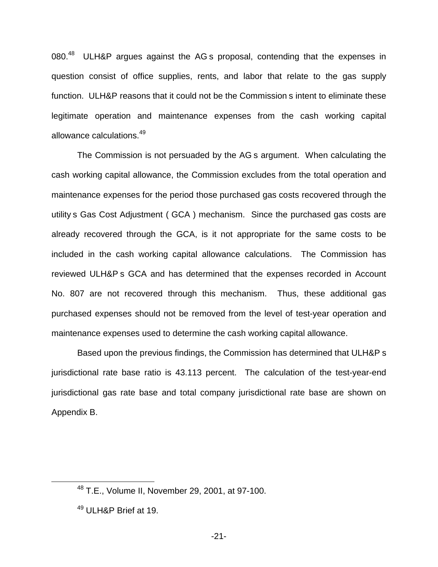080.<sup>48</sup> ULH&P argues against the AG s proposal, contending that the expenses in question consist of office supplies, rents, and labor that relate to the gas supply function. ULH&P reasons that it could not be the Commission s intent to eliminate these legitimate operation and maintenance expenses from the cash working capital allowance calculations.<sup>49</sup>

The Commission is not persuaded by the AG s argument. When calculating the cash working capital allowance, the Commission excludes from the total operation and maintenance expenses for the period those purchased gas costs recovered through the utility s Gas Cost Adjustment ( GCA ) mechanism. Since the purchased gas costs are already recovered through the GCA, is it not appropriate for the same costs to be included in the cash working capital allowance calculations. The Commission has reviewed ULH&P s GCA and has determined that the expenses recorded in Account No. 807 are not recovered through this mechanism. Thus, these additional gas purchased expenses should not be removed from the level of test-year operation and maintenance expenses used to determine the cash working capital allowance.

Based upon the previous findings, the Commission has determined that ULH&P s jurisdictional rate base ratio is 43.113 percent. The calculation of the test-year-end jurisdictional gas rate base and total company jurisdictional rate base are shown on Appendix B.

<sup>48</sup> T.E., Volume II, November 29, 2001, at 97-100.

<sup>&</sup>lt;sup>49</sup> ULH&P Brief at 19.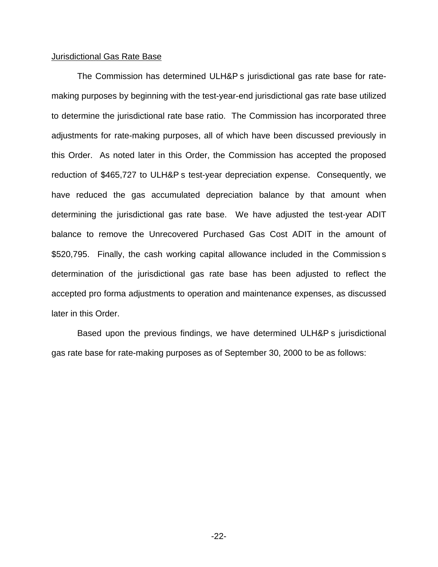#### Jurisdictional Gas Rate Base

The Commission has determined ULH&P s jurisdictional gas rate base for ratemaking purposes by beginning with the test-year-end jurisdictional gas rate base utilized to determine the jurisdictional rate base ratio. The Commission has incorporated three adjustments for rate-making purposes, all of which have been discussed previously in this Order. As noted later in this Order, the Commission has accepted the proposed reduction of \$465,727 to ULH&P s test-year depreciation expense. Consequently, we have reduced the gas accumulated depreciation balance by that amount when determining the jurisdictional gas rate base. We have adjusted the test-year ADIT balance to remove the Unrecovered Purchased Gas Cost ADIT in the amount of \$520,795. Finally, the cash working capital allowance included in the Commission s determination of the jurisdictional gas rate base has been adjusted to reflect the accepted pro forma adjustments to operation and maintenance expenses, as discussed later in this Order.

Based upon the previous findings, we have determined ULH&P s jurisdictional gas rate base for rate-making purposes as of September 30, 2000 to be as follows: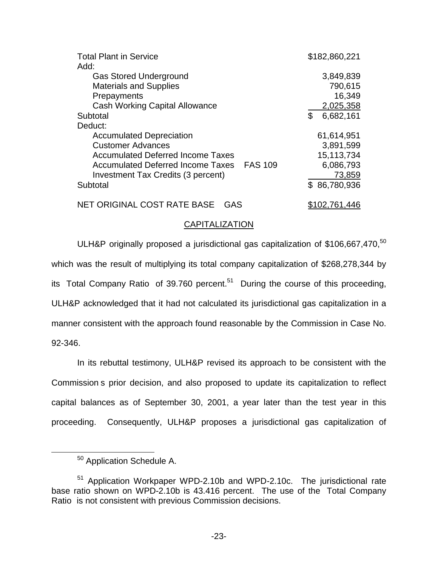| <b>Total Plant in Service</b>             | \$182,860,221   |
|-------------------------------------------|-----------------|
| Add:                                      |                 |
| <b>Gas Stored Underground</b>             | 3,849,839       |
| <b>Materials and Supplies</b>             | 790,615         |
| Prepayments                               | 16,349          |
| <b>Cash Working Capital Allowance</b>     | 2,025,358       |
| Subtotal                                  | \$<br>6,682,161 |
| Deduct:                                   |                 |
| <b>Accumulated Depreciation</b>           | 61,614,951      |
| <b>Customer Advances</b>                  | 3,891,599       |
| <b>Accumulated Deferred Income Taxes</b>  | 15,113,734      |
| Accumulated Deferred Income Taxes FAS 109 | 6,086,793       |
| Investment Tax Credits (3 percent)        | 73,859          |
| Subtotal                                  | \$86,780,936    |
| NET ORIGINAL COST RATE BASE<br>GAS        | \$102,761,446   |

#### CAPITALIZATION

ULH&P originally proposed a jurisdictional gas capitalization of \$106,667,470, $^{50}$ which was the result of multiplying its total company capitalization of \$268,278,344 by its Total Company Ratio of 39.760 percent.<sup>51</sup> During the course of this proceeding, ULH&P acknowledged that it had not calculated its jurisdictional gas capitalization in a manner consistent with the approach found reasonable by the Commission in Case No. 92-346.

In its rebuttal testimony, ULH&P revised its approach to be consistent with the Commission s prior decision, and also proposed to update its capitalization to reflect capital balances as of September 30, 2001, a year later than the test year in this proceeding. Consequently, ULH&P proposes a jurisdictional gas capitalization of

<sup>&</sup>lt;sup>50</sup> Application Schedule A.

<sup>51</sup> Application Workpaper WPD-2.10b and WPD-2.10c. The jurisdictional rate base ratio shown on WPD-2.10b is 43.416 percent. The use of the Total Company Ratio is not consistent with previous Commission decisions.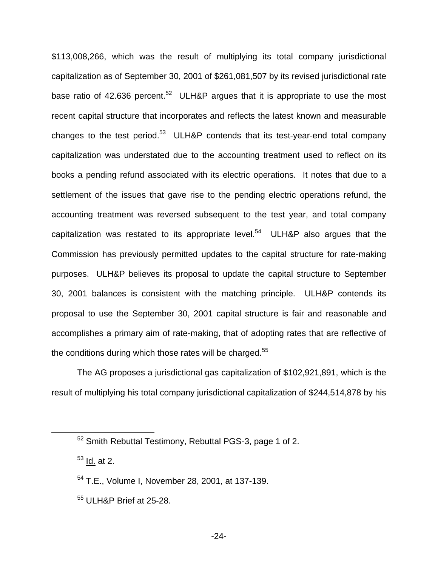\$113,008,266, which was the result of multiplying its total company jurisdictional capitalization as of September 30, 2001 of \$261,081,507 by its revised jurisdictional rate base ratio of 42.636 percent.<sup>52</sup> ULH&P argues that it is appropriate to use the most recent capital structure that incorporates and reflects the latest known and measurable changes to the test period. $53$  ULH&P contends that its test-year-end total company capitalization was understated due to the accounting treatment used to reflect on its books a pending refund associated with its electric operations. It notes that due to a settlement of the issues that gave rise to the pending electric operations refund, the accounting treatment was reversed subsequent to the test year, and total company capitalization was restated to its appropriate level. $54$  ULH&P also argues that the Commission has previously permitted updates to the capital structure for rate-making purposes. ULH&P believes its proposal to update the capital structure to September 30, 2001 balances is consistent with the matching principle. ULH&P contends its proposal to use the September 30, 2001 capital structure is fair and reasonable and accomplishes a primary aim of rate-making, that of adopting rates that are reflective of the conditions during which those rates will be charged. $55$ 

The AG proposes a jurisdictional gas capitalization of \$102,921,891, which is the result of multiplying his total company jurisdictional capitalization of \$244,514,878 by his

<sup>52</sup> Smith Rebuttal Testimony, Rebuttal PGS-3, page 1 of 2.

 $53$  Id. at 2.

<sup>54</sup> T.E., Volume I, November 28, 2001, at 137-139.

<sup>55</sup> ULH&P Brief at 25-28.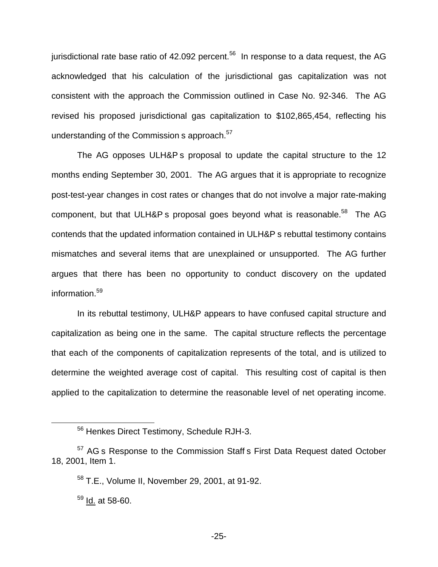jurisdictional rate base ratio of 42.092 percent. $56$  In response to a data request, the AG acknowledged that his calculation of the jurisdictional gas capitalization was not consistent with the approach the Commission outlined in Case No. 92-346. The AG revised his proposed jurisdictional gas capitalization to \$102,865,454, reflecting his understanding of the Commission s approach.<sup>57</sup>

The AG opposes ULH&P s proposal to update the capital structure to the 12 months ending September 30, 2001. The AG argues that it is appropriate to recognize post-test-year changes in cost rates or changes that do not involve a major rate-making component, but that ULH&P s proposal goes beyond what is reasonable.<sup>58</sup> The AG contends that the updated information contained in ULH&P s rebuttal testimony contains mismatches and several items that are unexplained or unsupported. The AG further argues that there has been no opportunity to conduct discovery on the updated information.<sup>59</sup>

In its rebuttal testimony, ULH&P appears to have confused capital structure and capitalization as being one in the same. The capital structure reflects the percentage that each of the components of capitalization represents of the total, and is utilized to determine the weighted average cost of capital. This resulting cost of capital is then applied to the capitalization to determine the reasonable level of net operating income.

<sup>56</sup> Henkes Direct Testimony, Schedule RJH-3.

<sup>&</sup>lt;sup>57</sup> AG s Response to the Commission Staff s First Data Request dated October 18, 2001, Item 1.

<sup>58</sup> T.E., Volume II, November 29, 2001, at 91-92.

 $^{59}$  Id. at 58-60.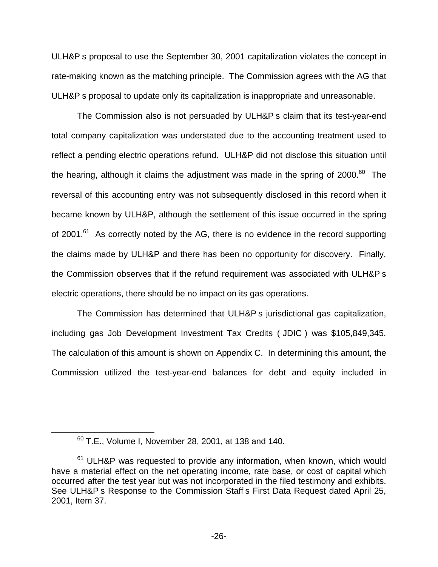ULH&P s proposal to use the September 30, 2001 capitalization violates the concept in rate-making known as the matching principle. The Commission agrees with the AG that ULH&P s proposal to update only its capitalization is inappropriate and unreasonable.

The Commission also is not persuaded by ULH&P s claim that its test-year-end total company capitalization was understated due to the accounting treatment used to reflect a pending electric operations refund. ULH&P did not disclose this situation until the hearing, although it claims the adjustment was made in the spring of  $2000$ .<sup>60</sup> The reversal of this accounting entry was not subsequently disclosed in this record when it became known by ULH&P, although the settlement of this issue occurred in the spring of 2001. $^{61}$  As correctly noted by the AG, there is no evidence in the record supporting the claims made by ULH&P and there has been no opportunity for discovery. Finally, the Commission observes that if the refund requirement was associated with ULH&P s electric operations, there should be no impact on its gas operations.

The Commission has determined that ULH&P s jurisdictional gas capitalization, including gas Job Development Investment Tax Credits ( JDIC ) was \$105,849,345. The calculation of this amount is shown on Appendix C. In determining this amount, the Commission utilized the test-year-end balances for debt and equity included in

<sup>60</sup> T.E., Volume I, November 28, 2001, at 138 and 140.

 $61$  ULH&P was requested to provide any information, when known, which would have a material effect on the net operating income, rate base, or cost of capital which occurred after the test year but was not incorporated in the filed testimony and exhibits. See ULH&P s Response to the Commission Staff s First Data Request dated April 25, 2001, Item 37.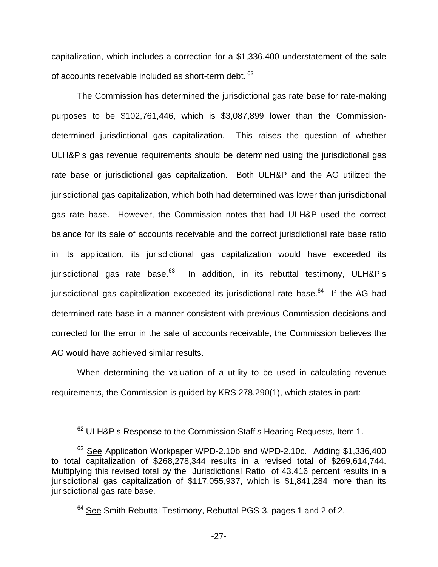capitalization, which includes a correction for a \$1,336,400 understatement of the sale of accounts receivable included as short-term debt. 62

The Commission has determined the jurisdictional gas rate base for rate-making purposes to be \$102,761,446, which is \$3,087,899 lower than the Commissiondetermined jurisdictional gas capitalization. This raises the question of whether ULH&P s gas revenue requirements should be determined using the jurisdictional gas rate base or jurisdictional gas capitalization. Both ULH&P and the AG utilized the jurisdictional gas capitalization, which both had determined was lower than jurisdictional gas rate base. However, the Commission notes that had ULH&P used the correct balance for its sale of accounts receivable and the correct jurisdictional rate base ratio in its application, its jurisdictional gas capitalization would have exceeded its jurisdictional gas rate base.<sup>63</sup> In addition, in its rebuttal testimony, ULH&P s jurisdictional gas capitalization exceeded its jurisdictional rate base. $64$  If the AG had determined rate base in a manner consistent with previous Commission decisions and corrected for the error in the sale of accounts receivable, the Commission believes the AG would have achieved similar results.

When determining the valuation of a utility to be used in calculating revenue requirements, the Commission is guided by KRS 278.290(1), which states in part:

<sup>&</sup>lt;sup>62</sup> ULH&P s Response to the Commission Staff s Hearing Requests, Item 1.

<sup>&</sup>lt;sup>63</sup> See Application Workpaper WPD-2.10b and WPD-2.10c. Adding \$1,336,400 to total capitalization of \$268,278,344 results in a revised total of \$269,614,744. Multiplying this revised total by the Jurisdictional Ratio of 43.416 percent results in a jurisdictional gas capitalization of \$117,055,937, which is \$1,841,284 more than its jurisdictional gas rate base.

<sup>&</sup>lt;sup>64</sup> See Smith Rebuttal Testimony, Rebuttal PGS-3, pages 1 and 2 of 2.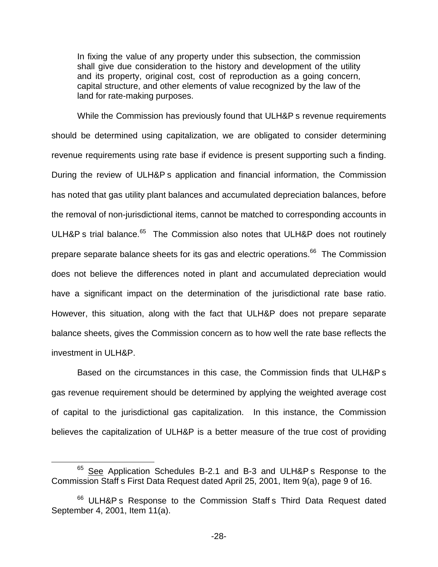In fixing the value of any property under this subsection, the commission shall give due consideration to the history and development of the utility and its property, original cost, cost of reproduction as a going concern, capital structure, and other elements of value recognized by the law of the land for rate-making purposes.

While the Commission has previously found that ULH&P s revenue requirements should be determined using capitalization, we are obligated to consider determining revenue requirements using rate base if evidence is present supporting such a finding. During the review of ULH&P s application and financial information, the Commission has noted that gas utility plant balances and accumulated depreciation balances, before the removal of non-jurisdictional items, cannot be matched to corresponding accounts in ULH&P s trial balance.<sup>65</sup> The Commission also notes that ULH&P does not routinely prepare separate balance sheets for its gas and electric operations.<sup>66</sup> The Commission does not believe the differences noted in plant and accumulated depreciation would have a significant impact on the determination of the jurisdictional rate base ratio. However, this situation, along with the fact that ULH&P does not prepare separate balance sheets, gives the Commission concern as to how well the rate base reflects the investment in ULH&P.

Based on the circumstances in this case, the Commission finds that ULH&P s gas revenue requirement should be determined by applying the weighted average cost of capital to the jurisdictional gas capitalization. In this instance, the Commission believes the capitalization of ULH&P is a better measure of the true cost of providing

<sup>&</sup>lt;sup>65</sup> See Application Schedules B-2.1 and B-3 and ULH&P s Response to the Commission Staff s First Data Request dated April 25, 2001, Item 9(a), page 9 of 16.

<sup>&</sup>lt;sup>66</sup> ULH&P s Response to the Commission Staff s Third Data Request dated September 4, 2001, Item 11(a).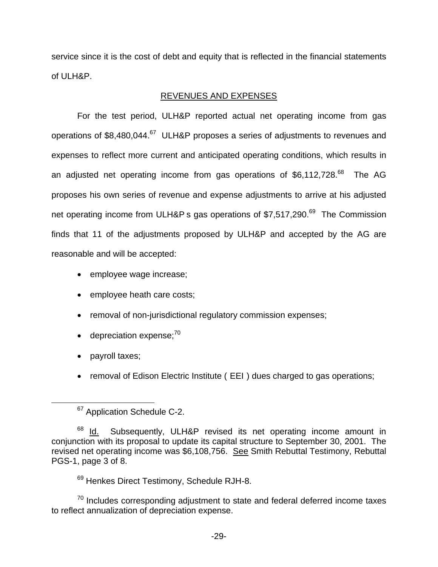service since it is the cost of debt and equity that is reflected in the financial statements of ULH&P.

## REVENUES AND EXPENSES

For the test period, ULH&P reported actual net operating income from gas operations of  $$8,480,044$ .<sup>67</sup> ULH&P proposes a series of adjustments to revenues and expenses to reflect more current and anticipated operating conditions, which results in an adjusted net operating income from gas operations of \$6,112,728.<sup>68</sup> The AG proposes his own series of revenue and expense adjustments to arrive at his adjusted net operating income from ULH&P s gas operations of \$7,517,290.<sup>69</sup> The Commission finds that 11 of the adjustments proposed by ULH&P and accepted by the AG are reasonable and will be accepted:

- employee wage increase;
- employee heath care costs;
- removal of non-jurisdictional regulatory commission expenses;
- $\bullet$  depreciation expense: $70$
- payroll taxes;
- removal of Edison Electric Institute ( EEI ) dues charged to gas operations;

<sup>69</sup> Henkes Direct Testimony, Schedule RJH-8.

 $70$  Includes corresponding adjustment to state and federal deferred income taxes to reflect annualization of depreciation expense.

<sup>&</sup>lt;sup>67</sup> Application Schedule C-2.

 $68$  Id. Subsequently, ULH&P revised its net operating income amount in conjunction with its proposal to update its capital structure to September 30, 2001. The revised net operating income was \$6,108,756. See Smith Rebuttal Testimony, Rebuttal PGS-1, page 3 of 8.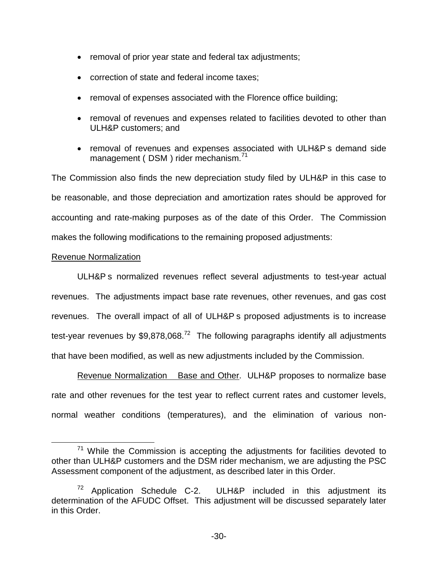- removal of prior year state and federal tax adjustments;
- correction of state and federal income taxes:
- removal of expenses associated with the Florence office building;
- removal of revenues and expenses related to facilities devoted to other than ULH&P customers; and
- removal of revenues and expenses associated with ULH&P s demand side management (DSM) rider mechanism.<sup>71</sup>

The Commission also finds the new depreciation study filed by ULH&P in this case to be reasonable, and those depreciation and amortization rates should be approved for accounting and rate-making purposes as of the date of this Order. The Commission makes the following modifications to the remaining proposed adjustments:

## Revenue Normalization

ULH&P s normalized revenues reflect several adjustments to test-year actual revenues. The adjustments impact base rate revenues, other revenues, and gas cost revenues. The overall impact of all of ULH&P s proposed adjustments is to increase test-year revenues by  $$9.878.068<sup>72</sup>$  The following paragraphs identify all adjustments that have been modified, as well as new adjustments included by the Commission.

Revenue Normalization Base and Other. ULH&P proposes to normalize base rate and other revenues for the test year to reflect current rates and customer levels, normal weather conditions (temperatures), and the elimination of various non-

 $71$  While the Commission is accepting the adjustments for facilities devoted to other than ULH&P customers and the DSM rider mechanism, we are adjusting the PSC Assessment component of the adjustment, as described later in this Order.

 $72$  Application Schedule C-2. ULH&P included in this adjustment its determination of the AFUDC Offset. This adjustment will be discussed separately later in this Order.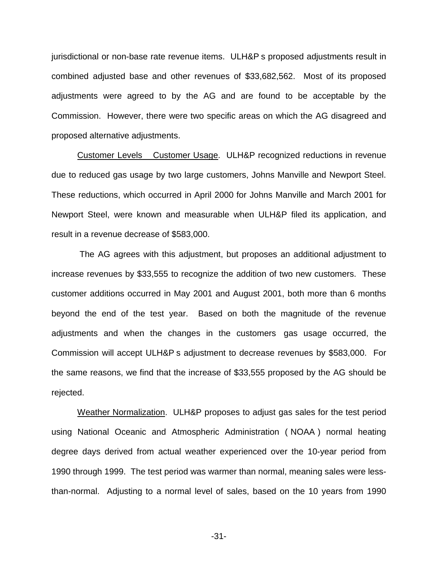jurisdictional or non-base rate revenue items. ULH&P s proposed adjustments result in combined adjusted base and other revenues of \$33,682,562. Most of its proposed adjustments were agreed to by the AG and are found to be acceptable by the Commission. However, there were two specific areas on which the AG disagreed and proposed alternative adjustments.

Customer Levels Customer Usage. ULH&P recognized reductions in revenue due to reduced gas usage by two large customers, Johns Manville and Newport Steel. These reductions, which occurred in April 2000 for Johns Manville and March 2001 for Newport Steel, were known and measurable when ULH&P filed its application, and result in a revenue decrease of \$583,000.

The AG agrees with this adjustment, but proposes an additional adjustment to increase revenues by \$33,555 to recognize the addition of two new customers. These customer additions occurred in May 2001 and August 2001, both more than 6 months beyond the end of the test year. Based on both the magnitude of the revenue adjustments and when the changes in the customers gas usage occurred, the Commission will accept ULH&P s adjustment to decrease revenues by \$583,000. For the same reasons, we find that the increase of \$33,555 proposed by the AG should be rejected.

Weather Normalization. ULH&P proposes to adjust gas sales for the test period using National Oceanic and Atmospheric Administration ( NOAA ) normal heating degree days derived from actual weather experienced over the 10-year period from 1990 through 1999. The test period was warmer than normal, meaning sales were lessthan-normal. Adjusting to a normal level of sales, based on the 10 years from 1990

-31-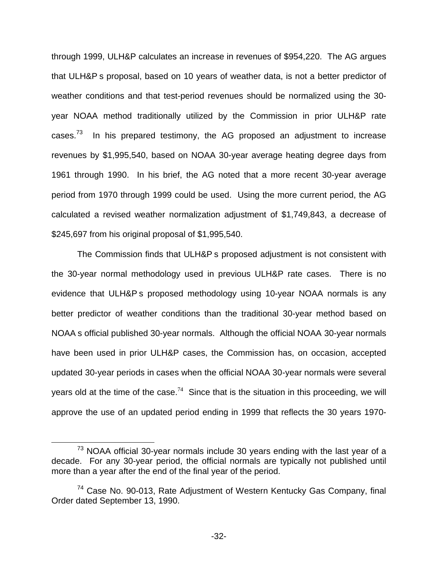through 1999, ULH&P calculates an increase in revenues of \$954,220. The AG argues that ULH&P s proposal, based on 10 years of weather data, is not a better predictor of weather conditions and that test-period revenues should be normalized using the 30 year NOAA method traditionally utilized by the Commission in prior ULH&P rate cases.<sup>73</sup> In his prepared testimony, the AG proposed an adjustment to increase revenues by \$1,995,540, based on NOAA 30-year average heating degree days from 1961 through 1990. In his brief, the AG noted that a more recent 30-year average period from 1970 through 1999 could be used. Using the more current period, the AG calculated a revised weather normalization adjustment of \$1,749,843, a decrease of \$245,697 from his original proposal of \$1,995,540.

The Commission finds that ULH&P s proposed adjustment is not consistent with the 30-year normal methodology used in previous ULH&P rate cases. There is no evidence that ULH&P s proposed methodology using 10-year NOAA normals is any better predictor of weather conditions than the traditional 30-year method based on NOAA s official published 30-year normals. Although the official NOAA 30-year normals have been used in prior ULH&P cases, the Commission has, on occasion, accepted updated 30-year periods in cases when the official NOAA 30-year normals were several years old at the time of the case.<sup>74</sup> Since that is the situation in this proceeding, we will approve the use of an updated period ending in 1999 that reflects the 30 years 1970-

 $73$  NOAA official 30-year normals include 30 years ending with the last year of a decade. For any 30-year period, the official normals are typically not published until more than a year after the end of the final year of the period.

<sup>&</sup>lt;sup>74</sup> Case No. 90-013, Rate Adjustment of Western Kentucky Gas Company, final Order dated September 13, 1990.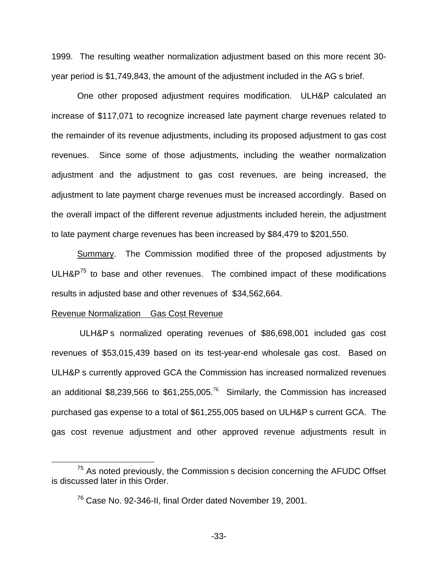1999. The resulting weather normalization adjustment based on this more recent 30 year period is \$1,749,843, the amount of the adjustment included in the AG s brief.

One other proposed adjustment requires modification. ULH&P calculated an increase of \$117,071 to recognize increased late payment charge revenues related to the remainder of its revenue adjustments, including its proposed adjustment to gas cost revenues. Since some of those adjustments, including the weather normalization adjustment and the adjustment to gas cost revenues, are being increased, the adjustment to late payment charge revenues must be increased accordingly. Based on the overall impact of the different revenue adjustments included herein, the adjustment to late payment charge revenues has been increased by \$84,479 to \$201,550.

Summary. The Commission modified three of the proposed adjustments by  $ULH\&P^{75}$  to base and other revenues. The combined impact of these modifications results in adjusted base and other revenues of \$34,562,664.

#### Revenue Normalization Gas Cost Revenue

ULH&P s normalized operating revenues of \$86,698,001 included gas cost revenues of \$53,015,439 based on its test-year-end wholesale gas cost. Based on ULH&P s currently approved GCA the Commission has increased normalized revenues an additional \$8,239,566 to \$61,255,005.<sup>76</sup> Similarly, the Commission has increased purchased gas expense to a total of \$61,255,005 based on ULH&P s current GCA. The gas cost revenue adjustment and other approved revenue adjustments result in

 $75$  As noted previously, the Commission s decision concerning the AFUDC Offset is discussed later in this Order.

 $^{76}$  Case No. 92-346-II, final Order dated November 19, 2001.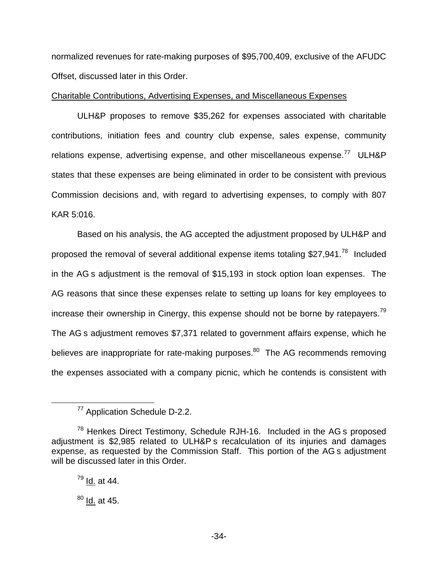normalized revenues for rate-making purposes of \$95,700,409, exclusive of the AFUDC Offset, discussed later in this Order.

# Charitable Contributions, Advertising Expenses, and Miscellaneous Expenses

ULH&P proposes to remove \$35,262 for expenses associated with charitable contributions, initiation fees and country club expense, sales expense, community relations expense, advertising expense, and other miscellaneous expense.<sup>77</sup> ULH&P states that these expenses are being eliminated in order to be consistent with previous Commission decisions and, with regard to advertising expenses, to comply with 807 KAR 5:016.

Based on his analysis, the AG accepted the adjustment proposed by ULH&P and proposed the removal of several additional expense items totaling \$27,941.<sup>78</sup> Included in the AG s adjustment is the removal of \$15,193 in stock option loan expenses. The AG reasons that since these expenses relate to setting up loans for key employees to increase their ownership in Cinergy, this expense should not be borne by ratepayers.<sup>79</sup> The AG s adjustment removes \$7,371 related to government affairs expense, which he believes are inappropriate for rate-making purposes. $80$  The AG recommends removing the expenses associated with a company picnic, which he contends is consistent with

<sup>77</sup> Application Schedule D-2.2.

 $78$  Henkes Direct Testimony, Schedule RJH-16. Included in the AG s proposed adjustment is \$2,985 related to ULH&P s recalculation of its injuries and damages expense, as requested by the Commission Staff. This portion of the AG s adjustment will be discussed later in this Order.

 $79$  Id. at 44.

 $^{80}$  Id. at 45.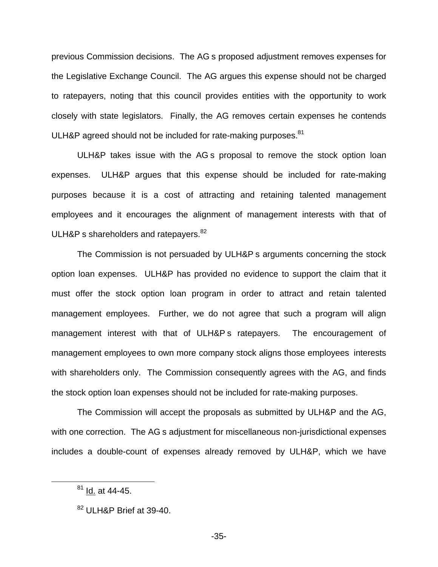previous Commission decisions. The AG s proposed adjustment removes expenses for the Legislative Exchange Council. The AG argues this expense should not be charged to ratepayers, noting that this council provides entities with the opportunity to work closely with state legislators. Finally, the AG removes certain expenses he contends ULH&P agreed should not be included for rate-making purposes.<sup>81</sup>

ULH&P takes issue with the AG s proposal to remove the stock option loan expenses. ULH&P argues that this expense should be included for rate-making purposes because it is a cost of attracting and retaining talented management employees and it encourages the alignment of management interests with that of ULH&P s shareholders and ratepayers. $82$ 

The Commission is not persuaded by ULH&P s arguments concerning the stock option loan expenses. ULH&P has provided no evidence to support the claim that it must offer the stock option loan program in order to attract and retain talented management employees. Further, we do not agree that such a program will align management interest with that of ULH&P s ratepayers. The encouragement of management employees to own more company stock aligns those employees interests with shareholders only. The Commission consequently agrees with the AG, and finds the stock option loan expenses should not be included for rate-making purposes.

The Commission will accept the proposals as submitted by ULH&P and the AG, with one correction. The AG s adjustment for miscellaneous non-jurisdictional expenses includes a double-count of expenses already removed by ULH&P, which we have

 $81$  Id. at 44-45.

<sup>82</sup> ULH&P Brief at 39-40.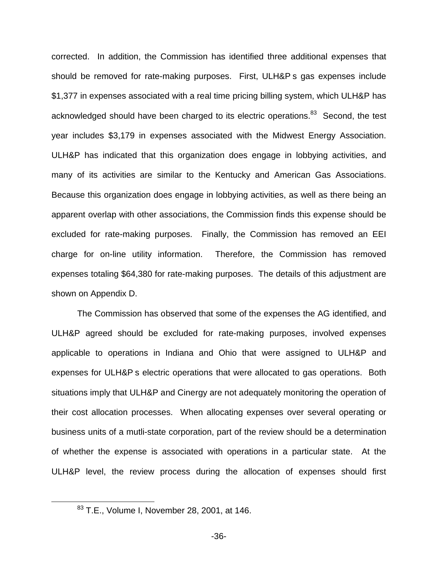corrected. In addition, the Commission has identified three additional expenses that should be removed for rate-making purposes. First, ULH&P s gas expenses include \$1,377 in expenses associated with a real time pricing billing system, which ULH&P has acknowledged should have been charged to its electric operations.<sup>83</sup> Second, the test year includes \$3,179 in expenses associated with the Midwest Energy Association. ULH&P has indicated that this organization does engage in lobbying activities, and many of its activities are similar to the Kentucky and American Gas Associations. Because this organization does engage in lobbying activities, as well as there being an apparent overlap with other associations, the Commission finds this expense should be excluded for rate-making purposes. Finally, the Commission has removed an EEI charge for on-line utility information. Therefore, the Commission has removed expenses totaling \$64,380 for rate-making purposes. The details of this adjustment are shown on Appendix D.

The Commission has observed that some of the expenses the AG identified, and ULH&P agreed should be excluded for rate-making purposes, involved expenses applicable to operations in Indiana and Ohio that were assigned to ULH&P and expenses for ULH&P s electric operations that were allocated to gas operations. Both situations imply that ULH&P and Cinergy are not adequately monitoring the operation of their cost allocation processes. When allocating expenses over several operating or business units of a mutli-state corporation, part of the review should be a determination of whether the expense is associated with operations in a particular state. At the ULH&P level, the review process during the allocation of expenses should first

<sup>83</sup> T.E., Volume I, November 28, 2001, at 146.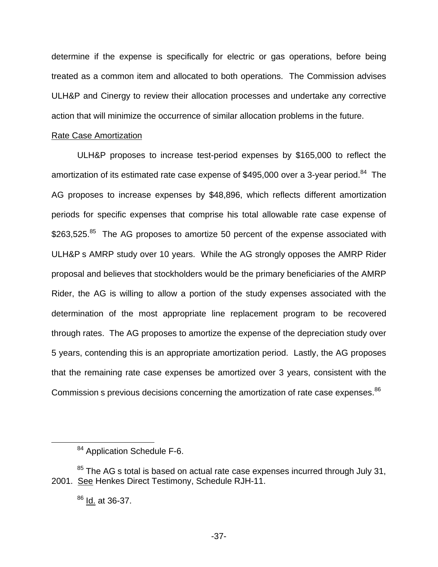determine if the expense is specifically for electric or gas operations, before being treated as a common item and allocated to both operations. The Commission advises ULH&P and Cinergy to review their allocation processes and undertake any corrective action that will minimize the occurrence of similar allocation problems in the future.

## Rate Case Amortization

ULH&P proposes to increase test-period expenses by \$165,000 to reflect the amortization of its estimated rate case expense of \$495,000 over a 3-year period.<sup>84</sup> The AG proposes to increase expenses by \$48,896, which reflects different amortization periods for specific expenses that comprise his total allowable rate case expense of \$263,525.<sup>85</sup> The AG proposes to amortize 50 percent of the expense associated with ULH&P s AMRP study over 10 years. While the AG strongly opposes the AMRP Rider proposal and believes that stockholders would be the primary beneficiaries of the AMRP Rider, the AG is willing to allow a portion of the study expenses associated with the determination of the most appropriate line replacement program to be recovered through rates. The AG proposes to amortize the expense of the depreciation study over 5 years, contending this is an appropriate amortization period. Lastly, the AG proposes that the remaining rate case expenses be amortized over 3 years, consistent with the Commission s previous decisions concerning the amortization of rate case expenses.<sup>86</sup>

<sup>&</sup>lt;sup>84</sup> Application Schedule F-6.

 $85$  The AG s total is based on actual rate case expenses incurred through July 31, 2001. See Henkes Direct Testimony, Schedule RJH-11.

<sup>&</sup>lt;sup>86</sup> Id. at 36-37.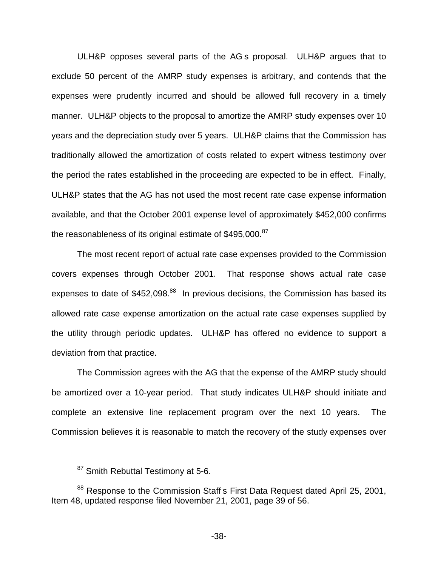ULH&P opposes several parts of the AG s proposal. ULH&P argues that to exclude 50 percent of the AMRP study expenses is arbitrary, and contends that the expenses were prudently incurred and should be allowed full recovery in a timely manner. ULH&P objects to the proposal to amortize the AMRP study expenses over 10 years and the depreciation study over 5 years. ULH&P claims that the Commission has traditionally allowed the amortization of costs related to expert witness testimony over the period the rates established in the proceeding are expected to be in effect. Finally, ULH&P states that the AG has not used the most recent rate case expense information available, and that the October 2001 expense level of approximately \$452,000 confirms the reasonableness of its original estimate of \$495,000.<sup>87</sup>

The most recent report of actual rate case expenses provided to the Commission covers expenses through October 2001. That response shows actual rate case expenses to date of  $$452,098$ .<sup>88</sup> In previous decisions, the Commission has based its allowed rate case expense amortization on the actual rate case expenses supplied by the utility through periodic updates. ULH&P has offered no evidence to support a deviation from that practice.

The Commission agrees with the AG that the expense of the AMRP study should be amortized over a 10-year period. That study indicates ULH&P should initiate and complete an extensive line replacement program over the next 10 years. The Commission believes it is reasonable to match the recovery of the study expenses over

<sup>&</sup>lt;sup>87</sup> Smith Rebuttal Testimony at 5-6.

<sup>&</sup>lt;sup>88</sup> Response to the Commission Staff s First Data Request dated April 25, 2001, Item 48, updated response filed November 21, 2001, page 39 of 56.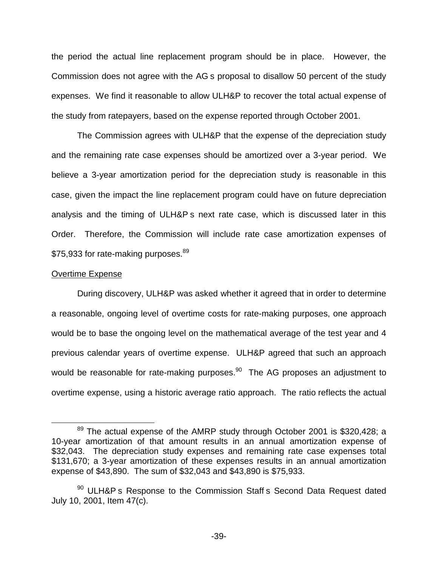the period the actual line replacement program should be in place. However, the Commission does not agree with the AG s proposal to disallow 50 percent of the study expenses. We find it reasonable to allow ULH&P to recover the total actual expense of the study from ratepayers, based on the expense reported through October 2001.

The Commission agrees with ULH&P that the expense of the depreciation study and the remaining rate case expenses should be amortized over a 3-year period. We believe a 3-year amortization period for the depreciation study is reasonable in this case, given the impact the line replacement program could have on future depreciation analysis and the timing of ULH&P s next rate case, which is discussed later in this Order. Therefore, the Commission will include rate case amortization expenses of \$75,933 for rate-making purposes.<sup>89</sup>

#### Overtime Expense

During discovery, ULH&P was asked whether it agreed that in order to determine a reasonable, ongoing level of overtime costs for rate-making purposes, one approach would be to base the ongoing level on the mathematical average of the test year and 4 previous calendar years of overtime expense. ULH&P agreed that such an approach would be reasonable for rate-making purposes.<sup>90</sup> The AG proposes an adjustment to overtime expense, using a historic average ratio approach. The ratio reflects the actual

 $89$  The actual expense of the AMRP study through October 2001 is \$320,428; a 10-year amortization of that amount results in an annual amortization expense of \$32,043. The depreciation study expenses and remaining rate case expenses total \$131,670; a 3-year amortization of these expenses results in an annual amortization expense of \$43,890. The sum of \$32,043 and \$43,890 is \$75,933.

<sup>&</sup>lt;sup>90</sup> ULH&P s Response to the Commission Staff s Second Data Request dated July 10, 2001, Item 47(c).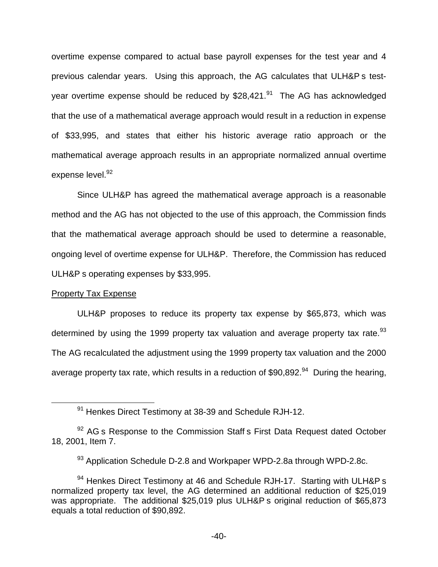overtime expense compared to actual base payroll expenses for the test year and 4 previous calendar years. Using this approach, the AG calculates that ULH&P s testyear overtime expense should be reduced by  $$28,421.<sup>91</sup>$  The AG has acknowledged that the use of a mathematical average approach would result in a reduction in expense of \$33,995, and states that either his historic average ratio approach or the mathematical average approach results in an appropriate normalized annual overtime expense level. 92

Since ULH&P has agreed the mathematical average approach is a reasonable method and the AG has not objected to the use of this approach, the Commission finds that the mathematical average approach should be used to determine a reasonable, ongoing level of overtime expense for ULH&P. Therefore, the Commission has reduced ULH&P s operating expenses by \$33,995.

## Property Tax Expense

ULH&P proposes to reduce its property tax expense by \$65,873, which was determined by using the 1999 property tax valuation and average property tax rate.<sup>93</sup> The AG recalculated the adjustment using the 1999 property tax valuation and the 2000 average property tax rate, which results in a reduction of \$90,892.<sup>94</sup> During the hearing,

<sup>91</sup> Henkes Direct Testimony at 38-39 and Schedule RJH-12.

 $92$  AG s Response to the Commission Staff s First Data Request dated October 18, 2001, Item 7.

<sup>93</sup> Application Schedule D-2.8 and Workpaper WPD-2.8a through WPD-2.8c.

 $94$  Henkes Direct Testimony at 46 and Schedule RJH-17. Starting with ULH&P s normalized property tax level, the AG determined an additional reduction of \$25,019 was appropriate. The additional \$25,019 plus ULH&P s original reduction of \$65,873 equals a total reduction of \$90,892.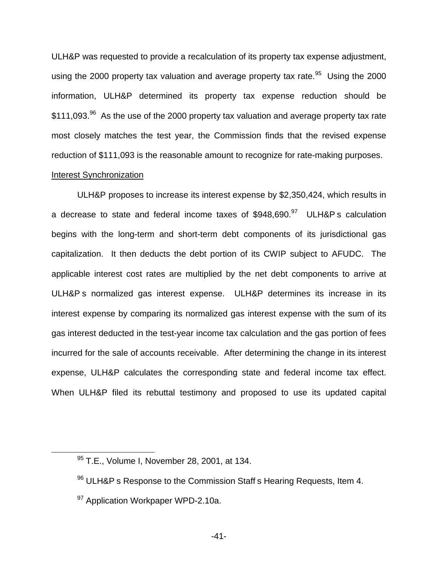ULH&P was requested to provide a recalculation of its property tax expense adjustment, using the 2000 property tax valuation and average property tax rate.<sup>95</sup> Using the 2000 information, ULH&P determined its property tax expense reduction should be \$111,093.<sup>96</sup> As the use of the 2000 property tax valuation and average property tax rate most closely matches the test year, the Commission finds that the revised expense reduction of \$111,093 is the reasonable amount to recognize for rate-making purposes.

## Interest Synchronization

ULH&P proposes to increase its interest expense by \$2,350,424, which results in a decrease to state and federal income taxes of  $$948,690.<sup>97</sup>$  ULH&P s calculation begins with the long-term and short-term debt components of its jurisdictional gas capitalization. It then deducts the debt portion of its CWIP subject to AFUDC. The applicable interest cost rates are multiplied by the net debt components to arrive at ULH&P s normalized gas interest expense. ULH&P determines its increase in its interest expense by comparing its normalized gas interest expense with the sum of its gas interest deducted in the test-year income tax calculation and the gas portion of fees incurred for the sale of accounts receivable. After determining the change in its interest expense, ULH&P calculates the corresponding state and federal income tax effect. When ULH&P filed its rebuttal testimony and proposed to use its updated capital

<sup>95</sup> T.E., Volume I, November 28, 2001, at 134.

<sup>96</sup> ULH&P s Response to the Commission Staff s Hearing Requests, Item 4.

<sup>&</sup>lt;sup>97</sup> Application Workpaper WPD-2.10a.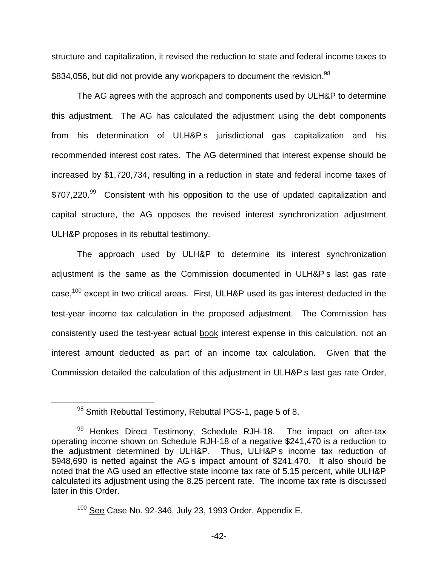structure and capitalization, it revised the reduction to state and federal income taxes to \$834,056, but did not provide any workpapers to document the revision.<sup>98</sup>

The AG agrees with the approach and components used by ULH&P to determine this adjustment. The AG has calculated the adjustment using the debt components from his determination of ULH&P s jurisdictional gas capitalization and his recommended interest cost rates. The AG determined that interest expense should be increased by \$1,720,734, resulting in a reduction in state and federal income taxes of \$707,220.<sup>99</sup> Consistent with his opposition to the use of updated capitalization and capital structure, the AG opposes the revised interest synchronization adjustment ULH&P proposes in its rebuttal testimony.

The approach used by ULH&P to determine its interest synchronization adjustment is the same as the Commission documented in ULH&P s last gas rate case,<sup>100</sup> except in two critical areas. First, ULH&P used its gas interest deducted in the test-year income tax calculation in the proposed adjustment. The Commission has consistently used the test-year actual book interest expense in this calculation, not an interest amount deducted as part of an income tax calculation. Given that the Commission detailed the calculation of this adjustment in ULH&P s last gas rate Order,

<sup>98</sup> Smith Rebuttal Testimony, Rebuttal PGS-1, page 5 of 8.

<sup>99</sup> Henkes Direct Testimony, Schedule RJH-18. The impact on after-tax operating income shown on Schedule RJH-18 of a negative \$241,470 is a reduction to the adjustment determined by ULH&P. Thus, ULH&P s income tax reduction of \$948,690 is netted against the AG s impact amount of \$241,470. It also should be noted that the AG used an effective state income tax rate of 5.15 percent, while ULH&P calculated its adjustment using the 8.25 percent rate. The income tax rate is discussed later in this Order.

<sup>&</sup>lt;sup>100</sup> See Case No. 92-346, July 23, 1993 Order, Appendix E.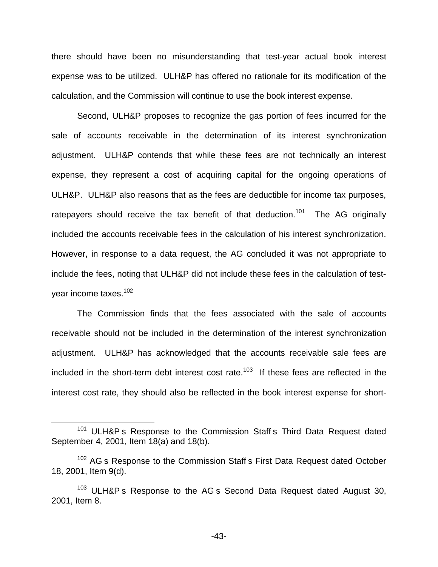there should have been no misunderstanding that test-year actual book interest expense was to be utilized. ULH&P has offered no rationale for its modification of the calculation, and the Commission will continue to use the book interest expense.

Second, ULH&P proposes to recognize the gas portion of fees incurred for the sale of accounts receivable in the determination of its interest synchronization adjustment. ULH&P contends that while these fees are not technically an interest expense, they represent a cost of acquiring capital for the ongoing operations of ULH&P. ULH&P also reasons that as the fees are deductible for income tax purposes, ratepayers should receive the tax benefit of that deduction.<sup>101</sup> The AG originally included the accounts receivable fees in the calculation of his interest synchronization. However, in response to a data request, the AG concluded it was not appropriate to include the fees, noting that ULH&P did not include these fees in the calculation of testyear income taxes.102

The Commission finds that the fees associated with the sale of accounts receivable should not be included in the determination of the interest synchronization adjustment. ULH&P has acknowledged that the accounts receivable sale fees are included in the short-term debt interest cost rate.<sup>103</sup> If these fees are reflected in the interest cost rate, they should also be reflected in the book interest expense for short-

<sup>&</sup>lt;sup>101</sup> ULH&P s Response to the Commission Staff s Third Data Request dated September 4, 2001, Item 18(a) and 18(b).

<sup>&</sup>lt;sup>102</sup> AG s Response to the Commission Staff s First Data Request dated October 18, 2001, Item 9(d).

<sup>&</sup>lt;sup>103</sup> ULH&P s Response to the AG s Second Data Request dated August 30, 2001, Item 8.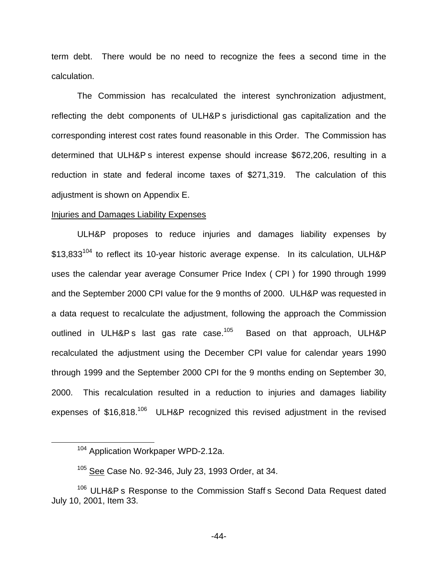term debt. There would be no need to recognize the fees a second time in the calculation.

The Commission has recalculated the interest synchronization adjustment, reflecting the debt components of ULH&P s jurisdictional gas capitalization and the corresponding interest cost rates found reasonable in this Order. The Commission has determined that ULH&P s interest expense should increase \$672,206, resulting in a reduction in state and federal income taxes of \$271,319. The calculation of this adjustment is shown on Appendix E.

#### Injuries and Damages Liability Expenses

ULH&P proposes to reduce injuries and damages liability expenses by \$13,833<sup>104</sup> to reflect its 10-year historic average expense. In its calculation, ULH&P uses the calendar year average Consumer Price Index ( CPI ) for 1990 through 1999 and the September 2000 CPI value for the 9 months of 2000. ULH&P was requested in a data request to recalculate the adjustment, following the approach the Commission outlined in ULH&P s last gas rate case.<sup>105</sup> Based on that approach, ULH&P recalculated the adjustment using the December CPI value for calendar years 1990 through 1999 and the September 2000 CPI for the 9 months ending on September 30, 2000. This recalculation resulted in a reduction to injuries and damages liability expenses of  $$16,818$ <sup>106</sup> ULH&P recognized this revised adjustment in the revised

<sup>&</sup>lt;sup>104</sup> Application Workpaper WPD-2.12a.

<sup>&</sup>lt;sup>105</sup> See Case No. 92-346, July 23, 1993 Order, at 34.

<sup>&</sup>lt;sup>106</sup> ULH&P s Response to the Commission Staff s Second Data Request dated July 10, 2001, Item 33.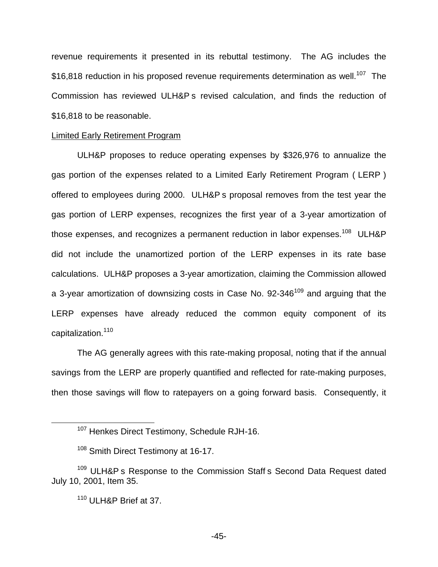revenue requirements it presented in its rebuttal testimony. The AG includes the  $$16,818$  reduction in his proposed revenue requirements determination as well.<sup>107</sup> The Commission has reviewed ULH&P s revised calculation, and finds the reduction of \$16,818 to be reasonable.

#### Limited Early Retirement Program

ULH&P proposes to reduce operating expenses by \$326,976 to annualize the gas portion of the expenses related to a Limited Early Retirement Program ( LERP ) offered to employees during 2000. ULH&P s proposal removes from the test year the gas portion of LERP expenses, recognizes the first year of a 3-year amortization of those expenses, and recognizes a permanent reduction in labor expenses.<sup>108</sup> ULH&P did not include the unamortized portion of the LERP expenses in its rate base calculations. ULH&P proposes a 3-year amortization, claiming the Commission allowed a 3-year amortization of downsizing costs in Case No.  $92-346^{109}$  and arguing that the LERP expenses have already reduced the common equity component of its capitalization.<sup>110</sup>

The AG generally agrees with this rate-making proposal, noting that if the annual savings from the LERP are properly quantified and reflected for rate-making purposes, then those savings will flow to ratepayers on a going forward basis. Consequently, it

<sup>&</sup>lt;sup>107</sup> Henkes Direct Testimony, Schedule RJH-16.

<sup>&</sup>lt;sup>108</sup> Smith Direct Testimony at 16-17.

<sup>&</sup>lt;sup>109</sup> ULH&P s Response to the Commission Staff s Second Data Request dated July 10, 2001, Item 35.

<sup>110</sup> ULH&P Brief at 37.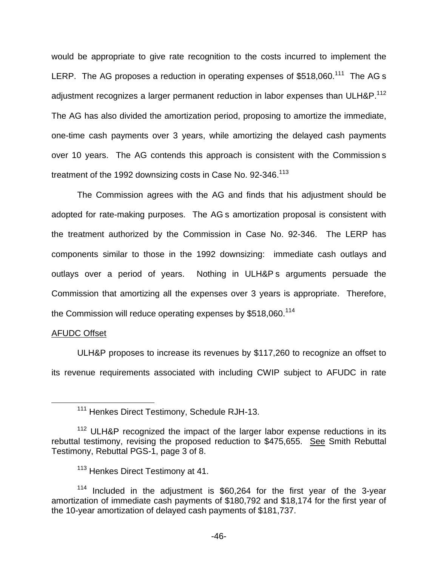would be appropriate to give rate recognition to the costs incurred to implement the LERP. The AG proposes a reduction in operating expenses of \$518,060.<sup>111</sup> The AG s adjustment recognizes a larger permanent reduction in labor expenses than ULH&P.<sup>112</sup> The AG has also divided the amortization period, proposing to amortize the immediate, one-time cash payments over 3 years, while amortizing the delayed cash payments over 10 years. The AG contends this approach is consistent with the Commission s treatment of the 1992 downsizing costs in Case No. 92-346.<sup>113</sup>

The Commission agrees with the AG and finds that his adjustment should be adopted for rate-making purposes. The AG s amortization proposal is consistent with the treatment authorized by the Commission in Case No. 92-346. The LERP has components similar to those in the 1992 downsizing: immediate cash outlays and outlays over a period of years. Nothing in ULH&P s arguments persuade the Commission that amortizing all the expenses over 3 years is appropriate. Therefore, the Commission will reduce operating expenses by \$518,060.<sup>114</sup>

## AFUDC Offset

ULH&P proposes to increase its revenues by \$117,260 to recognize an offset to its revenue requirements associated with including CWIP subject to AFUDC in rate

<sup>&</sup>lt;sup>111</sup> Henkes Direct Testimony, Schedule RJH-13.

<sup>&</sup>lt;sup>112</sup> ULH&P recognized the impact of the larger labor expense reductions in its rebuttal testimony, revising the proposed reduction to \$475,655. See Smith Rebuttal Testimony, Rebuttal PGS-1, page 3 of 8.

<sup>&</sup>lt;sup>113</sup> Henkes Direct Testimony at 41.

<sup>114</sup> Included in the adjustment is \$60,264 for the first year of the 3-year amortization of immediate cash payments of \$180,792 and \$18,174 for the first year of the 10-year amortization of delayed cash payments of \$181,737.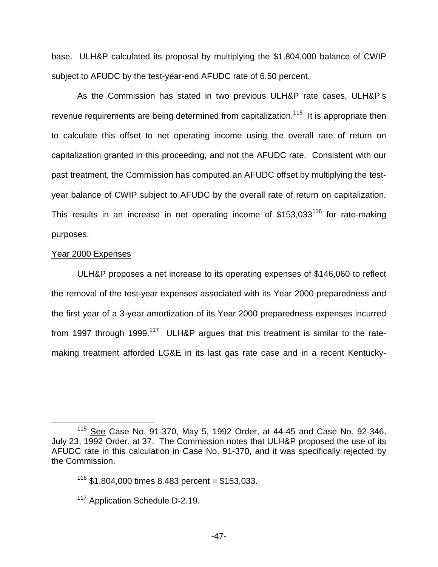base. ULH&P calculated its proposal by multiplying the \$1,804,000 balance of CWIP subject to AFUDC by the test-year-end AFUDC rate of 6.50 percent.

As the Commission has stated in two previous ULH&P rate cases, ULH&P s revenue requirements are being determined from capitalization.<sup>115</sup> It is appropriate then to calculate this offset to net operating income using the overall rate of return on capitalization granted in this proceeding, and not the AFUDC rate. Consistent with our past treatment, the Commission has computed an AFUDC offset by multiplying the testyear balance of CWIP subject to AFUDC by the overall rate of return on capitalization. This results in an increase in net operating income of  $$153,033<sup>116</sup>$  for rate-making purposes.

#### Year 2000 Expenses

ULH&P proposes a net increase to its operating expenses of \$146,060 to reflect the removal of the test-year expenses associated with its Year 2000 preparedness and the first year of a 3-year amortization of its Year 2000 preparedness expenses incurred from 1997 through 1999.<sup>117</sup> ULH&P argues that this treatment is similar to the ratemaking treatment afforded LG&E in its last gas rate case and in a recent Kentucky-

<sup>115</sup> See Case No. 91-370, May 5, 1992 Order, at 44-45 and Case No. 92-346, July 23, 1992 Order, at 37. The Commission notes that ULH&P proposed the use of its AFUDC rate in this calculation in Case No. 91-370, and it was specifically rejected by the Commission.

 $116$  \$1,804,000 times 8.483 percent = \$153,033.

<sup>&</sup>lt;sup>117</sup> Application Schedule D-2.19.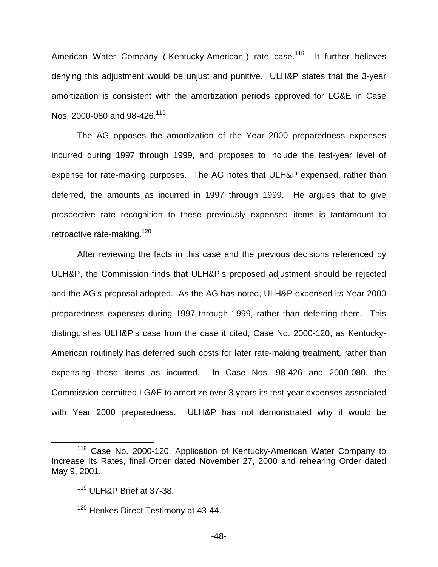American Water Company (Kentucky-American) rate case.<sup>118</sup> It further believes denying this adjustment would be unjust and punitive. ULH&P states that the 3-year amortization is consistent with the amortization periods approved for LG&E in Case Nos. 2000-080 and 98-426.<sup>119</sup>

The AG opposes the amortization of the Year 2000 preparedness expenses incurred during 1997 through 1999, and proposes to include the test-year level of expense for rate-making purposes. The AG notes that ULH&P expensed, rather than deferred, the amounts as incurred in 1997 through 1999. He argues that to give prospective rate recognition to these previously expensed items is tantamount to retroactive rate-making.<sup>120</sup>

After reviewing the facts in this case and the previous decisions referenced by ULH&P, the Commission finds that ULH&P s proposed adjustment should be rejected and the AG s proposal adopted. As the AG has noted, ULH&P expensed its Year 2000 preparedness expenses during 1997 through 1999, rather than deferring them. This distinguishes ULH&P s case from the case it cited, Case No. 2000-120, as Kentucky-American routinely has deferred such costs for later rate-making treatment, rather than expensing those items as incurred. In Case Nos. 98-426 and 2000-080, the Commission permitted LG&E to amortize over 3 years its test-year expenses associated with Year 2000 preparedness. ULH&P has not demonstrated why it would be

<sup>118</sup> Case No. 2000-120, Application of Kentucky-American Water Company to Increase Its Rates, final Order dated November 27, 2000 and rehearing Order dated May 9, 2001.

<sup>119</sup> ULH&P Brief at 37-38.

<sup>&</sup>lt;sup>120</sup> Henkes Direct Testimony at 43-44.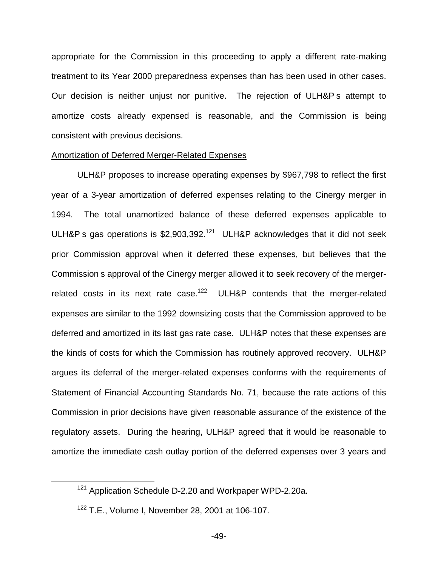appropriate for the Commission in this proceeding to apply a different rate-making treatment to its Year 2000 preparedness expenses than has been used in other cases. Our decision is neither unjust nor punitive. The rejection of ULH&P s attempt to amortize costs already expensed is reasonable, and the Commission is being consistent with previous decisions.

#### Amortization of Deferred Merger-Related Expenses

ULH&P proposes to increase operating expenses by \$967,798 to reflect the first year of a 3-year amortization of deferred expenses relating to the Cinergy merger in 1994. The total unamortized balance of these deferred expenses applicable to ULH&P s gas operations is  $$2,903,392.<sup>121</sup>$  ULH&P acknowledges that it did not seek prior Commission approval when it deferred these expenses, but believes that the Commission s approval of the Cinergy merger allowed it to seek recovery of the mergerrelated costs in its next rate case.<sup>122</sup> ULH&P contends that the merger-related expenses are similar to the 1992 downsizing costs that the Commission approved to be deferred and amortized in its last gas rate case. ULH&P notes that these expenses are the kinds of costs for which the Commission has routinely approved recovery. ULH&P argues its deferral of the merger-related expenses conforms with the requirements of Statement of Financial Accounting Standards No. 71, because the rate actions of this Commission in prior decisions have given reasonable assurance of the existence of the regulatory assets. During the hearing, ULH&P agreed that it would be reasonable to amortize the immediate cash outlay portion of the deferred expenses over 3 years and

<sup>&</sup>lt;sup>121</sup> Application Schedule D-2.20 and Workpaper WPD-2.20a.

<sup>122</sup> T.E., Volume I, November 28, 2001 at 106-107.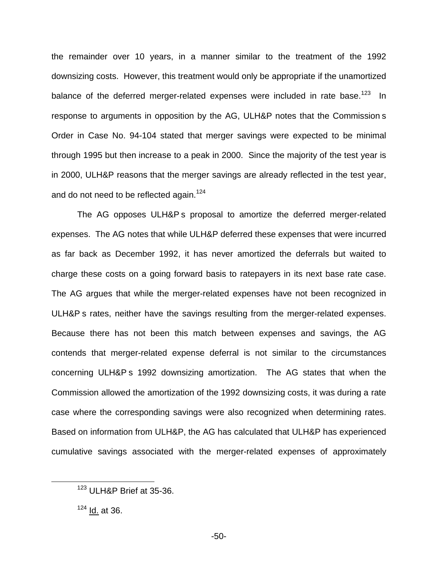the remainder over 10 years, in a manner similar to the treatment of the 1992 downsizing costs. However, this treatment would only be appropriate if the unamortized balance of the deferred merger-related expenses were included in rate base.<sup>123</sup> In response to arguments in opposition by the AG, ULH&P notes that the Commission s Order in Case No. 94-104 stated that merger savings were expected to be minimal through 1995 but then increase to a peak in 2000. Since the majority of the test year is in 2000, ULH&P reasons that the merger savings are already reflected in the test year, and do not need to be reflected again.<sup>124</sup>

The AG opposes ULH&P s proposal to amortize the deferred merger-related expenses. The AG notes that while ULH&P deferred these expenses that were incurred as far back as December 1992, it has never amortized the deferrals but waited to charge these costs on a going forward basis to ratepayers in its next base rate case. The AG argues that while the merger-related expenses have not been recognized in ULH&P s rates, neither have the savings resulting from the merger-related expenses. Because there has not been this match between expenses and savings, the AG contends that merger-related expense deferral is not similar to the circumstances concerning ULH&P s 1992 downsizing amortization. The AG states that when the Commission allowed the amortization of the 1992 downsizing costs, it was during a rate case where the corresponding savings were also recognized when determining rates. Based on information from ULH&P, the AG has calculated that ULH&P has experienced cumulative savings associated with the merger-related expenses of approximately

<sup>123</sup> ULH&P Brief at 35-36.

 $124$  <u>Id.</u> at 36.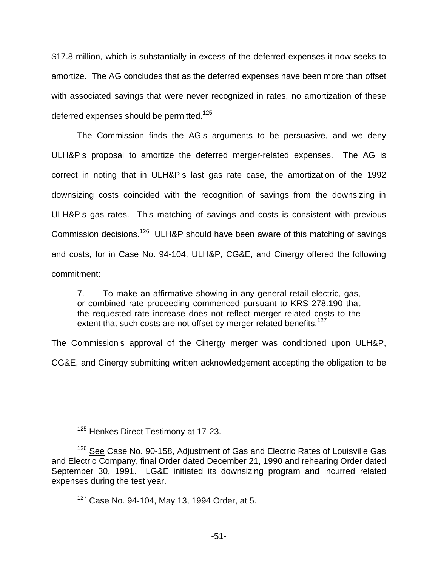\$17.8 million, which is substantially in excess of the deferred expenses it now seeks to amortize. The AG concludes that as the deferred expenses have been more than offset with associated savings that were never recognized in rates, no amortization of these deferred expenses should be permitted.<sup>125</sup>

The Commission finds the AG s arguments to be persuasive, and we deny ULH&P s proposal to amortize the deferred merger-related expenses. The AG is correct in noting that in ULH&P s last gas rate case, the amortization of the 1992 downsizing costs coincided with the recognition of savings from the downsizing in ULH&P s gas rates. This matching of savings and costs is consistent with previous Commission decisions.126 ULH&P should have been aware of this matching of savings and costs, for in Case No. 94-104, ULH&P, CG&E, and Cinergy offered the following commitment:

7. To make an affirmative showing in any general retail electric, gas, or combined rate proceeding commenced pursuant to KRS 278.190 that the requested rate increase does not reflect merger related costs to the extent that such costs are not offset by merger related benefits.<sup>127</sup>

The Commission s approval of the Cinergy merger was conditioned upon ULH&P,

CG&E, and Cinergy submitting written acknowledgement accepting the obligation to be

<sup>&</sup>lt;sup>125</sup> Henkes Direct Testimony at 17-23.

<sup>&</sup>lt;sup>126</sup> See Case No. 90-158, Adjustment of Gas and Electric Rates of Louisville Gas and Electric Company, final Order dated December 21, 1990 and rehearing Order dated September 30, 1991. LG&E initiated its downsizing program and incurred related expenses during the test year.

 $127$  Case No. 94-104. May 13, 1994 Order, at 5.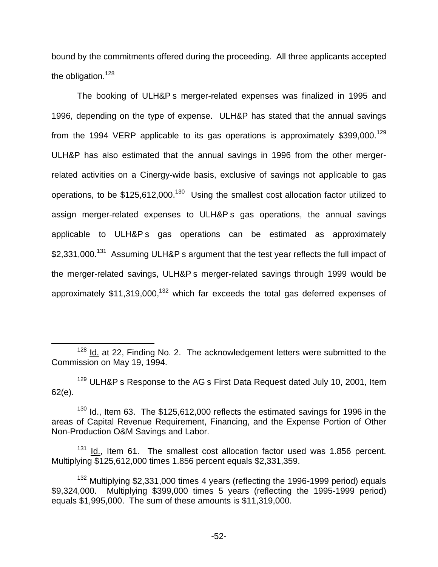bound by the commitments offered during the proceeding. All three applicants accepted the obligation.<sup>128</sup>

The booking of ULH&P s merger-related expenses was finalized in 1995 and 1996, depending on the type of expense. ULH&P has stated that the annual savings from the 1994 VERP applicable to its gas operations is approximately \$399,000.<sup>129</sup> ULH&P has also estimated that the annual savings in 1996 from the other mergerrelated activities on a Cinergy-wide basis, exclusive of savings not applicable to gas operations, to be \$125,612,000.<sup>130</sup> Using the smallest cost allocation factor utilized to assign merger-related expenses to ULH&P s gas operations, the annual savings applicable to ULH&P s gas operations can be estimated as approximately \$2,331,000.<sup>131</sup> Assuming ULH&P s argument that the test year reflects the full impact of the merger-related savings, ULH&P s merger-related savings through 1999 would be approximately  $$11,319,000$ ,<sup>132</sup> which far exceeds the total gas deferred expenses of

 $128$  Id. at 22, Finding No. 2. The acknowledgement letters were submitted to the Commission on May 19, 1994.

<sup>&</sup>lt;sup>129</sup> ULH&P s Response to the AG s First Data Request dated July 10, 2001, Item 62(e).

 $130$  Id., Item 63. The \$125,612,000 reflects the estimated savings for 1996 in the areas of Capital Revenue Requirement, Financing, and the Expense Portion of Other Non-Production O&M Savings and Labor.

 $131$  Id., Item 61. The smallest cost allocation factor used was 1.856 percent. Multiplying \$125,612,000 times 1.856 percent equals \$2,331,359.

<sup>&</sup>lt;sup>132</sup> Multiplying \$2,331,000 times 4 years (reflecting the 1996-1999 period) equals \$9,324,000. Multiplying \$399,000 times 5 years (reflecting the 1995-1999 period) equals \$1,995,000. The sum of these amounts is \$11,319,000.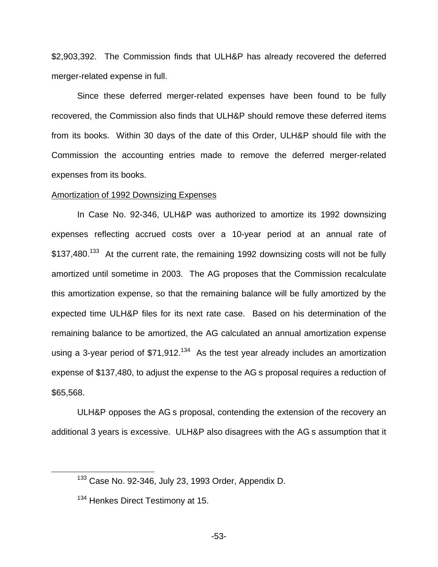\$2,903,392. The Commission finds that ULH&P has already recovered the deferred merger-related expense in full.

Since these deferred merger-related expenses have been found to be fully recovered, the Commission also finds that ULH&P should remove these deferred items from its books. Within 30 days of the date of this Order, ULH&P should file with the Commission the accounting entries made to remove the deferred merger-related expenses from its books.

#### Amortization of 1992 Downsizing Expenses

In Case No. 92-346, ULH&P was authorized to amortize its 1992 downsizing expenses reflecting accrued costs over a 10-year period at an annual rate of \$137,480.<sup>133</sup> At the current rate, the remaining 1992 downsizing costs will not be fully amortized until sometime in 2003. The AG proposes that the Commission recalculate this amortization expense, so that the remaining balance will be fully amortized by the expected time ULH&P files for its next rate case. Based on his determination of the remaining balance to be amortized, the AG calculated an annual amortization expense using a 3-year period of  $$71,912$ <sup>134</sup> As the test year already includes an amortization expense of \$137,480, to adjust the expense to the AG s proposal requires a reduction of \$65,568.

ULH&P opposes the AG s proposal, contending the extension of the recovery an additional 3 years is excessive. ULH&P also disagrees with the AG s assumption that it

<sup>133</sup> Case No. 92-346, July 23, 1993 Order, Appendix D.

<sup>&</sup>lt;sup>134</sup> Henkes Direct Testimony at 15.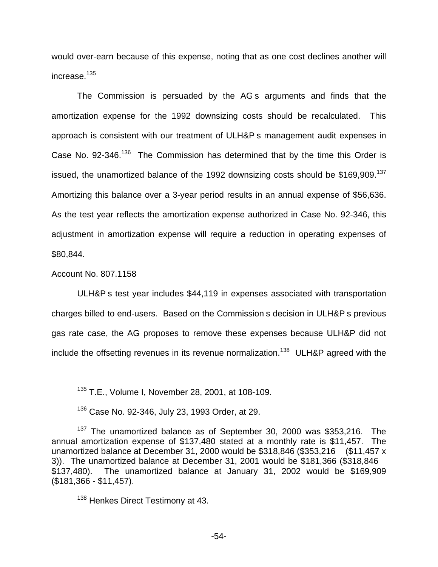would over-earn because of this expense, noting that as one cost declines another will increase.<sup>135</sup>

The Commission is persuaded by the AG s arguments and finds that the amortization expense for the 1992 downsizing costs should be recalculated. This approach is consistent with our treatment of ULH&P s management audit expenses in Case No.  $92-346$ <sup>136</sup> The Commission has determined that by the time this Order is issued, the unamortized balance of the 1992 downsizing costs should be \$169,909.<sup>137</sup> Amortizing this balance over a 3-year period results in an annual expense of \$56,636. As the test year reflects the amortization expense authorized in Case No. 92-346, this adjustment in amortization expense will require a reduction in operating expenses of \$80,844.

#### Account No. 807.1158

ULH&P s test year includes \$44,119 in expenses associated with transportation charges billed to end-users. Based on the Commission s decision in ULH&P s previous gas rate case, the AG proposes to remove these expenses because ULH&P did not include the offsetting revenues in its revenue normalization.<sup>138</sup> ULH&P agreed with the

<sup>138</sup> Henkes Direct Testimony at 43.

<sup>135</sup> T.E., Volume I, November 28, 2001, at 108-109.

<sup>&</sup>lt;sup>136</sup> Case No. 92-346, July 23, 1993 Order, at 29.

<sup>&</sup>lt;sup>137</sup> The unamortized balance as of September 30, 2000 was \$353,216. The annual amortization expense of \$137,480 stated at a monthly rate is \$11,457. The unamortized balance at December 31, 2000 would be \$318,846 (\$353,216 (\$11,457 x 3)). The unamortized balance at December 31, 2001 would be \$181,366 (\$318,846 \$137,480). The unamortized balance at January 31, 2002 would be \$169,909 (\$181,366 - \$11,457).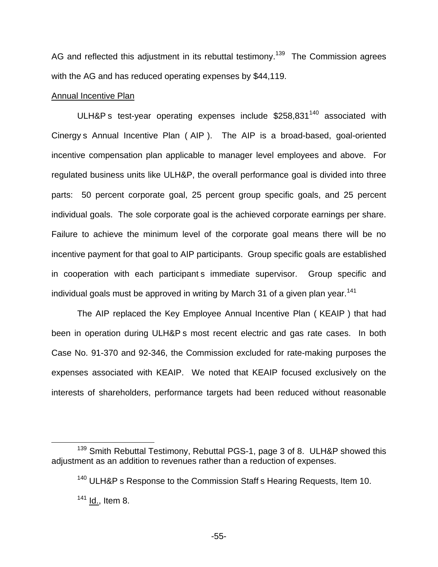AG and reflected this adjustment in its rebuttal testimony.<sup>139</sup> The Commission agrees with the AG and has reduced operating expenses by \$44,119.

### Annual Incentive Plan

ULH&P s test-year operating expenses include \$258,831<sup>140</sup> associated with Cinergy s Annual Incentive Plan ( AIP ). The AIP is a broad-based, goal-oriented incentive compensation plan applicable to manager level employees and above. For regulated business units like ULH&P, the overall performance goal is divided into three parts: 50 percent corporate goal, 25 percent group specific goals, and 25 percent individual goals. The sole corporate goal is the achieved corporate earnings per share. Failure to achieve the minimum level of the corporate goal means there will be no incentive payment for that goal to AIP participants. Group specific goals are established in cooperation with each participant s immediate supervisor. Group specific and individual goals must be approved in writing by March 31 of a given plan year.<sup>141</sup>

The AIP replaced the Key Employee Annual Incentive Plan ( KEAIP ) that had been in operation during ULH&P s most recent electric and gas rate cases. In both Case No. 91-370 and 92-346, the Commission excluded for rate-making purposes the expenses associated with KEAIP. We noted that KEAIP focused exclusively on the interests of shareholders, performance targets had been reduced without reasonable

<sup>&</sup>lt;sup>139</sup> Smith Rebuttal Testimony, Rebuttal PGS-1, page 3 of 8. ULH&P showed this adjustment as an addition to revenues rather than a reduction of expenses.

<sup>&</sup>lt;sup>140</sup> ULH&P s Response to the Commission Staff s Hearing Requests, Item 10.

 $141$  Id., Item 8.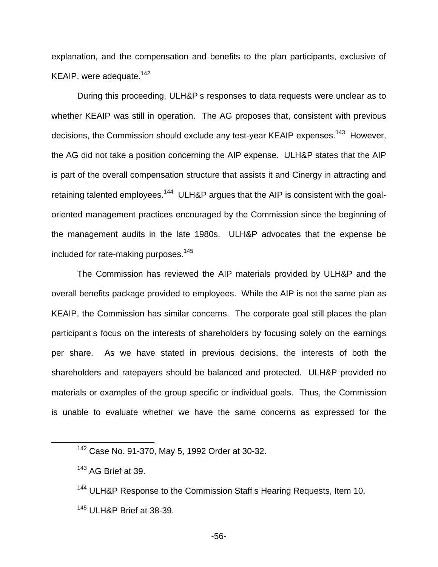explanation, and the compensation and benefits to the plan participants, exclusive of KEAIP, were adequate.<sup>142</sup>

During this proceeding, ULH&P s responses to data requests were unclear as to whether KEAIP was still in operation. The AG proposes that, consistent with previous decisions, the Commission should exclude any test-year KEAIP expenses.<sup>143</sup> However, the AG did not take a position concerning the AIP expense. ULH&P states that the AIP is part of the overall compensation structure that assists it and Cinergy in attracting and retaining talented employees.<sup>144</sup> ULH&P argues that the AIP is consistent with the goaloriented management practices encouraged by the Commission since the beginning of the management audits in the late 1980s. ULH&P advocates that the expense be included for rate-making purposes.<sup>145</sup>

The Commission has reviewed the AIP materials provided by ULH&P and the overall benefits package provided to employees. While the AIP is not the same plan as KEAIP, the Commission has similar concerns. The corporate goal still places the plan participant s focus on the interests of shareholders by focusing solely on the earnings per share. As we have stated in previous decisions, the interests of both the shareholders and ratepayers should be balanced and protected. ULH&P provided no materials or examples of the group specific or individual goals. Thus, the Commission is unable to evaluate whether we have the same concerns as expressed for the

-56-

<sup>142</sup> Case No. 91-370, May 5, 1992 Order at 30-32.

<sup>&</sup>lt;sup>143</sup> AG Brief at 39.

<sup>&</sup>lt;sup>144</sup> ULH&P Response to the Commission Staff s Hearing Requests, Item 10. <sup>145</sup> ULH&P Brief at 38-39.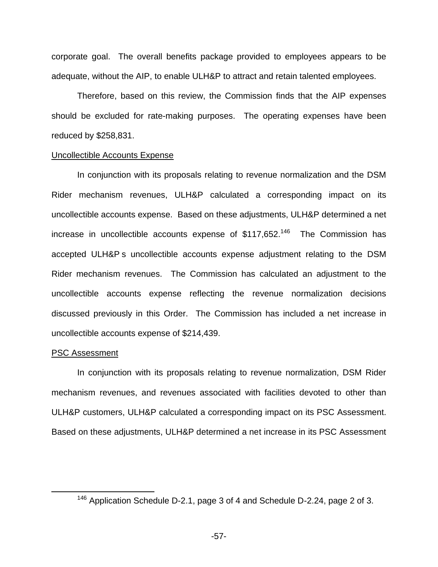corporate goal. The overall benefits package provided to employees appears to be adequate, without the AIP, to enable ULH&P to attract and retain talented employees.

Therefore, based on this review, the Commission finds that the AIP expenses should be excluded for rate-making purposes. The operating expenses have been reduced by \$258,831.

#### Uncollectible Accounts Expense

In conjunction with its proposals relating to revenue normalization and the DSM Rider mechanism revenues, ULH&P calculated a corresponding impact on its uncollectible accounts expense. Based on these adjustments, ULH&P determined a net increase in uncollectible accounts expense of  $$117,652<sup>146</sup>$  The Commission has accepted ULH&P s uncollectible accounts expense adjustment relating to the DSM Rider mechanism revenues. The Commission has calculated an adjustment to the uncollectible accounts expense reflecting the revenue normalization decisions discussed previously in this Order. The Commission has included a net increase in uncollectible accounts expense of \$214,439.

#### PSC Assessment

In conjunction with its proposals relating to revenue normalization, DSM Rider mechanism revenues, and revenues associated with facilities devoted to other than ULH&P customers, ULH&P calculated a corresponding impact on its PSC Assessment. Based on these adjustments, ULH&P determined a net increase in its PSC Assessment

<sup>&</sup>lt;sup>146</sup> Application Schedule D-2.1, page 3 of 4 and Schedule D-2.24, page 2 of 3.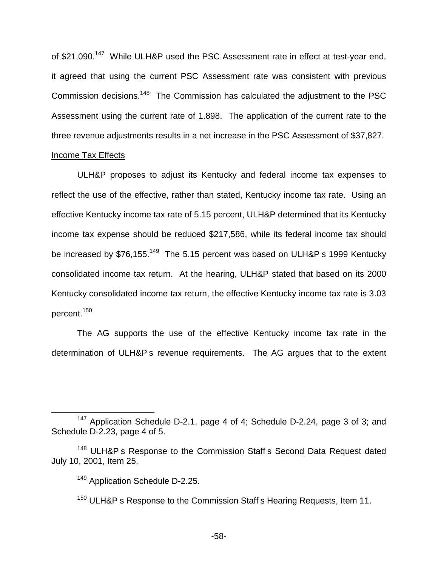of \$21,090.<sup>147</sup> While ULH&P used the PSC Assessment rate in effect at test-year end, it agreed that using the current PSC Assessment rate was consistent with previous Commission decisions.<sup>148</sup> The Commission has calculated the adjustment to the PSC Assessment using the current rate of 1.898. The application of the current rate to the three revenue adjustments results in a net increase in the PSC Assessment of \$37,827.

# Income Tax Effects

ULH&P proposes to adjust its Kentucky and federal income tax expenses to reflect the use of the effective, rather than stated, Kentucky income tax rate. Using an effective Kentucky income tax rate of 5.15 percent, ULH&P determined that its Kentucky income tax expense should be reduced \$217,586, while its federal income tax should be increased by \$76,155.<sup>149</sup> The 5.15 percent was based on ULH&P s 1999 Kentucky consolidated income tax return. At the hearing, ULH&P stated that based on its 2000 Kentucky consolidated income tax return, the effective Kentucky income tax rate is 3.03 percent.150

The AG supports the use of the effective Kentucky income tax rate in the determination of ULH&P s revenue requirements. The AG argues that to the extent

<sup>147</sup> Application Schedule D-2.1, page 4 of 4; Schedule D-2.24, page 3 of 3; and Schedule D-2.23, page 4 of 5.

<sup>&</sup>lt;sup>148</sup> ULH&P s Response to the Commission Staff s Second Data Request dated July 10, 2001, Item 25.

<sup>149</sup> Application Schedule D-2.25.

<sup>&</sup>lt;sup>150</sup> ULH&P s Response to the Commission Staff s Hearing Requests, Item 11,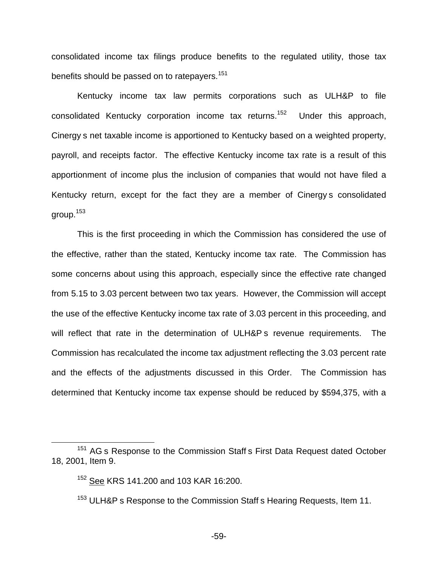consolidated income tax filings produce benefits to the regulated utility, those tax benefits should be passed on to ratepayers.<sup>151</sup>

Kentucky income tax law permits corporations such as ULH&P to file consolidated Kentucky corporation income tax returns.<sup>152</sup> Under this approach, Cinergy s net taxable income is apportioned to Kentucky based on a weighted property, payroll, and receipts factor. The effective Kentucky income tax rate is a result of this apportionment of income plus the inclusion of companies that would not have filed a Kentucky return, except for the fact they are a member of Cinergy s consolidated group.<sup>153</sup>

This is the first proceeding in which the Commission has considered the use of the effective, rather than the stated, Kentucky income tax rate. The Commission has some concerns about using this approach, especially since the effective rate changed from 5.15 to 3.03 percent between two tax years. However, the Commission will accept the use of the effective Kentucky income tax rate of 3.03 percent in this proceeding, and will reflect that rate in the determination of ULH&P s revenue requirements. The Commission has recalculated the income tax adjustment reflecting the 3.03 percent rate and the effects of the adjustments discussed in this Order. The Commission has determined that Kentucky income tax expense should be reduced by \$594,375, with a

<sup>&</sup>lt;sup>151</sup> AG s Response to the Commission Staff s First Data Request dated October 18, 2001, Item 9.

<sup>152</sup> See KRS 141.200 and 103 KAR 16:200.

<sup>&</sup>lt;sup>153</sup> ULH&P s Response to the Commission Staff s Hearing Requests, Item 11.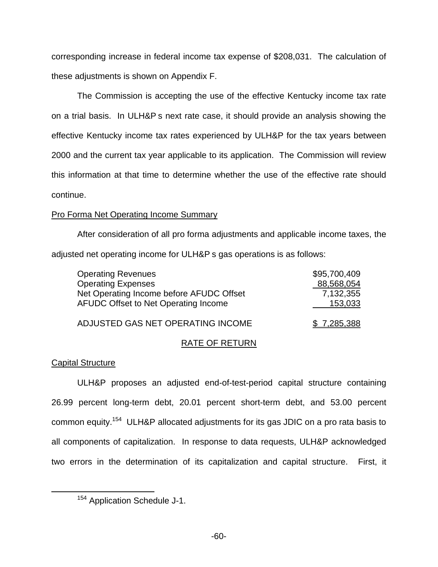corresponding increase in federal income tax expense of \$208,031. The calculation of these adjustments is shown on Appendix F.

The Commission is accepting the use of the effective Kentucky income tax rate on a trial basis. In ULH&P s next rate case, it should provide an analysis showing the effective Kentucky income tax rates experienced by ULH&P for the tax years between 2000 and the current tax year applicable to its application. The Commission will review this information at that time to determine whether the use of the effective rate should continue.

## Pro Forma Net Operating Income Summary

After consideration of all pro forma adjustments and applicable income taxes, the adjusted net operating income for ULH&P s gas operations is as follows:

| <b>Operating Revenues</b>                | \$95,700,409 |
|------------------------------------------|--------------|
| <b>Operating Expenses</b>                | 88,568,054   |
| Net Operating Income before AFUDC Offset | 7,132,355    |
| AFUDC Offset to Net Operating Income     | 153,033      |
|                                          |              |

## RATE OF RETURN

ADJUSTED GAS NET OPERATING INCOME \$ 7,285,388

# Capital Structure

ULH&P proposes an adjusted end-of-test-period capital structure containing 26.99 percent long-term debt, 20.01 percent short-term debt, and 53.00 percent common equity.154 ULH&P allocated adjustments for its gas JDIC on a pro rata basis to all components of capitalization. In response to data requests, ULH&P acknowledged two errors in the determination of its capitalization and capital structure. First, it

<sup>154</sup> Application Schedule J-1.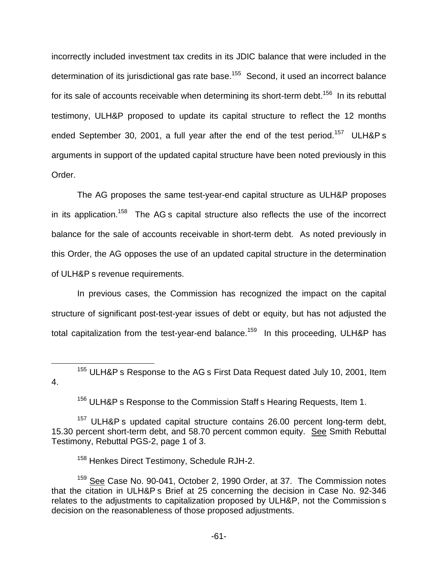incorrectly included investment tax credits in its JDIC balance that were included in the determination of its jurisdictional gas rate base.<sup>155</sup> Second, it used an incorrect balance for its sale of accounts receivable when determining its short-term debt.<sup>156</sup> In its rebuttal testimony, ULH&P proposed to update its capital structure to reflect the 12 months ended September 30, 2001, a full year after the end of the test period.<sup>157</sup> ULH&P s arguments in support of the updated capital structure have been noted previously in this Order.

The AG proposes the same test-year-end capital structure as ULH&P proposes in its application.<sup>158</sup> The AG s capital structure also reflects the use of the incorrect balance for the sale of accounts receivable in short-term debt. As noted previously in this Order, the AG opposes the use of an updated capital structure in the determination of ULH&P s revenue requirements.

In previous cases, the Commission has recognized the impact on the capital structure of significant post-test-year issues of debt or equity, but has not adjusted the total capitalization from the test-year-end balance.<sup>159</sup> In this proceeding, ULH&P has

<sup>155</sup> ULH&P s Response to the AG s First Data Request dated July 10, 2001, Item 4.

<sup>156</sup> ULH&P s Response to the Commission Staff s Hearing Requests, Item 1.

<sup>157</sup> ULH&P s updated capital structure contains 26.00 percent long-term debt, 15.30 percent short-term debt, and 58.70 percent common equity. See Smith Rebuttal Testimony, Rebuttal PGS-2, page 1 of 3.

<sup>158</sup> Henkes Direct Testimony, Schedule RJH-2.

<sup>&</sup>lt;sup>159</sup> See Case No. 90-041, October 2, 1990 Order, at 37. The Commission notes that the citation in ULH&P s Brief at 25 concerning the decision in Case No. 92-346 relates to the adjustments to capitalization proposed by ULH&P, not the Commission s decision on the reasonableness of those proposed adjustments.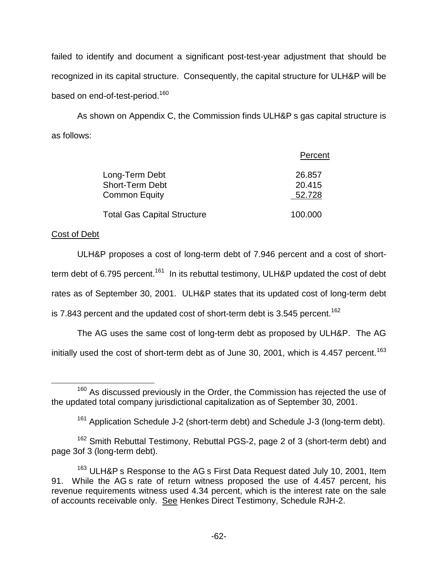failed to identify and document a significant post-test-year adjustment that should be recognized in its capital structure. Consequently, the capital structure for ULH&P will be based on end-of-test-period.<sup>160</sup>

As shown on Appendix C, the Commission finds ULH&P s gas capital structure is as follows:

|                                    | Percent |
|------------------------------------|---------|
| Long-Term Debt                     | 26,857  |
| <b>Short-Term Debt</b>             | 20.415  |
| <b>Common Equity</b>               | 52.728  |
| <b>Total Gas Capital Structure</b> | 100.000 |

# Cost of Debt

ULH&P proposes a cost of long-term debt of 7.946 percent and a cost of shortterm debt of 6.795 percent.<sup>161</sup> In its rebuttal testimony, ULH&P updated the cost of debt rates as of September 30, 2001. ULH&P states that its updated cost of long-term debt is 7.843 percent and the updated cost of short-term debt is 3.545 percent.<sup>162</sup>

The AG uses the same cost of long-term debt as proposed by ULH&P. The AG initially used the cost of short-term debt as of June 30, 2001, which is 4.457 percent.<sup>163</sup>

<sup>&</sup>lt;sup>160</sup> As discussed previously in the Order, the Commission has rejected the use of the updated total company jurisdictional capitalization as of September 30, 2001.

 $161$  Application Schedule J-2 (short-term debt) and Schedule J-3 (long-term debt).

<sup>162</sup> Smith Rebuttal Testimony, Rebuttal PGS-2, page 2 of 3 (short-term debt) and page 3of 3 (long-term debt).

<sup>&</sup>lt;sup>163</sup> ULH&P s Response to the AG s First Data Request dated July 10, 2001, Item 91. While the AG s rate of return witness proposed the use of 4.457 percent, his revenue requirements witness used 4.34 percent, which is the interest rate on the sale of accounts receivable only. See Henkes Direct Testimony, Schedule RJH-2.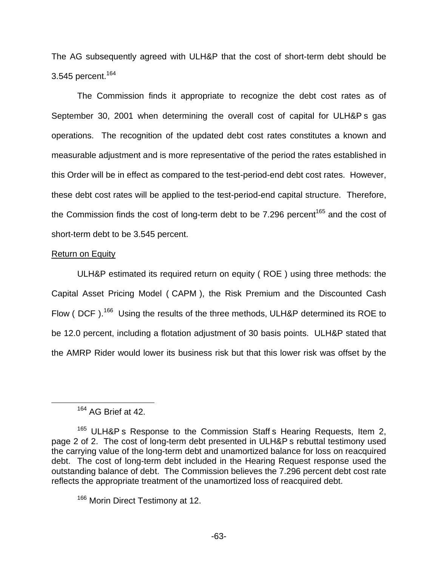The AG subsequently agreed with ULH&P that the cost of short-term debt should be 3.545 percent.<sup>164</sup>

The Commission finds it appropriate to recognize the debt cost rates as of September 30, 2001 when determining the overall cost of capital for ULH&P s gas operations. The recognition of the updated debt cost rates constitutes a known and measurable adjustment and is more representative of the period the rates established in this Order will be in effect as compared to the test-period-end debt cost rates. However, these debt cost rates will be applied to the test-period-end capital structure. Therefore, the Commission finds the cost of long-term debt to be  $7.296$  percent<sup>165</sup> and the cost of short-term debt to be 3.545 percent.

## Return on Equity

ULH&P estimated its required return on equity ( ROE ) using three methods: the Capital Asset Pricing Model ( CAPM ), the Risk Premium and the Discounted Cash Flow ( DCF).<sup>166</sup> Using the results of the three methods, ULH&P determined its ROE to be 12.0 percent, including a flotation adjustment of 30 basis points. ULH&P stated that the AMRP Rider would lower its business risk but that this lower risk was offset by the

<sup>164</sup> AG Brief at 42.

<sup>&</sup>lt;sup>165</sup> ULH&P s Response to the Commission Staff s Hearing Requests, Item 2, page 2 of 2. The cost of long-term debt presented in ULH&P s rebuttal testimony used the carrying value of the long-term debt and unamortized balance for loss on reacquired debt. The cost of long-term debt included in the Hearing Request response used the outstanding balance of debt. The Commission believes the 7.296 percent debt cost rate reflects the appropriate treatment of the unamortized loss of reacquired debt.

<sup>&</sup>lt;sup>166</sup> Morin Direct Testimony at 12.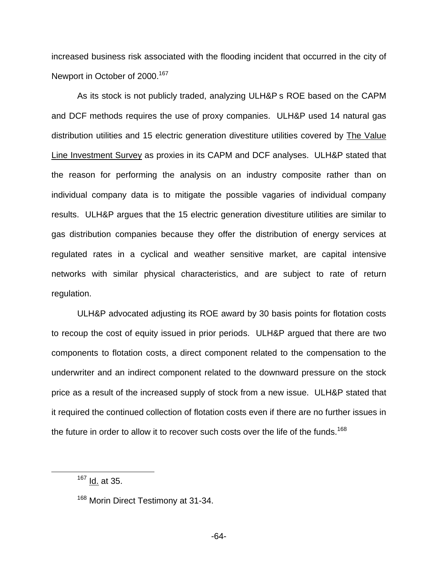increased business risk associated with the flooding incident that occurred in the city of Newport in October of 2000.<sup>167</sup>

As its stock is not publicly traded, analyzing ULH&P s ROE based on the CAPM and DCF methods requires the use of proxy companies. ULH&P used 14 natural gas distribution utilities and 15 electric generation divestiture utilities covered by The Value Line Investment Survey as proxies in its CAPM and DCF analyses. ULH&P stated that the reason for performing the analysis on an industry composite rather than on individual company data is to mitigate the possible vagaries of individual company results. ULH&P argues that the 15 electric generation divestiture utilities are similar to gas distribution companies because they offer the distribution of energy services at regulated rates in a cyclical and weather sensitive market, are capital intensive networks with similar physical characteristics, and are subject to rate of return regulation.

ULH&P advocated adjusting its ROE award by 30 basis points for flotation costs to recoup the cost of equity issued in prior periods. ULH&P argued that there are two components to flotation costs, a direct component related to the compensation to the underwriter and an indirect component related to the downward pressure on the stock price as a result of the increased supply of stock from a new issue. ULH&P stated that it required the continued collection of flotation costs even if there are no further issues in the future in order to allow it to recover such costs over the life of the funds.<sup>168</sup>

 $167$  Id. at 35.

<sup>&</sup>lt;sup>168</sup> Morin Direct Testimony at 31-34.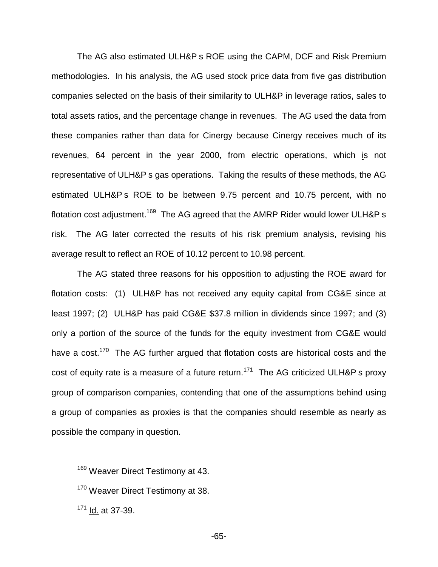The AG also estimated ULH&P s ROE using the CAPM, DCF and Risk Premium methodologies. In his analysis, the AG used stock price data from five gas distribution companies selected on the basis of their similarity to ULH&P in leverage ratios, sales to total assets ratios, and the percentage change in revenues. The AG used the data from these companies rather than data for Cinergy because Cinergy receives much of its revenues, 64 percent in the year 2000, from electric operations, which is not representative of ULH&P s gas operations. Taking the results of these methods, the AG estimated ULH&P s ROE to be between 9.75 percent and 10.75 percent, with no flotation cost adjustment.<sup>169</sup> The AG agreed that the AMRP Rider would lower ULH&P s risk. The AG later corrected the results of his risk premium analysis, revising his average result to reflect an ROE of 10.12 percent to 10.98 percent.

The AG stated three reasons for his opposition to adjusting the ROE award for flotation costs: (1) ULH&P has not received any equity capital from CG&E since at least 1997; (2) ULH&P has paid CG&E \$37.8 million in dividends since 1997; and (3) only a portion of the source of the funds for the equity investment from CG&E would have a cost.<sup>170</sup> The AG further argued that flotation costs are historical costs and the cost of equity rate is a measure of a future return.<sup>171</sup> The AG criticized ULH&P s proxy group of comparison companies, contending that one of the assumptions behind using a group of companies as proxies is that the companies should resemble as nearly as possible the company in question.

<sup>&</sup>lt;sup>169</sup> Weaver Direct Testimony at 43.

<sup>&</sup>lt;sup>170</sup> Weaver Direct Testimony at 38.

<sup>171</sup> Id. at 37-39.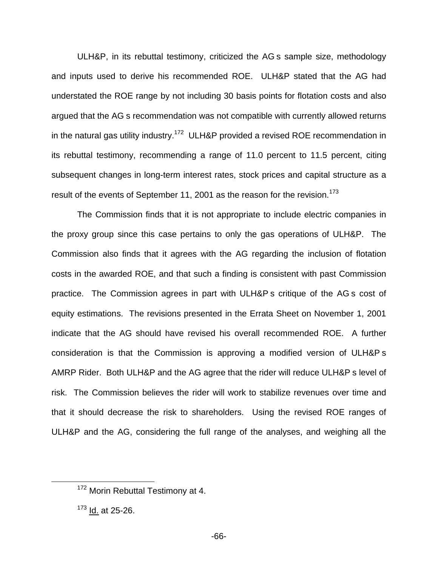ULH&P, in its rebuttal testimony, criticized the AG s sample size, methodology and inputs used to derive his recommended ROE. ULH&P stated that the AG had understated the ROE range by not including 30 basis points for flotation costs and also argued that the AG s recommendation was not compatible with currently allowed returns in the natural gas utility industry.<sup>172</sup> ULH&P provided a revised ROE recommendation in its rebuttal testimony, recommending a range of 11.0 percent to 11.5 percent, citing subsequent changes in long-term interest rates, stock prices and capital structure as a result of the events of September 11, 2001 as the reason for the revision.<sup>173</sup>

The Commission finds that it is not appropriate to include electric companies in the proxy group since this case pertains to only the gas operations of ULH&P. The Commission also finds that it agrees with the AG regarding the inclusion of flotation costs in the awarded ROE, and that such a finding is consistent with past Commission practice. The Commission agrees in part with ULH&P s critique of the AG s cost of equity estimations. The revisions presented in the Errata Sheet on November 1, 2001 indicate that the AG should have revised his overall recommended ROE. A further consideration is that the Commission is approving a modified version of ULH&P s AMRP Rider. Both ULH&P and the AG agree that the rider will reduce ULH&P s level of risk. The Commission believes the rider will work to stabilize revenues over time and that it should decrease the risk to shareholders. Using the revised ROE ranges of ULH&P and the AG, considering the full range of the analyses, and weighing all the

<sup>172</sup> Morin Rebuttal Testimony at 4.

<sup>173</sup> Id. at 25-26.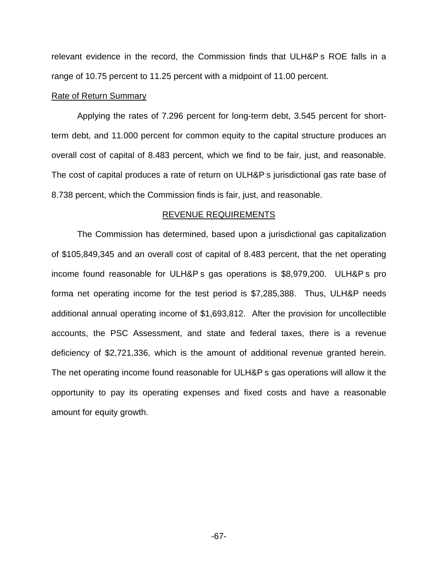relevant evidence in the record, the Commission finds that ULH&P s ROE falls in a range of 10.75 percent to 11.25 percent with a midpoint of 11.00 percent.

#### Rate of Return Summary

Applying the rates of 7.296 percent for long-term debt, 3.545 percent for shortterm debt, and 11.000 percent for common equity to the capital structure produces an overall cost of capital of 8.483 percent, which we find to be fair, just, and reasonable. The cost of capital produces a rate of return on ULH&P s jurisdictional gas rate base of 8.738 percent, which the Commission finds is fair, just, and reasonable.

#### REVENUE REQUIREMENTS

The Commission has determined, based upon a jurisdictional gas capitalization of \$105,849,345 and an overall cost of capital of 8.483 percent, that the net operating income found reasonable for ULH&P s gas operations is \$8,979,200. ULH&P s pro forma net operating income for the test period is \$7,285,388. Thus, ULH&P needs additional annual operating income of \$1,693,812. After the provision for uncollectible accounts, the PSC Assessment, and state and federal taxes, there is a revenue deficiency of \$2,721,336, which is the amount of additional revenue granted herein. The net operating income found reasonable for ULH&P s gas operations will allow it the opportunity to pay its operating expenses and fixed costs and have a reasonable amount for equity growth.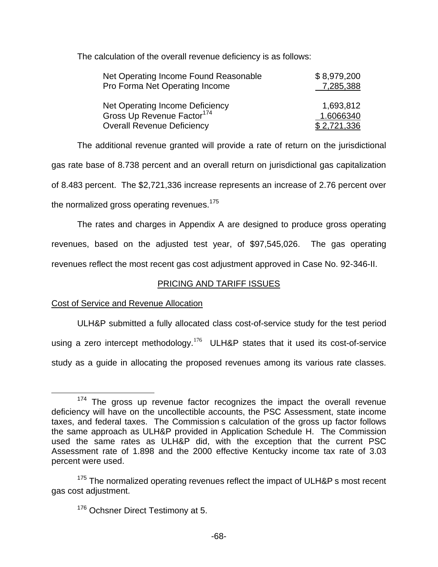The calculation of the overall revenue deficiency is as follows:

| Net Operating Income Found Reasonable                                     | \$8,979,200 |
|---------------------------------------------------------------------------|-------------|
| Pro Forma Net Operating Income                                            | 7,285,388   |
|                                                                           |             |
|                                                                           | 1,693,812   |
| Net Operating Income Deficiency<br>Gross Up Revenue Factor <sup>174</sup> | 1.6066340   |
| <b>Overall Revenue Deficiency</b>                                         | \$2,721,336 |

The additional revenue granted will provide a rate of return on the jurisdictional gas rate base of 8.738 percent and an overall return on jurisdictional gas capitalization of 8.483 percent. The \$2,721,336 increase represents an increase of 2.76 percent over the normalized gross operating revenues.<sup>175</sup>

The rates and charges in Appendix A are designed to produce gross operating revenues, based on the adjusted test year, of \$97,545,026. The gas operating revenues reflect the most recent gas cost adjustment approved in Case No. 92-346-II.

# PRICING AND TARIFF ISSUES

# Cost of Service and Revenue Allocation

ULH&P submitted a fully allocated class cost-of-service study for the test period using a zero intercept methodology.<sup>176</sup> ULH&P states that it used its cost-of-service study as a guide in allocating the proposed revenues among its various rate classes.

 $174$  The gross up revenue factor recognizes the impact the overall revenue deficiency will have on the uncollectible accounts, the PSC Assessment, state income taxes, and federal taxes. The Commission s calculation of the gross up factor follows the same approach as ULH&P provided in Application Schedule H. The Commission used the same rates as ULH&P did, with the exception that the current PSC Assessment rate of 1.898 and the 2000 effective Kentucky income tax rate of 3.03 percent were used.

<sup>&</sup>lt;sup>175</sup> The normalized operating revenues reflect the impact of ULH&P s most recent gas cost adjustment.

<sup>&</sup>lt;sup>176</sup> Ochsner Direct Testimony at 5.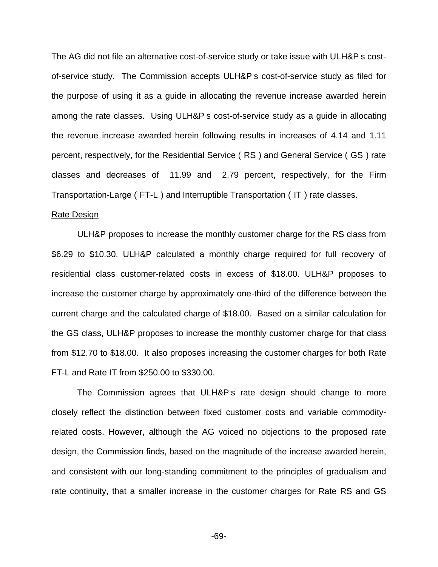The AG did not file an alternative cost-of-service study or take issue with ULH&P s costof-service study. The Commission accepts ULH&P s cost-of-service study as filed for the purpose of using it as a guide in allocating the revenue increase awarded herein among the rate classes. Using ULH&P s cost-of-service study as a guide in allocating the revenue increase awarded herein following results in increases of 4.14 and 1.11 percent, respectively, for the Residential Service ( RS ) and General Service ( GS ) rate classes and decreases of 11.99 and 2.79 percent, respectively, for the Firm Transportation-Large ( FT-L ) and Interruptible Transportation ( IT ) rate classes.

#### Rate Design

ULH&P proposes to increase the monthly customer charge for the RS class from \$6.29 to \$10.30. ULH&P calculated a monthly charge required for full recovery of residential class customer-related costs in excess of \$18.00. ULH&P proposes to increase the customer charge by approximately one-third of the difference between the current charge and the calculated charge of \$18.00. Based on a similar calculation for the GS class, ULH&P proposes to increase the monthly customer charge for that class from \$12.70 to \$18.00. It also proposes increasing the customer charges for both Rate FT-L and Rate IT from \$250.00 to \$330.00.

The Commission agrees that ULH&P s rate design should change to more closely reflect the distinction between fixed customer costs and variable commodityrelated costs. However, although the AG voiced no objections to the proposed rate design, the Commission finds, based on the magnitude of the increase awarded herein, and consistent with our long-standing commitment to the principles of gradualism and rate continuity, that a smaller increase in the customer charges for Rate RS and GS

-69-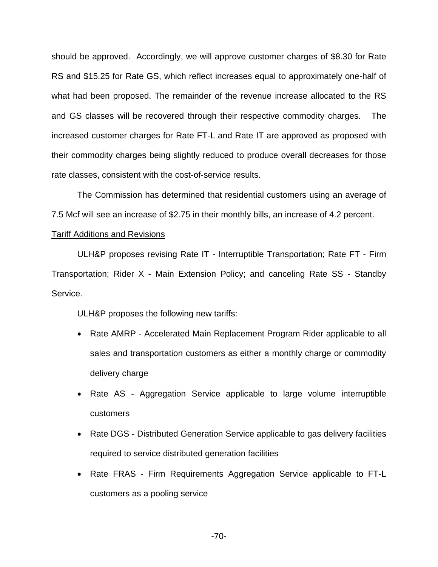should be approved. Accordingly, we will approve customer charges of \$8.30 for Rate RS and \$15.25 for Rate GS, which reflect increases equal to approximately one-half of what had been proposed. The remainder of the revenue increase allocated to the RS and GS classes will be recovered through their respective commodity charges. The increased customer charges for Rate FT-L and Rate IT are approved as proposed with their commodity charges being slightly reduced to produce overall decreases for those rate classes, consistent with the cost-of-service results.

The Commission has determined that residential customers using an average of 7.5 Mcf will see an increase of \$2.75 in their monthly bills, an increase of 4.2 percent.

### Tariff Additions and Revisions

ULH&P proposes revising Rate IT - Interruptible Transportation; Rate FT - Firm Transportation; Rider X - Main Extension Policy; and canceling Rate SS - Standby Service.

ULH&P proposes the following new tariffs:

- Rate AMRP Accelerated Main Replacement Program Rider applicable to all sales and transportation customers as either a monthly charge or commodity delivery charge
- Rate AS Aggregation Service applicable to large volume interruptible customers
- Rate DGS Distributed Generation Service applicable to gas delivery facilities required to service distributed generation facilities
- Rate FRAS Firm Requirements Aggregation Service applicable to FT-L customers as a pooling service

-70-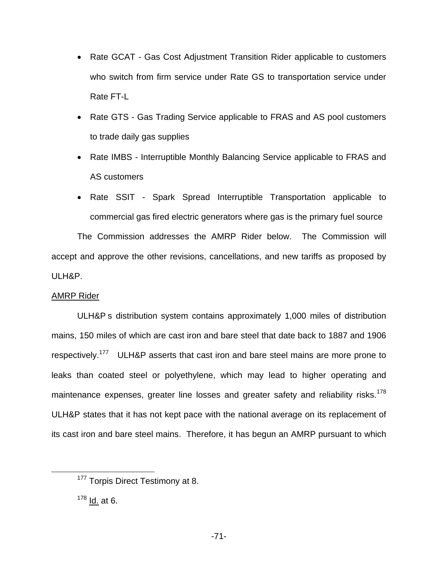- Rate GCAT Gas Cost Adjustment Transition Rider applicable to customers who switch from firm service under Rate GS to transportation service under Rate FT-L
- Rate GTS Gas Trading Service applicable to FRAS and AS pool customers to trade daily gas supplies
- Rate IMBS Interruptible Monthly Balancing Service applicable to FRAS and AS customers
- Rate SSIT Spark Spread Interruptible Transportation applicable to commercial gas fired electric generators where gas is the primary fuel source

The Commission addresses the AMRP Rider below. The Commission will accept and approve the other revisions, cancellations, and new tariffs as proposed by ULH&P.

## AMRP Rider

ULH&P s distribution system contains approximately 1,000 miles of distribution mains, 150 miles of which are cast iron and bare steel that date back to 1887 and 1906 respectively.<sup>177</sup> ULH&P asserts that cast iron and bare steel mains are more prone to leaks than coated steel or polyethylene, which may lead to higher operating and maintenance expenses, greater line losses and greater safety and reliability risks.<sup>178</sup> ULH&P states that it has not kept pace with the national average on its replacement of its cast iron and bare steel mains. Therefore, it has begun an AMRP pursuant to which

<sup>&</sup>lt;sup>177</sup> Torpis Direct Testimony at 8.

 $178$  Id. at 6.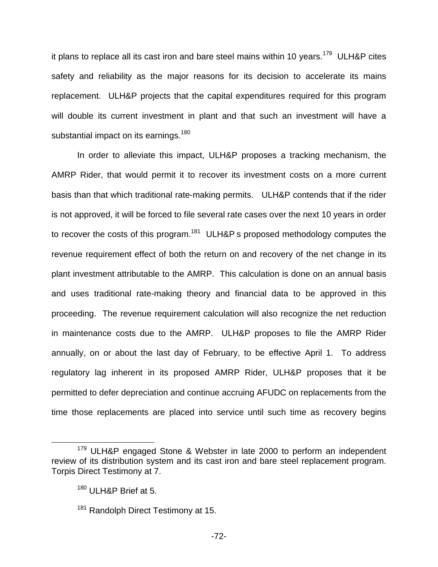it plans to replace all its cast iron and bare steel mains within 10 years.<sup>179</sup> ULH&P cites safety and reliability as the major reasons for its decision to accelerate its mains replacement. ULH&P projects that the capital expenditures required for this program will double its current investment in plant and that such an investment will have a substantial impact on its earnings.<sup>180</sup>

In order to alleviate this impact, ULH&P proposes a tracking mechanism, the AMRP Rider, that would permit it to recover its investment costs on a more current basis than that which traditional rate-making permits. ULH&P contends that if the rider is not approved, it will be forced to file several rate cases over the next 10 years in order to recover the costs of this program.<sup>181</sup> ULH&P s proposed methodology computes the revenue requirement effect of both the return on and recovery of the net change in its plant investment attributable to the AMRP. This calculation is done on an annual basis and uses traditional rate-making theory and financial data to be approved in this proceeding. The revenue requirement calculation will also recognize the net reduction in maintenance costs due to the AMRP. ULH&P proposes to file the AMRP Rider annually, on or about the last day of February, to be effective April 1. To address regulatory lag inherent in its proposed AMRP Rider, ULH&P proposes that it be permitted to defer depreciation and continue accruing AFUDC on replacements from the time those replacements are placed into service until such time as recovery begins

<sup>&</sup>lt;sup>179</sup> ULH&P engaged Stone & Webster in late 2000 to perform an independent review of its distribution system and its cast iron and bare steel replacement program. Torpis Direct Testimony at 7.

<sup>180</sup> ULH&P Brief at 5.

<sup>&</sup>lt;sup>181</sup> Randolph Direct Testimony at 15.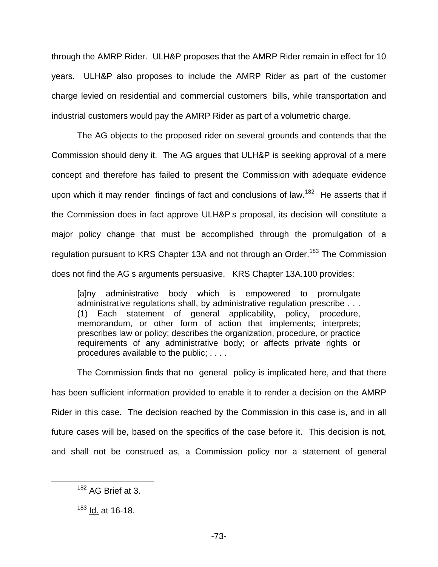through the AMRP Rider. ULH&P proposes that the AMRP Rider remain in effect for 10 years. ULH&P also proposes to include the AMRP Rider as part of the customer charge levied on residential and commercial customers bills, while transportation and industrial customers would pay the AMRP Rider as part of a volumetric charge.

The AG objects to the proposed rider on several grounds and contends that the Commission should deny it. The AG argues that ULH&P is seeking approval of a mere concept and therefore has failed to present the Commission with adequate evidence upon which it may render findings of fact and conclusions of law.<sup>182</sup> He asserts that if the Commission does in fact approve ULH&P s proposal, its decision will constitute a major policy change that must be accomplished through the promulgation of a regulation pursuant to KRS Chapter 13A and not through an Order.<sup>183</sup> The Commission does not find the AG s arguments persuasive. KRS Chapter 13A.100 provides:

[a]ny administrative body which is empowered to promulgate administrative regulations shall, by administrative regulation prescribe . . . (1) Each statement of general applicability, policy, procedure, memorandum, or other form of action that implements; interprets; prescribes law or policy; describes the organization, procedure, or practice requirements of any administrative body; or affects private rights or procedures available to the public; . . . .

The Commission finds that no general policy is implicated here, and that there has been sufficient information provided to enable it to render a decision on the AMRP Rider in this case. The decision reached by the Commission in this case is, and in all future cases will be, based on the specifics of the case before it. This decision is not, and shall not be construed as, a Commission policy nor a statement of general

<sup>182</sup> AG Brief at 3.

<sup>183</sup> Id. at 16-18.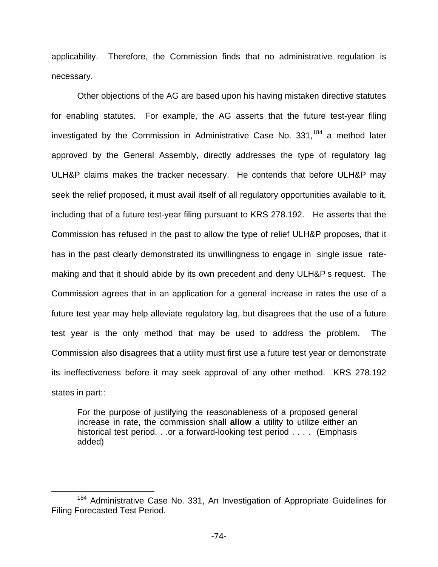applicability. Therefore, the Commission finds that no administrative regulation is necessary.

Other objections of the AG are based upon his having mistaken directive statutes for enabling statutes. For example, the AG asserts that the future test-year filing investigated by the Commission in Administrative Case No.  $331<sup>184</sup>$  a method later approved by the General Assembly, directly addresses the type of regulatory lag ULH&P claims makes the tracker necessary. He contends that before ULH&P may seek the relief proposed, it must avail itself of all regulatory opportunities available to it, including that of a future test-year filing pursuant to KRS 278.192. He asserts that the Commission has refused in the past to allow the type of relief ULH&P proposes, that it has in the past clearly demonstrated its unwillingness to engage in single issue ratemaking and that it should abide by its own precedent and deny ULH&P s request. The Commission agrees that in an application for a general increase in rates the use of a future test year may help alleviate regulatory lag, but disagrees that the use of a future test year is the only method that may be used to address the problem. The Commission also disagrees that a utility must first use a future test year or demonstrate its ineffectiveness before it may seek approval of any other method. KRS 278.192 states in part::

For the purpose of justifying the reasonableness of a proposed general increase in rate, the commission shall **allow** a utility to utilize either an historical test period. . .or a forward-looking test period . . . . (Emphasis added)

<sup>&</sup>lt;sup>184</sup> Administrative Case No. 331, An Investigation of Appropriate Guidelines for Filing Forecasted Test Period.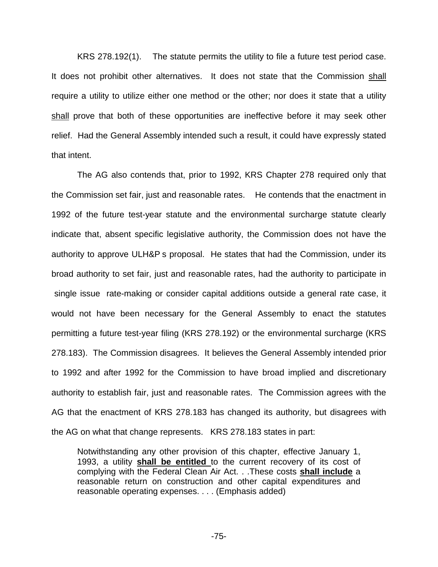KRS 278.192(1). The statute permits the utility to file a future test period case. It does not prohibit other alternatives. It does not state that the Commission shall require a utility to utilize either one method or the other; nor does it state that a utility shall prove that both of these opportunities are ineffective before it may seek other relief. Had the General Assembly intended such a result, it could have expressly stated that intent.

The AG also contends that, prior to 1992, KRS Chapter 278 required only that the Commission set fair, just and reasonable rates. He contends that the enactment in 1992 of the future test-year statute and the environmental surcharge statute clearly indicate that, absent specific legislative authority, the Commission does not have the authority to approve ULH&P s proposal. He states that had the Commission, under its broad authority to set fair, just and reasonable rates, had the authority to participate in single issue rate-making or consider capital additions outside a general rate case, it would not have been necessary for the General Assembly to enact the statutes permitting a future test-year filing (KRS 278.192) or the environmental surcharge (KRS 278.183). The Commission disagrees. It believes the General Assembly intended prior to 1992 and after 1992 for the Commission to have broad implied and discretionary authority to establish fair, just and reasonable rates. The Commission agrees with the AG that the enactment of KRS 278.183 has changed its authority, but disagrees with the AG on what that change represents. KRS 278.183 states in part:

Notwithstanding any other provision of this chapter, effective January 1, 1993, a utility **shall be entitled** to the current recovery of its cost of complying with the Federal Clean Air Act. . .These costs **shall include** a reasonable return on construction and other capital expenditures and reasonable operating expenses. . . . (Emphasis added)

-75-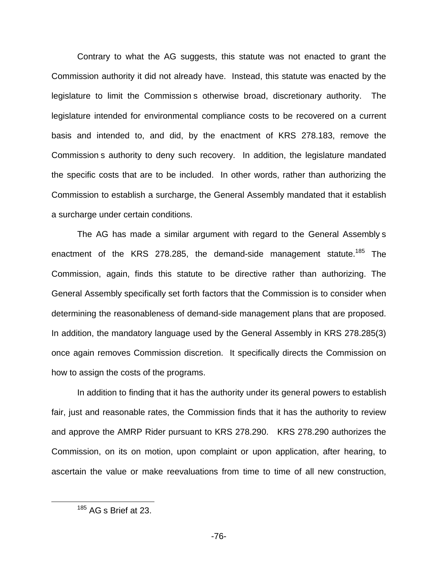Contrary to what the AG suggests, this statute was not enacted to grant the Commission authority it did not already have. Instead, this statute was enacted by the legislature to limit the Commission s otherwise broad, discretionary authority. The legislature intended for environmental compliance costs to be recovered on a current basis and intended to, and did, by the enactment of KRS 278.183, remove the Commission s authority to deny such recovery. In addition, the legislature mandated the specific costs that are to be included. In other words, rather than authorizing the Commission to establish a surcharge, the General Assembly mandated that it establish a surcharge under certain conditions.

The AG has made a similar argument with regard to the General Assembly s enactment of the KRS 278.285, the demand-side management statute.<sup>185</sup> The Commission, again, finds this statute to be directive rather than authorizing. The General Assembly specifically set forth factors that the Commission is to consider when determining the reasonableness of demand-side management plans that are proposed. In addition, the mandatory language used by the General Assembly in KRS 278.285(3) once again removes Commission discretion. It specifically directs the Commission on how to assign the costs of the programs.

In addition to finding that it has the authority under its general powers to establish fair, just and reasonable rates, the Commission finds that it has the authority to review and approve the AMRP Rider pursuant to KRS 278.290. KRS 278.290 authorizes the Commission, on its on motion, upon complaint or upon application, after hearing, to ascertain the value or make reevaluations from time to time of all new construction,

 $185$  AG s Brief at 23.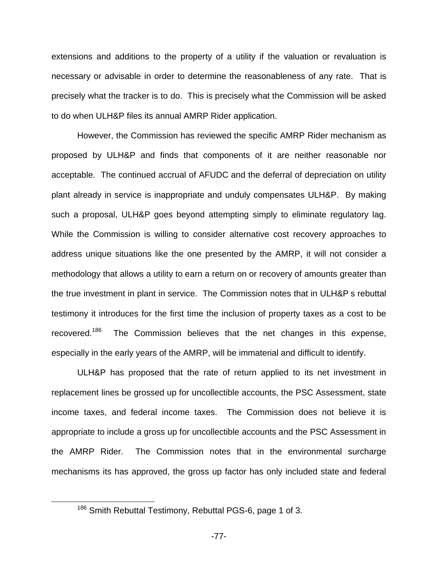extensions and additions to the property of a utility if the valuation or revaluation is necessary or advisable in order to determine the reasonableness of any rate. That is precisely what the tracker is to do. This is precisely what the Commission will be asked to do when ULH&P files its annual AMRP Rider application.

However, the Commission has reviewed the specific AMRP Rider mechanism as proposed by ULH&P and finds that components of it are neither reasonable nor acceptable. The continued accrual of AFUDC and the deferral of depreciation on utility plant already in service is inappropriate and unduly compensates ULH&P. By making such a proposal, ULH&P goes beyond attempting simply to eliminate regulatory lag. While the Commission is willing to consider alternative cost recovery approaches to address unique situations like the one presented by the AMRP, it will not consider a methodology that allows a utility to earn a return on or recovery of amounts greater than the true investment in plant in service. The Commission notes that in ULH&P s rebuttal testimony it introduces for the first time the inclusion of property taxes as a cost to be recovered.<sup>186</sup> The Commission believes that the net changes in this expense, especially in the early years of the AMRP, will be immaterial and difficult to identify.

ULH&P has proposed that the rate of return applied to its net investment in replacement lines be grossed up for uncollectible accounts, the PSC Assessment, state income taxes, and federal income taxes. The Commission does not believe it is appropriate to include a gross up for uncollectible accounts and the PSC Assessment in the AMRP Rider. The Commission notes that in the environmental surcharge mechanisms its has approved, the gross up factor has only included state and federal

<sup>186</sup> Smith Rebuttal Testimony, Rebuttal PGS-6, page 1 of 3.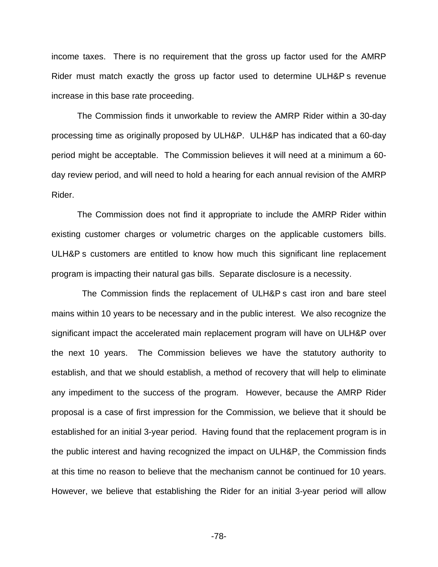income taxes. There is no requirement that the gross up factor used for the AMRP Rider must match exactly the gross up factor used to determine ULH&P s revenue increase in this base rate proceeding.

The Commission finds it unworkable to review the AMRP Rider within a 30-day processing time as originally proposed by ULH&P. ULH&P has indicated that a 60-day period might be acceptable. The Commission believes it will need at a minimum a 60 day review period, and will need to hold a hearing for each annual revision of the AMRP Rider.

The Commission does not find it appropriate to include the AMRP Rider within existing customer charges or volumetric charges on the applicable customers bills. ULH&P s customers are entitled to know how much this significant line replacement program is impacting their natural gas bills. Separate disclosure is a necessity.

The Commission finds the replacement of ULH&P s cast iron and bare steel mains within 10 years to be necessary and in the public interest. We also recognize the significant impact the accelerated main replacement program will have on ULH&P over the next 10 years. The Commission believes we have the statutory authority to establish, and that we should establish, a method of recovery that will help to eliminate any impediment to the success of the program. However, because the AMRP Rider proposal is a case of first impression for the Commission, we believe that it should be established for an initial 3-year period. Having found that the replacement program is in the public interest and having recognized the impact on ULH&P, the Commission finds at this time no reason to believe that the mechanism cannot be continued for 10 years. However, we believe that establishing the Rider for an initial 3-year period will allow

-78-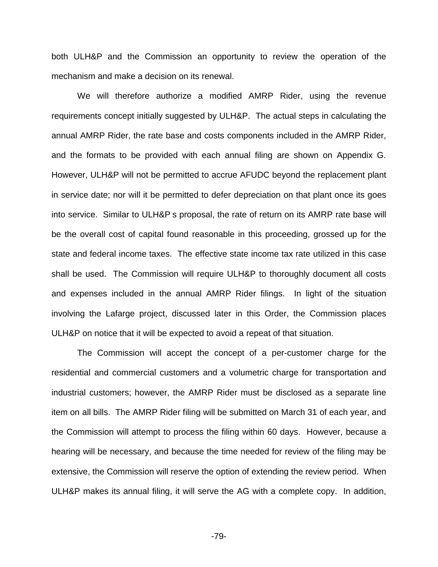both ULH&P and the Commission an opportunity to review the operation of the mechanism and make a decision on its renewal.

We will therefore authorize a modified AMRP Rider, using the revenue requirements concept initially suggested by ULH&P. The actual steps in calculating the annual AMRP Rider, the rate base and costs components included in the AMRP Rider, and the formats to be provided with each annual filing are shown on Appendix G. However, ULH&P will not be permitted to accrue AFUDC beyond the replacement plant in service date; nor will it be permitted to defer depreciation on that plant once its goes into service. Similar to ULH&P s proposal, the rate of return on its AMRP rate base will be the overall cost of capital found reasonable in this proceeding, grossed up for the state and federal income taxes. The effective state income tax rate utilized in this case shall be used. The Commission will require ULH&P to thoroughly document all costs and expenses included in the annual AMRP Rider filings. In light of the situation involving the Lafarge project, discussed later in this Order, the Commission places ULH&P on notice that it will be expected to avoid a repeat of that situation.

The Commission will accept the concept of a per-customer charge for the residential and commercial customers and a volumetric charge for transportation and industrial customers; however, the AMRP Rider must be disclosed as a separate line item on all bills. The AMRP Rider filing will be submitted on March 31 of each year, and the Commission will attempt to process the filing within 60 days. However, because a hearing will be necessary, and because the time needed for review of the filing may be extensive, the Commission will reserve the option of extending the review period. When ULH&P makes its annual filing, it will serve the AG with a complete copy. In addition,

-79-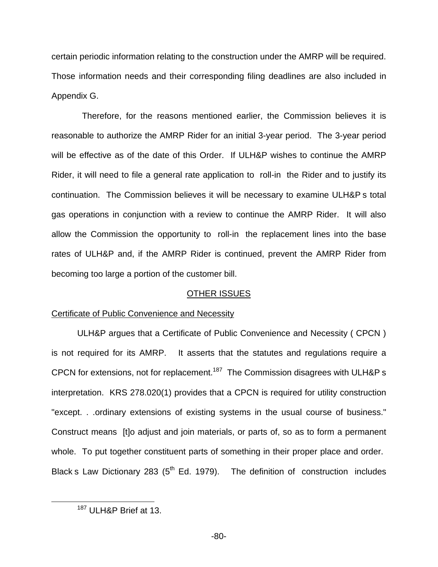certain periodic information relating to the construction under the AMRP will be required. Those information needs and their corresponding filing deadlines are also included in Appendix G.

Therefore, for the reasons mentioned earlier, the Commission believes it is reasonable to authorize the AMRP Rider for an initial 3-year period. The 3-year period will be effective as of the date of this Order. If ULH&P wishes to continue the AMRP Rider, it will need to file a general rate application to roll-in the Rider and to justify its continuation. The Commission believes it will be necessary to examine ULH&P s total gas operations in conjunction with a review to continue the AMRP Rider. It will also allow the Commission the opportunity to roll-in the replacement lines into the base rates of ULH&P and, if the AMRP Rider is continued, prevent the AMRP Rider from becoming too large a portion of the customer bill.

### OTHER ISSUES

### Certificate of Public Convenience and Necessity

ULH&P argues that a Certificate of Public Convenience and Necessity ( CPCN ) is not required for its AMRP. It asserts that the statutes and regulations require a CPCN for extensions, not for replacement.<sup>187</sup> The Commission disagrees with ULH&P s interpretation. KRS 278.020(1) provides that a CPCN is required for utility construction "except. . .ordinary extensions of existing systems in the usual course of business." Construct means [t]o adjust and join materials, or parts of, so as to form a permanent whole. To put together constituent parts of something in their proper place and order. Black s Law Dictionary 283 ( $5<sup>th</sup>$  Ed. 1979). The definition of construction includes

<sup>187</sup> ULH&P Brief at 13.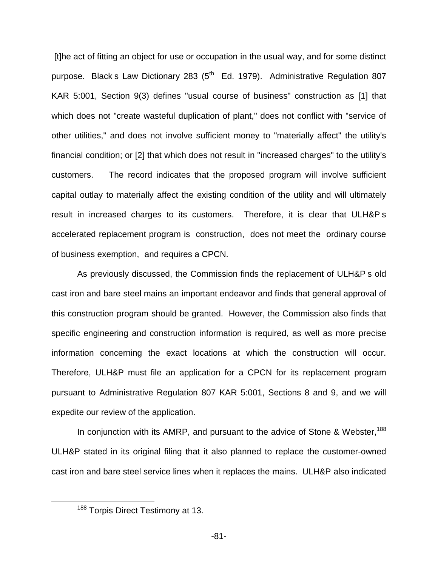[t]he act of fitting an object for use or occupation in the usual way, and for some distinct purpose. Black s Law Dictionary 283 ( $5<sup>th</sup>$  Ed. 1979). Administrative Regulation 807 KAR 5:001, Section 9(3) defines "usual course of business" construction as [1] that which does not "create wasteful duplication of plant," does not conflict with "service of other utilities," and does not involve sufficient money to "materially affect" the utility's financial condition; or [2] that which does not result in "increased charges" to the utility's customers. The record indicates that the proposed program will involve sufficient capital outlay to materially affect the existing condition of the utility and will ultimately result in increased charges to its customers. Therefore, it is clear that ULH&P s accelerated replacement program is construction, does not meet the ordinary course of business exemption, and requires a CPCN.

As previously discussed, the Commission finds the replacement of ULH&P s old cast iron and bare steel mains an important endeavor and finds that general approval of this construction program should be granted. However, the Commission also finds that specific engineering and construction information is required, as well as more precise information concerning the exact locations at which the construction will occur. Therefore, ULH&P must file an application for a CPCN for its replacement program pursuant to Administrative Regulation 807 KAR 5:001, Sections 8 and 9, and we will expedite our review of the application.

In conjunction with its AMRP, and pursuant to the advice of Stone & Webster,<sup>188</sup> ULH&P stated in its original filing that it also planned to replace the customer-owned cast iron and bare steel service lines when it replaces the mains. ULH&P also indicated

<sup>&</sup>lt;sup>188</sup> Torpis Direct Testimony at 13.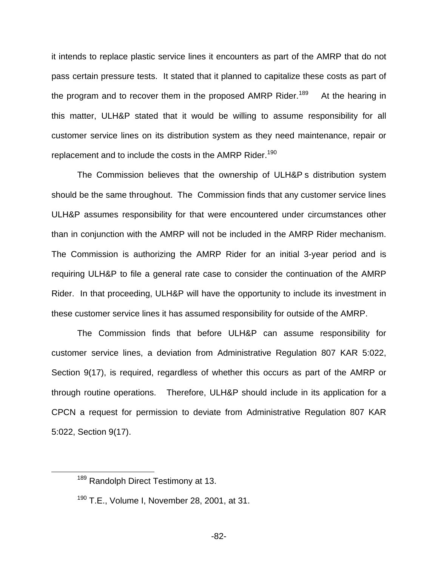it intends to replace plastic service lines it encounters as part of the AMRP that do not pass certain pressure tests. It stated that it planned to capitalize these costs as part of the program and to recover them in the proposed AMRP Rider.<sup>189</sup> At the hearing in this matter, ULH&P stated that it would be willing to assume responsibility for all customer service lines on its distribution system as they need maintenance, repair or replacement and to include the costs in the AMRP Rider.<sup>190</sup>

The Commission believes that the ownership of ULH&P s distribution system should be the same throughout. The Commission finds that any customer service lines ULH&P assumes responsibility for that were encountered under circumstances other than in conjunction with the AMRP will not be included in the AMRP Rider mechanism. The Commission is authorizing the AMRP Rider for an initial 3-year period and is requiring ULH&P to file a general rate case to consider the continuation of the AMRP Rider. In that proceeding, ULH&P will have the opportunity to include its investment in these customer service lines it has assumed responsibility for outside of the AMRP.

The Commission finds that before ULH&P can assume responsibility for customer service lines, a deviation from Administrative Regulation 807 KAR 5:022, Section 9(17), is required, regardless of whether this occurs as part of the AMRP or through routine operations. Therefore, ULH&P should include in its application for a CPCN a request for permission to deviate from Administrative Regulation 807 KAR 5:022, Section 9(17).

<sup>&</sup>lt;sup>189</sup> Randolph Direct Testimony at 13.

 $190$  T.E., Volume I. November 28, 2001, at 31.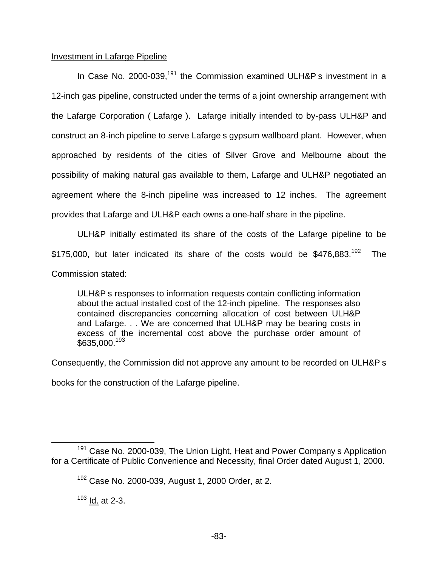## Investment in Lafarge Pipeline

In Case No. 2000-039,<sup>191</sup> the Commission examined ULH&P s investment in a 12-inch gas pipeline, constructed under the terms of a joint ownership arrangement with the Lafarge Corporation ( Lafarge ). Lafarge initially intended to by-pass ULH&P and construct an 8-inch pipeline to serve Lafarge s gypsum wallboard plant. However, when approached by residents of the cities of Silver Grove and Melbourne about the possibility of making natural gas available to them, Lafarge and ULH&P negotiated an agreement where the 8-inch pipeline was increased to 12 inches. The agreement provides that Lafarge and ULH&P each owns a one-half share in the pipeline.

ULH&P initially estimated its share of the costs of the Lafarge pipeline to be \$175,000, but later indicated its share of the costs would be \$476,883.<sup>192</sup> The Commission stated:

ULH&P s responses to information requests contain conflicting information about the actual installed cost of the 12-inch pipeline. The responses also contained discrepancies concerning allocation of cost between ULH&P and Lafarge. . . We are concerned that ULH&P may be bearing costs in excess of the incremental cost above the purchase order amount of \$635,000.<sup>193</sup>

Consequently, the Commission did not approve any amount to be recorded on ULH&P s

books for the construction of the Lafarge pipeline.

 $193$  Id. at 2-3.

 $191$  Case No. 2000-039, The Union Light, Heat and Power Company s Application for a Certificate of Public Convenience and Necessity, final Order dated August 1, 2000.

<sup>192</sup> Case No. 2000-039, August 1, 2000 Order, at 2.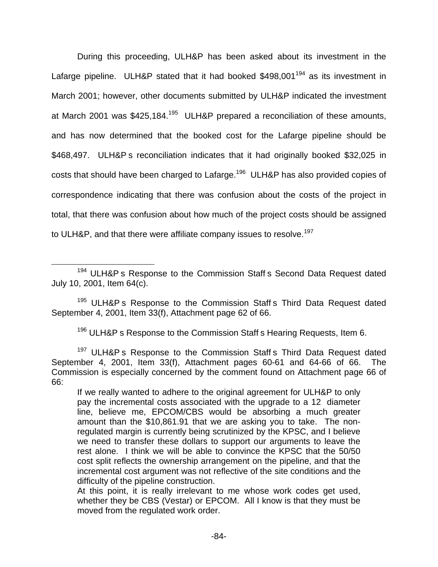During this proceeding, ULH&P has been asked about its investment in the Lafarge pipeline. ULH&P stated that it had booked \$498,001<sup>194</sup> as its investment in March 2001; however, other documents submitted by ULH&P indicated the investment at March 2001 was \$425,184.<sup>195</sup> ULH&P prepared a reconciliation of these amounts, and has now determined that the booked cost for the Lafarge pipeline should be \$468,497. ULH&P s reconciliation indicates that it had originally booked \$32,025 in costs that should have been charged to Lafarge.<sup>196</sup> ULH&P has also provided copies of correspondence indicating that there was confusion about the costs of the project in total, that there was confusion about how much of the project costs should be assigned to ULH&P, and that there were affiliate company issues to resolve.<sup>197</sup>

<sup>194</sup> ULH&P s Response to the Commission Staff s Second Data Request dated July 10, 2001, Item 64(c).

<sup>195</sup> ULH&P s Response to the Commission Staff s Third Data Request dated September 4, 2001, Item 33(f), Attachment page 62 of 66.

<sup>196</sup> ULH&P s Response to the Commission Staff s Hearing Requests, Item 6.

<sup>197</sup> ULH&P s Response to the Commission Staff s Third Data Request dated September 4, 2001, Item 33(f), Attachment pages 60-61 and 64-66 of 66. The Commission is especially concerned by the comment found on Attachment page 66 of 66:

If we really wanted to adhere to the original agreement for ULH&P to only pay the incremental costs associated with the upgrade to a 12 diameter line, believe me, EPCOM/CBS would be absorbing a much greater amount than the \$10,861.91 that we are asking you to take. The nonregulated margin is currently being scrutinized by the KPSC, and I believe we need to transfer these dollars to support our arguments to leave the rest alone. I think we will be able to convince the KPSC that the 50/50 cost split reflects the ownership arrangement on the pipeline, and that the incremental cost argument was not reflective of the site conditions and the difficulty of the pipeline construction.

At this point, it is really irrelevant to me whose work codes get used, whether they be CBS (Vestar) or EPCOM. All I know is that they must be moved from the regulated work order.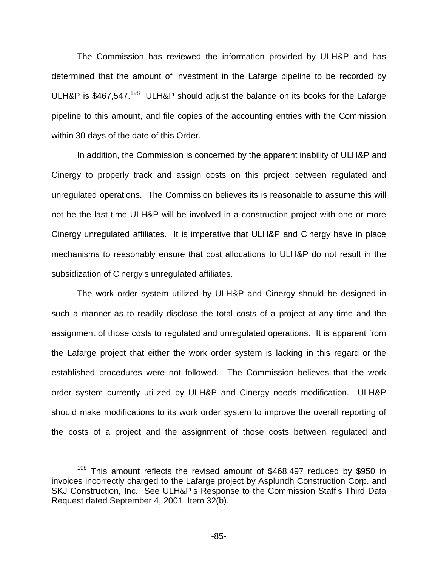The Commission has reviewed the information provided by ULH&P and has determined that the amount of investment in the Lafarge pipeline to be recorded by ULH&P is \$467,547.<sup>198</sup> ULH&P should adjust the balance on its books for the Lafarge pipeline to this amount, and file copies of the accounting entries with the Commission within 30 days of the date of this Order.

In addition, the Commission is concerned by the apparent inability of ULH&P and Cinergy to properly track and assign costs on this project between regulated and unregulated operations. The Commission believes its is reasonable to assume this will not be the last time ULH&P will be involved in a construction project with one or more Cinergy unregulated affiliates. It is imperative that ULH&P and Cinergy have in place mechanisms to reasonably ensure that cost allocations to ULH&P do not result in the subsidization of Cinergy s unregulated affiliates.

The work order system utilized by ULH&P and Cinergy should be designed in such a manner as to readily disclose the total costs of a project at any time and the assignment of those costs to regulated and unregulated operations. It is apparent from the Lafarge project that either the work order system is lacking in this regard or the established procedures were not followed. The Commission believes that the work order system currently utilized by ULH&P and Cinergy needs modification. ULH&P should make modifications to its work order system to improve the overall reporting of the costs of a project and the assignment of those costs between regulated and

<sup>&</sup>lt;sup>198</sup> This amount reflects the revised amount of \$468,497 reduced by \$950 in invoices incorrectly charged to the Lafarge project by Asplundh Construction Corp. and SKJ Construction, Inc. See ULH&P s Response to the Commission Staff s Third Data Request dated September 4, 2001, Item 32(b).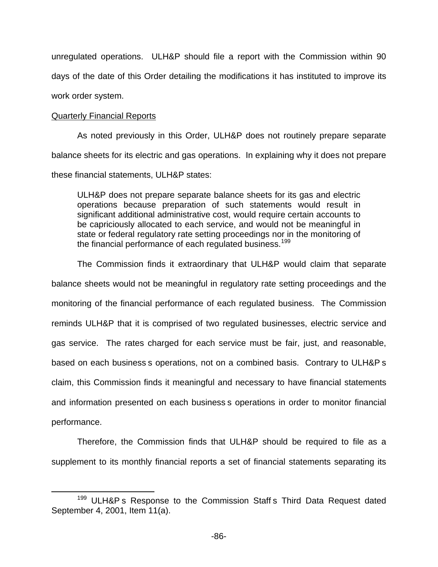unregulated operations. ULH&P should file a report with the Commission within 90 days of the date of this Order detailing the modifications it has instituted to improve its work order system.

### Quarterly Financial Reports

As noted previously in this Order, ULH&P does not routinely prepare separate balance sheets for its electric and gas operations. In explaining why it does not prepare these financial statements, ULH&P states:

ULH&P does not prepare separate balance sheets for its gas and electric operations because preparation of such statements would result in significant additional administrative cost, would require certain accounts to be capriciously allocated to each service, and would not be meaningful in state or federal regulatory rate setting proceedings nor in the monitoring of the financial performance of each regulated business.<sup>199</sup>

The Commission finds it extraordinary that ULH&P would claim that separate balance sheets would not be meaningful in regulatory rate setting proceedings and the monitoring of the financial performance of each regulated business. The Commission reminds ULH&P that it is comprised of two regulated businesses, electric service and gas service. The rates charged for each service must be fair, just, and reasonable, based on each business s operations, not on a combined basis. Contrary to ULH&P s claim, this Commission finds it meaningful and necessary to have financial statements and information presented on each business s operations in order to monitor financial performance.

Therefore, the Commission finds that ULH&P should be required to file as a supplement to its monthly financial reports a set of financial statements separating its

<sup>&</sup>lt;sup>199</sup> ULH&P s Response to the Commission Staff s Third Data Request dated September 4, 2001, Item 11(a).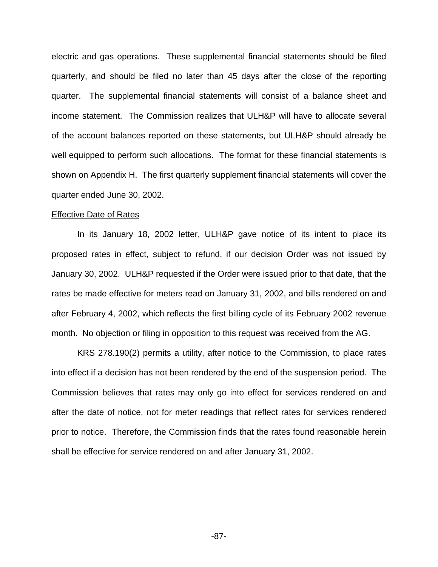electric and gas operations. These supplemental financial statements should be filed quarterly, and should be filed no later than 45 days after the close of the reporting quarter. The supplemental financial statements will consist of a balance sheet and income statement. The Commission realizes that ULH&P will have to allocate several of the account balances reported on these statements, but ULH&P should already be well equipped to perform such allocations. The format for these financial statements is shown on Appendix H. The first quarterly supplement financial statements will cover the quarter ended June 30, 2002.

### Effective Date of Rates

In its January 18, 2002 letter, ULH&P gave notice of its intent to place its proposed rates in effect, subject to refund, if our decision Order was not issued by January 30, 2002. ULH&P requested if the Order were issued prior to that date, that the rates be made effective for meters read on January 31, 2002, and bills rendered on and after February 4, 2002, which reflects the first billing cycle of its February 2002 revenue month. No objection or filing in opposition to this request was received from the AG.

KRS 278.190(2) permits a utility, after notice to the Commission, to place rates into effect if a decision has not been rendered by the end of the suspension period. The Commission believes that rates may only go into effect for services rendered on and after the date of notice, not for meter readings that reflect rates for services rendered prior to notice. Therefore, the Commission finds that the rates found reasonable herein shall be effective for service rendered on and after January 31, 2002.

-87-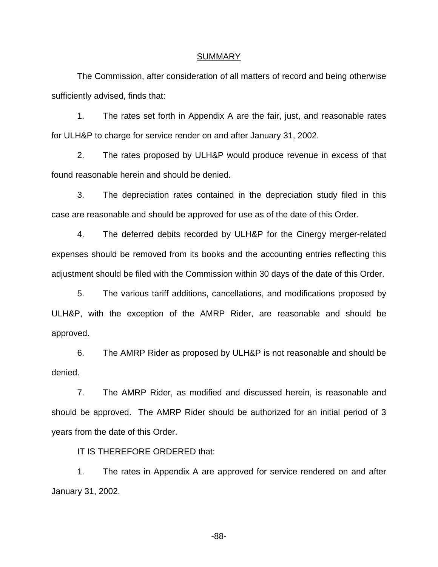#### SUMMARY

The Commission, after consideration of all matters of record and being otherwise sufficiently advised, finds that:

1. The rates set forth in Appendix A are the fair, just, and reasonable rates for ULH&P to charge for service render on and after January 31, 2002.

2. The rates proposed by ULH&P would produce revenue in excess of that found reasonable herein and should be denied.

3. The depreciation rates contained in the depreciation study filed in this case are reasonable and should be approved for use as of the date of this Order.

4. The deferred debits recorded by ULH&P for the Cinergy merger-related expenses should be removed from its books and the accounting entries reflecting this adjustment should be filed with the Commission within 30 days of the date of this Order.

5. The various tariff additions, cancellations, and modifications proposed by ULH&P, with the exception of the AMRP Rider, are reasonable and should be approved.

6. The AMRP Rider as proposed by ULH&P is not reasonable and should be denied.

7. The AMRP Rider, as modified and discussed herein, is reasonable and should be approved. The AMRP Rider should be authorized for an initial period of 3 years from the date of this Order.

IT IS THEREFORE ORDERED that:

1. The rates in Appendix A are approved for service rendered on and after January 31, 2002.

-88-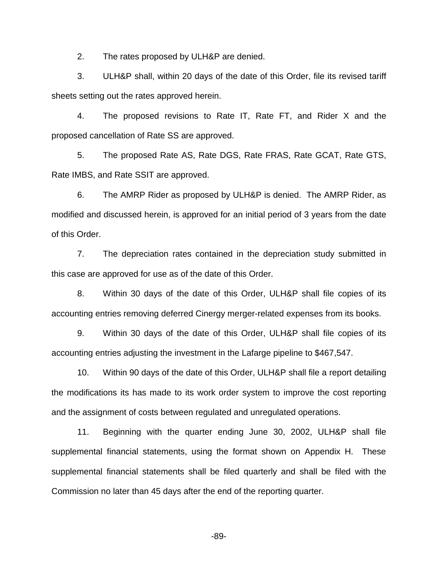2. The rates proposed by ULH&P are denied.

3. ULH&P shall, within 20 days of the date of this Order, file its revised tariff sheets setting out the rates approved herein.

4. The proposed revisions to Rate IT, Rate FT, and Rider X and the proposed cancellation of Rate SS are approved.

5. The proposed Rate AS, Rate DGS, Rate FRAS, Rate GCAT, Rate GTS, Rate IMBS, and Rate SSIT are approved.

6. The AMRP Rider as proposed by ULH&P is denied. The AMRP Rider, as modified and discussed herein, is approved for an initial period of 3 years from the date of this Order.

7. The depreciation rates contained in the depreciation study submitted in this case are approved for use as of the date of this Order.

8. Within 30 days of the date of this Order, ULH&P shall file copies of its accounting entries removing deferred Cinergy merger-related expenses from its books.

9. Within 30 days of the date of this Order, ULH&P shall file copies of its accounting entries adjusting the investment in the Lafarge pipeline to \$467,547.

10. Within 90 days of the date of this Order, ULH&P shall file a report detailing the modifications its has made to its work order system to improve the cost reporting and the assignment of costs between regulated and unregulated operations.

11. Beginning with the quarter ending June 30, 2002, ULH&P shall file supplemental financial statements, using the format shown on Appendix H. These supplemental financial statements shall be filed quarterly and shall be filed with the Commission no later than 45 days after the end of the reporting quarter.

-89-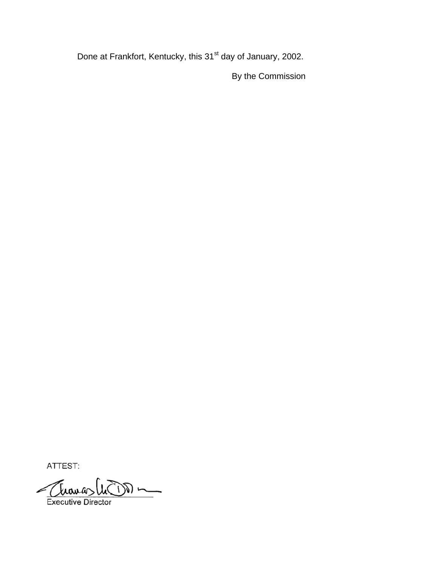Done at Frankfort, Kentucky, this 31<sup>st</sup> day of January, 2002.

By the Commission

ATTEST:

Executive Director  $\frac{1}{\sqrt{2}}\sum_{i=1}^{n} \frac{1}{\sqrt{2}}\sum_{i=1}^{n} \frac{1}{\sqrt{2}}\sum_{i=1}^{n} \frac{1}{\sqrt{2}}\sum_{i=1}^{n} \frac{1}{\sqrt{2}}\sum_{i=1}^{n} \frac{1}{\sqrt{2}}\sum_{i=1}^{n} \frac{1}{\sqrt{2}}\sum_{i=1}^{n} \frac{1}{\sqrt{2}}\sum_{i=1}^{n} \frac{1}{\sqrt{2}}\sum_{i=1}^{n} \frac{1}{\sqrt{2}}\sum_{i=1}^{n} \frac{1}{\sqrt{2}}\sum_{i=1}^{n}$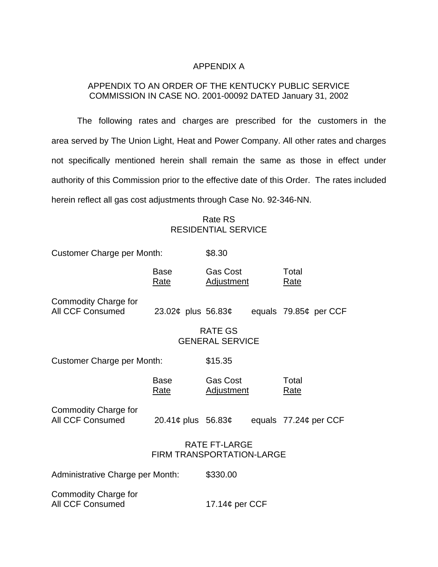## APPENDIX A

## APPENDIX TO AN ORDER OF THE KENTUCKY PUBLIC SERVICE COMMISSION IN CASE NO. 2001-00092 DATED January 31, 2002

The following rates and charges are prescribed for the customers in the area served by The Union Light, Heat and Power Company. All other rates and charges not specifically mentioned herein shall remain the same as those in effect under authority of this Commission prior to the effective date of this Order. The rates included herein reflect all gas cost adjustments through Case No. 92-346-NN.

## Rate RS RESIDENTIAL SERVICE

| <b>Customer Charge per Month:</b>                        |                      | \$8.30                                   |  |                         |
|----------------------------------------------------------|----------------------|------------------------------------------|--|-------------------------|
|                                                          | Base<br>Rate         | Gas Cost<br><b>Adjustment</b>            |  | Total<br>Rate           |
| Commodity Charge for<br><b>All CCF Consumed</b>          | 23.02¢ plus 56.83¢   |                                          |  | equals $79.85¢$ per CCF |
|                                                          |                      | <b>RATE GS</b><br><b>GENERAL SERVICE</b> |  |                         |
| <b>Customer Charge per Month:</b>                        |                      | \$15.35                                  |  |                         |
|                                                          | Base<br><u>Rate</u>  | Gas Cost<br><b>Adjustment</b>            |  | Total<br><b>Rate</b>    |
| Commodity Charge for<br><b>All CCF Consumed</b>          | 20.41¢ plus $56.83¢$ |                                          |  | equals 77.24¢ per CCF   |
| <b>RATE FT-LARGE</b><br><b>FIRM TRANSPORTATION-LARGE</b> |                      |                                          |  |                         |
| Administrative Charge per Month:                         |                      | \$330.00                                 |  |                         |
| Commodity Charge for<br><b>All CCF Consumed</b>          |                      | 17.14 $\phi$ per CCF                     |  |                         |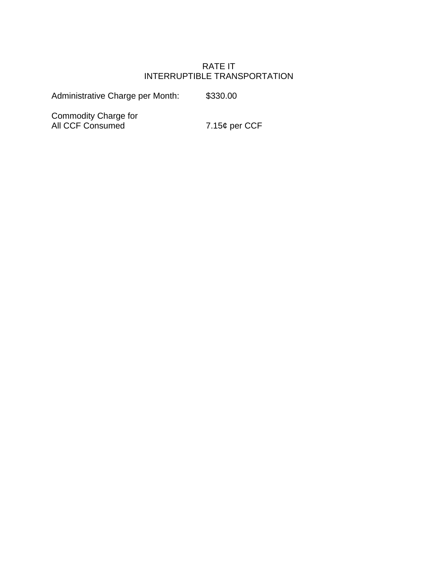# RATE IT INTERRUPTIBLE TRANSPORTATION

Administrative Charge per Month: \$330.00

Commodity Charge for All CCF Consumed 7.15¢ per CCF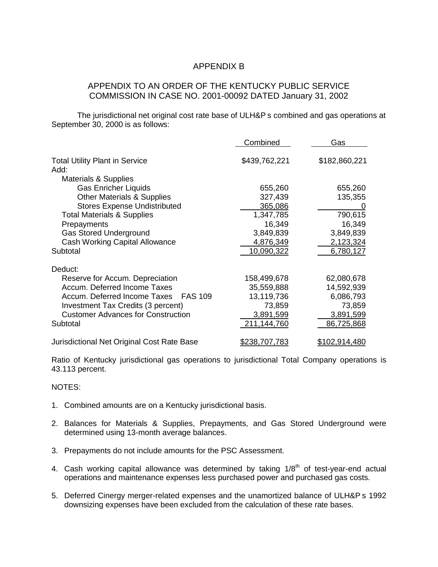## APPENDIX B

## APPENDIX TO AN ORDER OF THE KENTUCKY PUBLIC SERVICE COMMISSION IN CASE NO. 2001-00092 DATED January 31, 2002

The jurisdictional net original cost rate base of ULH&P s combined and gas operations at September 30, 2000 is as follows:

|                                                | Combined             | Gas                  |
|------------------------------------------------|----------------------|----------------------|
| <b>Total Utility Plant in Service</b><br>Add:  | \$439,762,221        | \$182,860,221        |
| <b>Materials &amp; Supplies</b>                |                      |                      |
| <b>Gas Enricher Liquids</b>                    | 655,260              | 655,260              |
| <b>Other Materials &amp; Supplies</b>          | 327,439              | 135,355              |
| <b>Stores Expense Undistributed</b>            | 365,086              |                      |
| <b>Total Materials &amp; Supplies</b>          | 1,347,785            | 790,615              |
|                                                | 16,349               | 16,349               |
| Prepayments<br><b>Gas Stored Underground</b>   | 3,849,839            | 3,849,839            |
|                                                |                      |                      |
| <b>Cash Working Capital Allowance</b>          | 4,876,349            | 2,123,324            |
| Subtotal                                       | 10,090,322           | 6,780,127            |
| Deduct:                                        |                      |                      |
| Reserve for Accum. Depreciation                | 158,499,678          | 62,080,678           |
| Accum. Deferred Income Taxes                   | 35,559,888           | 14,592,939           |
| Accum. Deferred Income Taxes<br><b>FAS 109</b> | 13,119,736           | 6,086,793            |
| Investment Tax Credits (3 percent)             | 73,859               | 73,859               |
| <b>Customer Advances for Construction</b>      | 3,891,599            | 3,891,599            |
| Subtotal                                       | 211,144,760          | 86,725,868           |
|                                                |                      |                      |
| Jurisdictional Net Original Cost Rate Base     | <u>\$238.707.783</u> | <u>\$102,914,480</u> |

Ratio of Kentucky jurisdictional gas operations to jurisdictional Total Company operations is 43.113 percent.

NOTES:

- 1. Combined amounts are on a Kentucky jurisdictional basis.
- 2. Balances for Materials & Supplies, Prepayments, and Gas Stored Underground were determined using 13-month average balances.
- 3. Prepayments do not include amounts for the PSC Assessment.
- 4. Cash working capital allowance was determined by taking  $1/8<sup>th</sup>$  of test-year-end actual operations and maintenance expenses less purchased power and purchased gas costs.
- 5. Deferred Cinergy merger-related expenses and the unamortized balance of ULH&P s 1992 downsizing expenses have been excluded from the calculation of these rate bases.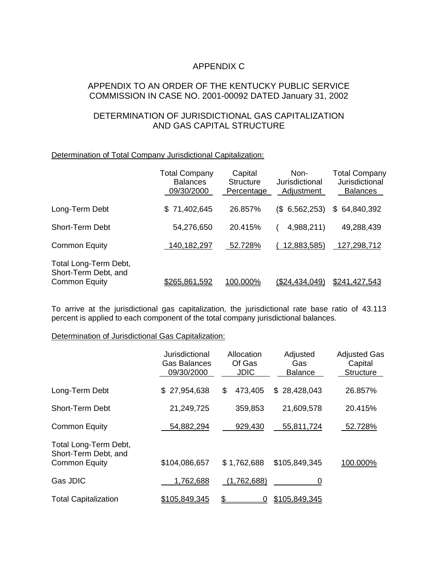# APPENDIX C

## APPENDIX TO AN ORDER OF THE KENTUCKY PUBLIC SERVICE COMMISSION IN CASE NO. 2001-00092 DATED January 31, 2002

## DETERMINATION OF JURISDICTIONAL GAS CAPITALIZATION AND GAS CAPITAL STRUCTURE

### Determination of Total Company Jurisdictional Capitalization:

|                                                                       | <b>Total Company</b><br><b>Balances</b><br>09/30/2000 | Capital<br><b>Structure</b><br>Percentage | Non-<br>Jurisdictional<br>Adjustment | <b>Total Company</b><br>Jurisdictional<br><b>Balances</b> |
|-----------------------------------------------------------------------|-------------------------------------------------------|-------------------------------------------|--------------------------------------|-----------------------------------------------------------|
| Long-Term Debt                                                        | \$71,402,645                                          | 26.857%                                   | $(S$ 6,562,253)                      | \$64,840,392                                              |
| Short-Term Debt                                                       | 54,276,650                                            | 20.415%                                   | 4,988,211)                           | 49,288,439                                                |
| <b>Common Equity</b>                                                  | 140, 182, 297                                         | 52.728%                                   | 12,883,585)                          | 127,298,712                                               |
| Total Long-Term Debt,<br>Short-Term Debt, and<br><b>Common Equity</b> | \$265,861,592                                         | <u>100.000%</u>                           | (S24.434.049)                        | \$241.427.543                                             |

To arrive at the jurisdictional gas capitalization, the jurisdictional rate base ratio of 43.113 percent is applied to each component of the total company jurisdictional balances.

### Determination of Jurisdictional Gas Capitalization:

|                                                                       | Jurisdictional<br><b>Gas Balances</b><br>09/30/2000 | Allocation<br>Of Gas<br><b>JDIC</b> | Adjusted<br>Gas<br><b>Balance</b> | <b>Adjusted Gas</b><br>Capital<br><b>Structure</b> |
|-----------------------------------------------------------------------|-----------------------------------------------------|-------------------------------------|-----------------------------------|----------------------------------------------------|
| Long-Term Debt                                                        | \$27,954,638                                        | \$<br>473,405                       | \$28,428,043                      | 26.857%                                            |
| <b>Short-Term Debt</b>                                                | 21,249,725                                          | 359,853                             | 21,609,578                        | 20.415%                                            |
| <b>Common Equity</b>                                                  | 54,882,294                                          | 929,430                             | 55,811,724                        | 52.728%                                            |
| Total Long-Term Debt,<br>Short-Term Debt, and<br><b>Common Equity</b> | \$104,086,657                                       | \$1,762,688                         | \$105,849,345                     | 100.000%                                           |
| Gas JDIC                                                              | 1,762,688                                           | (1,762,688)                         |                                   |                                                    |
| <b>Total Capitalization</b>                                           | \$105,849,345                                       | \$                                  | \$105,849,345                     |                                                    |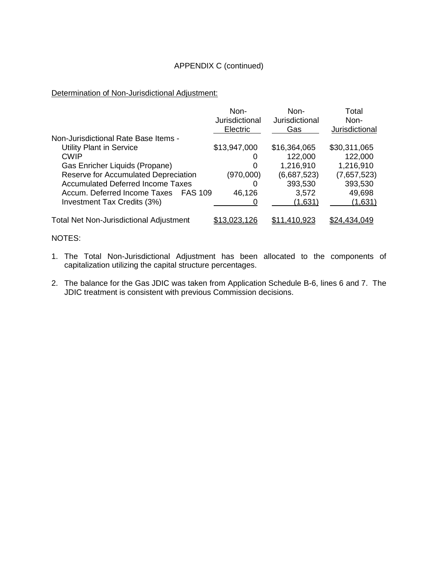## APPENDIX C (continued)

Determination of Non-Jurisdictional Adjustment:

|                                                | Non-<br>Jurisdictional<br>Electric | Non-<br>Jurisdictional<br>Gas | Total<br>Non-<br>Jurisdictional |
|------------------------------------------------|------------------------------------|-------------------------------|---------------------------------|
| Non-Jurisdictional Rate Base Items -           |                                    |                               |                                 |
| <b>Utility Plant in Service</b>                | \$13,947,000                       | \$16,364,065                  | \$30,311,065                    |
| <b>CWIP</b>                                    | O                                  | 122,000                       | 122,000                         |
| Gas Enricher Liquids (Propane)                 | 0                                  | 1,216,910                     | 1,216,910                       |
| Reserve for Accumulated Depreciation           | (970,000)                          | (6,687,523)                   | (7,657,523)                     |
| <b>Accumulated Deferred Income Taxes</b>       | O                                  | 393,530                       | 393,530                         |
| Accum. Deferred Income Taxes<br><b>FAS 109</b> | 46,126                             | 3,572                         | 49,698                          |
| Investment Tax Credits (3%)                    |                                    | (1,631)                       | (1,631)                         |
| <b>Total Net Non-Jurisdictional Adjustment</b> | \$13,023,126                       | \$11.410.923                  | \$24.434.049                    |

- NOTES:
- 1. The Total Non-Jurisdictional Adjustment has been allocated to the components of capitalization utilizing the capital structure percentages.
- 2. The balance for the Gas JDIC was taken from Application Schedule B-6, lines 6 and 7. The JDIC treatment is consistent with previous Commission decisions.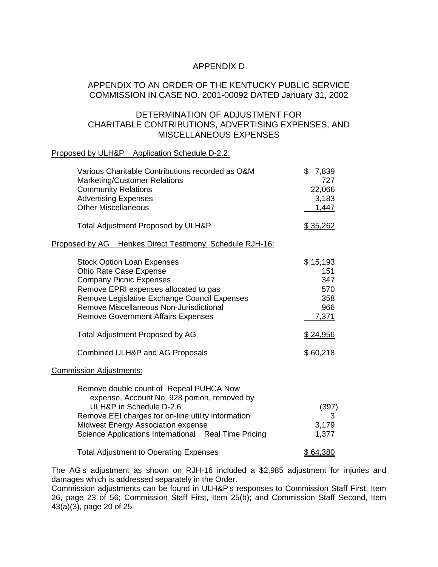## APPENDIX D

## APPENDIX TO AN ORDER OF THE KENTUCKY PUBLIC SERVICE COMMISSION IN CASE NO. 2001-00092 DATED January 31, 2002

## DETERMINATION OF ADJUSTMENT FOR CHARITABLE CONTRIBUTIONS, ADVERTISING EXPENSES, AND MISCELLANEOUS EXPENSES

### Proposed by ULH&P Application Schedule D-2.2:

| Various Charitable Contributions recorded as O&M<br><b>Marketing/Customer Relations</b><br><b>Community Relations</b><br><b>Advertising Expenses</b><br><b>Other Miscellaneous</b>                                                                                                                                | \$<br>7,839<br>727<br>22,066<br>3,183<br>1,447                   |
|-------------------------------------------------------------------------------------------------------------------------------------------------------------------------------------------------------------------------------------------------------------------------------------------------------------------|------------------------------------------------------------------|
| Total Adjustment Proposed by ULH&P                                                                                                                                                                                                                                                                                | \$35,262                                                         |
| Proposed by AG Henkes Direct Testimony, Schedule RJH-16:                                                                                                                                                                                                                                                          |                                                                  |
| <b>Stock Option Loan Expenses</b><br>Ohio Rate Case Expense<br><b>Company Picnic Expenses</b><br>Remove EPRI expenses allocated to gas<br>Remove Legislative Exchange Council Expenses<br>Remove Miscellaneous Non-Jurisdictional<br><b>Remove Government Affairs Expenses</b><br>Total Adjustment Proposed by AG | \$15,193<br>151<br>347<br>570<br>358<br>966<br>7,371<br>\$24,956 |
| Combined ULH&P and AG Proposals                                                                                                                                                                                                                                                                                   | \$60,218                                                         |
| <b>Commission Adjustments:</b>                                                                                                                                                                                                                                                                                    |                                                                  |
| Remove double count of Repeal PUHCA Now<br>expense, Account No. 928 portion, removed by<br>ULH&P in Schedule D-2.6<br>Remove EEI charges for on-line utility information<br><b>Midwest Energy Association expense</b><br>Science Applications International Real Time Pricing                                     | (397)<br>3<br>3,179<br>1,377                                     |
| <b>Total Adjustment to Operating Expenses</b>                                                                                                                                                                                                                                                                     | \$64,380                                                         |

The AG s adjustment as shown on RJH-16 included a \$2,985 adjustment for injuries and damages which is addressed separately in the Order.

Commission adjustments can be found in ULH&P s responses to Commission Staff First, Item 26, page 23 of 56; Commission Staff First, Item 25(b); and Commission Staff Second, Item 43(a)(3), page 20 of 25.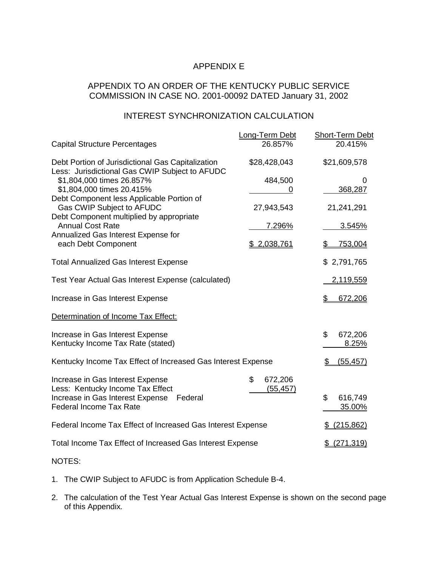# APPENDIX E

## APPENDIX TO AN ORDER OF THE KENTUCKY PUBLIC SERVICE COMMISSION IN CASE NO. 2001-00092 DATED January 31, 2002

# INTEREST SYNCHRONIZATION CALCULATION

|                                                                                                     | <b>Long-Term Debt</b>      | Short-Term Debt         |
|-----------------------------------------------------------------------------------------------------|----------------------------|-------------------------|
| <b>Capital Structure Percentages</b>                                                                | 26.857%                    | 20.415%                 |
| Debt Portion of Jurisdictional Gas Capitalization<br>Less: Jurisdictional Gas CWIP Subject to AFUDC | \$28,428,043               | \$21,609,578            |
| \$1,804,000 times 26.857%<br>\$1,804,000 times 20.415%                                              | 484,500<br>O               | 0<br>368,287            |
| Debt Component less Applicable Portion of<br>Gas CWIP Subject to AFUDC                              | 27,943,543                 | 21,241,291              |
| Debt Component multiplied by appropriate<br><b>Annual Cost Rate</b>                                 | 7.296%                     | 3.545%                  |
| Annualized Gas Interest Expense for<br>each Debt Component                                          | \$ 2,038,761               | 753,004<br>\$           |
| <b>Total Annualized Gas Interest Expense</b>                                                        |                            | \$2,791,765             |
| Test Year Actual Gas Interest Expense (calculated)                                                  |                            | 2,119,559               |
| Increase in Gas Interest Expense                                                                    |                            | 672,206<br>\$           |
| Determination of Income Tax Effect:                                                                 |                            |                         |
| Increase in Gas Interest Expense<br>Kentucky Income Tax Rate (stated)                               |                            | \$<br>672,206<br>8.25%  |
| Kentucky Income Tax Effect of Increased Gas Interest Expense                                        |                            | <u>(55,457)</u><br>\$   |
| Increase in Gas Interest Expense<br>Less: Kentucky Income Tax Effect                                | \$<br>672,206<br>(55, 457) |                         |
| Increase in Gas Interest Expense<br>Federal<br><b>Federal Income Tax Rate</b>                       |                            | \$<br>616,749<br>35.00% |
| Federal Income Tax Effect of Increased Gas Interest Expense                                         |                            | \$ (215,862)            |
| Total Income Tax Effect of Increased Gas Interest Expense                                           |                            | \$ (271, 319)           |
|                                                                                                     |                            |                         |

NOTES:

- 1. The CWIP Subject to AFUDC is from Application Schedule B-4.
- 2. The calculation of the Test Year Actual Gas Interest Expense is shown on the second page of this Appendix.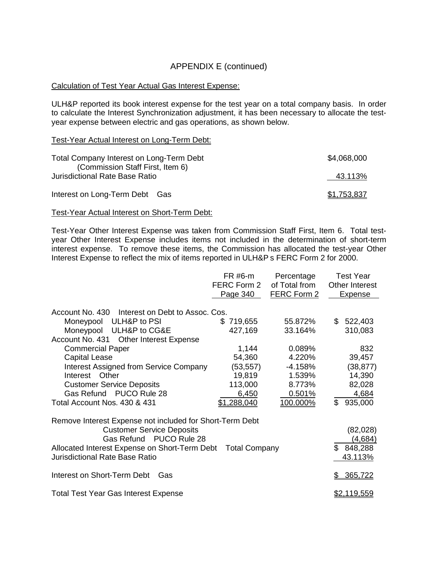# APPENDIX E (continued)

### Calculation of Test Year Actual Gas Interest Expense:

ULH&P reported its book interest expense for the test year on a total company basis. In order to calculate the Interest Synchronization adjustment, it has been necessary to allocate the testyear expense between electric and gas operations, as shown below.

### Test-Year Actual Interest on Long-Term Debt:

| Total Company Interest on Long-Term Debt<br>(Commission Staff First, Item 6) | \$4,068,000 |
|------------------------------------------------------------------------------|-------------|
| <b>Jurisdictional Rate Base Ratio</b>                                        | 43.113%     |
| Interest on Long-Term Debt Gas                                               | \$1,753,837 |

### Test-Year Actual Interest on Short-Term Debt:

Test-Year Other Interest Expense was taken from Commission Staff First, Item 6. Total testyear Other Interest Expense includes items not included in the determination of short-term interest expense. To remove these items, the Commission has allocated the test-year Other Interest Expense to reflect the mix of items reported in ULH&P s FERC Form 2 for 2000.

|                                                                                                                                                                                                                                                                                                                                                  | FR #6-m<br>FERC Form 2<br>Page 340                                                 | Percentage<br>of Total from<br>FERC Form 2                                        |    | <b>Test Year</b><br><b>Other Interest</b><br><b>Expense</b>                   |
|--------------------------------------------------------------------------------------------------------------------------------------------------------------------------------------------------------------------------------------------------------------------------------------------------------------------------------------------------|------------------------------------------------------------------------------------|-----------------------------------------------------------------------------------|----|-------------------------------------------------------------------------------|
| Account No. 430 Interest on Debt to Assoc. Cos.<br>Moneypool ULH&P to PSI<br>Moneypool ULH&P to CG&E<br>Account No. 431<br><b>Other Interest Expense</b><br><b>Commercial Paper</b><br><b>Capital Lease</b><br><b>Interest Assigned from Service Company</b><br>Other<br>Interest<br><b>Customer Service Deposits</b><br>Gas Refund PUCO Rule 28 | \$719,655<br>427,169<br>1,144<br>54,360<br>(53, 557)<br>19,819<br>113,000<br>6,450 | 55.872%<br>33.164%<br>0.089%<br>4.220%<br>$-4.158%$<br>1.539%<br>8.773%<br>0.501% | \$ | 522,403<br>310,083<br>832<br>39,457<br>(38, 877)<br>14,390<br>82,028<br>4,684 |
| Total Account Nos. 430 & 431                                                                                                                                                                                                                                                                                                                     | \$1,288,040                                                                        | 100.000%                                                                          | \$ | 935,000                                                                       |
| Remove Interest Expense not included for Short-Term Debt<br><b>Customer Service Deposits</b><br>Gas Refund PUCO Rule 28<br>Allocated Interest Expense on Short-Term Debt<br><b>Jurisdictional Rate Base Ratio</b>                                                                                                                                | <b>Total Company</b>                                                               |                                                                                   |    | (82,028)<br>(4,684)<br>\$848,288<br>43.113%                                   |
| Interest on Short-Term Debt<br>Gas                                                                                                                                                                                                                                                                                                               |                                                                                    |                                                                                   | S  | 365,722                                                                       |
| <b>Total Test Year Gas Interest Expense</b>                                                                                                                                                                                                                                                                                                      |                                                                                    |                                                                                   |    | <u>\$2,119,559</u>                                                            |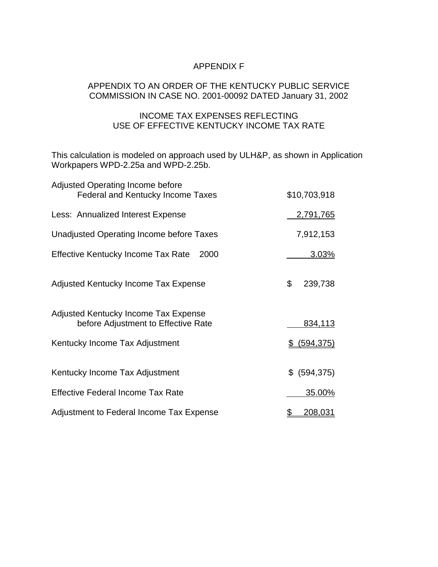## APPENDIX F

## APPENDIX TO AN ORDER OF THE KENTUCKY PUBLIC SERVICE COMMISSION IN CASE NO. 2001-00092 DATED January 31, 2002

## INCOME TAX EXPENSES REFLECTING USE OF EFFECTIVE KENTUCKY INCOME TAX RATE

This calculation is modeled on approach used by ULH&P, as shown in Application Workpapers WPD-2.25a and WPD-2.25b.

| <b>Adjusted Operating Income before</b>                                     |               |
|-----------------------------------------------------------------------------|---------------|
| Federal and Kentucky Income Taxes                                           | \$10,703,918  |
| Less: Annualized Interest Expense                                           | 2,791,765     |
| Unadjusted Operating Income before Taxes                                    | 7,912,153     |
| <b>Effective Kentucky Income Tax Rate</b><br>2000                           | 3.03%         |
| Adjusted Kentucky Income Tax Expense                                        | \$<br>239,738 |
| Adjusted Kentucky Income Tax Expense<br>before Adjustment to Effective Rate | 834,113       |
| Kentucky Income Tax Adjustment                                              | $$$ (594,375) |
| Kentucky Income Tax Adjustment                                              | \$ (594, 375) |
| <b>Effective Federal Income Tax Rate</b>                                    | 35.00%        |
| Adjustment to Federal Income Tax Expense                                    | 208,031<br>\$ |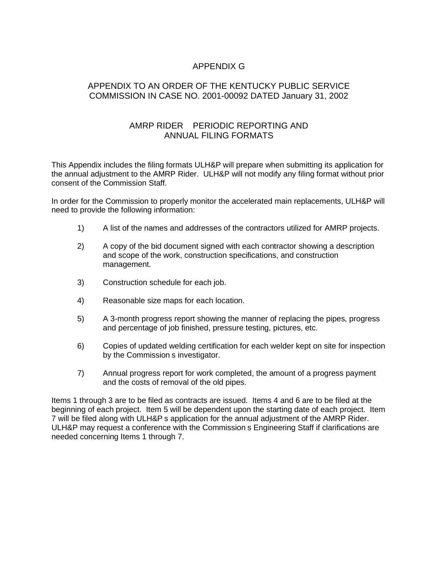# APPENDIX G

## APPENDIX TO AN ORDER OF THE KENTUCKY PUBLIC SERVICE COMMISSION IN CASE NO. 2001-00092 DATED January 31, 2002

## AMRP RIDER PERIODIC REPORTING AND ANNUAL FILING FORMATS

This Appendix includes the filing formats ULH&P will prepare when submitting its application for the annual adjustment to the AMRP Rider. ULH&P will not modify any filing format without prior consent of the Commission Staff.

In order for the Commission to properly monitor the accelerated main replacements, ULH&P will need to provide the following information:

- 1) A list of the names and addresses of the contractors utilized for AMRP projects.
- 2) A copy of the bid document signed with each contractor showing a description and scope of the work, construction specifications, and construction management.
- 3) Construction schedule for each job.
- 4) Reasonable size maps for each location.
- 5) A 3-month progress report showing the manner of replacing the pipes, progress and percentage of job finished, pressure testing, pictures, etc.
- 6) Copies of updated welding certification for each welder kept on site for inspection by the Commission s investigator.
- 7) Annual progress report for work completed, the amount of a progress payment and the costs of removal of the old pipes.

Items 1 through 3 are to be filed as contracts are issued. Items 4 and 6 are to be filed at the beginning of each project. Item 5 will be dependent upon the starting date of each project. Item 7 will be filed along with ULH&P s application for the annual adjustment of the AMRP Rider. ULH&P may request a conference with the Commission s Engineering Staff if clarifications are needed concerning Items 1 through 7.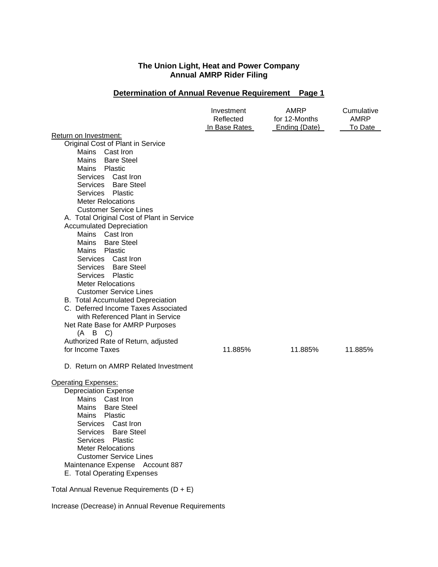## **Determination of Annual Revenue Requirement Page 1**

|                                                                                                                                                                                                                                                                                                                                                                                                                                                                                                                                                                                                                                                                                                                                                                           | Investment<br>Reflected<br>In Base Rates | AMRP<br>for 12-Months<br>Ending {Date} | Cumulative<br>AMRP<br>To Date |
|---------------------------------------------------------------------------------------------------------------------------------------------------------------------------------------------------------------------------------------------------------------------------------------------------------------------------------------------------------------------------------------------------------------------------------------------------------------------------------------------------------------------------------------------------------------------------------------------------------------------------------------------------------------------------------------------------------------------------------------------------------------------------|------------------------------------------|----------------------------------------|-------------------------------|
| Return on Investment:<br>Original Cost of Plant in Service<br>Mains<br>Cast Iron<br>Mains<br><b>Bare Steel</b><br>Mains<br>Plastic<br>Services Cast Iron<br>Services Bare Steel<br>Services Plastic<br><b>Meter Relocations</b><br><b>Customer Service Lines</b><br>A. Total Original Cost of Plant in Service<br><b>Accumulated Depreciation</b><br>Mains<br>Cast Iron<br><b>Bare Steel</b><br>Mains<br>Plastic<br>Mains<br>Services Cast Iron<br>Services Bare Steel<br>Services Plastic<br><b>Meter Relocations</b><br><b>Customer Service Lines</b><br><b>B.</b> Total Accumulated Depreciation<br>C. Deferred Income Taxes Associated<br>with Referenced Plant in Service<br>Net Rate Base for AMRP Purposes<br>$(A \ B \ C)$<br>Authorized Rate of Return, adjusted |                                          |                                        |                               |
| for Income Taxes<br>D. Return on AMRP Related Investment                                                                                                                                                                                                                                                                                                                                                                                                                                                                                                                                                                                                                                                                                                                  | 11.885%                                  | 11.885%                                | 11.885%                       |
| <b>Operating Expenses:</b><br><b>Depreciation Expense</b><br>Mains Cast Iron<br><b>Bare Steel</b><br>Mains<br>Plastic<br>Mains<br>Services Cast Iron<br><b>Bare Steel</b><br>Services<br>Services<br>Plastic<br><b>Meter Relocations</b><br><b>Customer Service Lines</b><br>Maintenance Expense Account 887<br>E. Total Operating Expenses<br>Total Annual Revenue Requirements (D + E)                                                                                                                                                                                                                                                                                                                                                                                  |                                          |                                        |                               |

Increase (Decrease) in Annual Revenue Requirements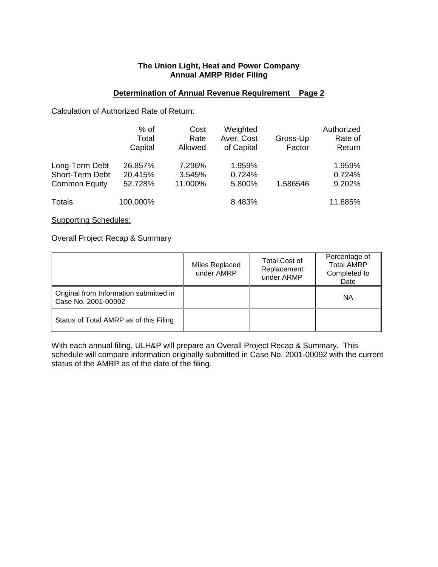### **Determination of Annual Revenue Requirement Page 2**

### Calculation of Authorized Rate of Return:

|                                                           | $%$ of<br>Total<br>Capital    | Cost<br>Rate<br>Allowed     | Weighted<br>Aver. Cost<br>of Capital | Gross-Up<br>Factor | Authorized<br>Rate of<br>Return |
|-----------------------------------------------------------|-------------------------------|-----------------------------|--------------------------------------|--------------------|---------------------------------|
| Long-Term Debt<br>Short-Term Debt<br><b>Common Equity</b> | 26.857%<br>20.415%<br>52.728% | 7.296%<br>3.545%<br>11.000% | 1.959%<br>0.724%<br>5.800%           | 1.586546           | 1.959%<br>0.724%<br>9.202%      |
| Totals                                                    | 100.000%                      |                             | 8.483%                               |                    | 11.885%                         |

Supporting Schedules:

Overall Project Recap & Summary

|                                                               | Miles Replaced<br>under AMRP | <b>Total Cost of</b><br>Replacement<br>under ARMP | Percentage of<br><b>Total AMRP</b><br>Completed to<br>Date |
|---------------------------------------------------------------|------------------------------|---------------------------------------------------|------------------------------------------------------------|
| Original from Information submitted in<br>Case No. 2001-00092 |                              |                                                   | ΝA                                                         |
| Status of Total AMRP as of this Filing                        |                              |                                                   |                                                            |

With each annual filing, ULH&P will prepare an Overall Project Recap & Summary. This schedule will compare information originally submitted in Case No. 2001-00092 with the current status of the AMRP as of the date of the filing.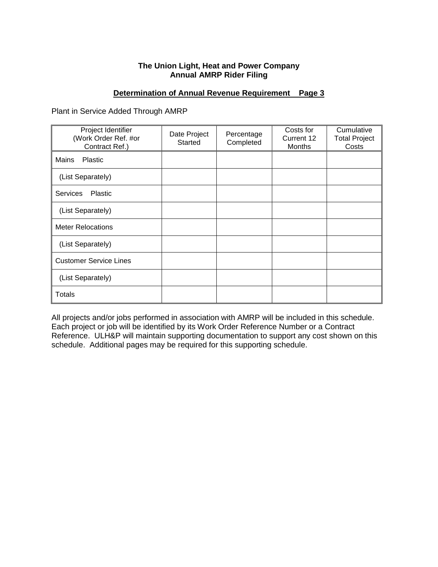### **Determination of Annual Revenue Requirement Page 3**

Plant in Service Added Through AMRP

| Project Identifier<br>(Work Order Ref. #or<br>Contract Ref.) | Date Project<br><b>Started</b> | Percentage<br>Completed | Costs for<br>Current 12<br><b>Months</b> | Cumulative<br><b>Total Project</b><br>Costs |
|--------------------------------------------------------------|--------------------------------|-------------------------|------------------------------------------|---------------------------------------------|
| Mains<br>Plastic                                             |                                |                         |                                          |                                             |
| (List Separately)                                            |                                |                         |                                          |                                             |
| <b>Services</b><br><b>Plastic</b>                            |                                |                         |                                          |                                             |
| (List Separately)                                            |                                |                         |                                          |                                             |
| <b>Meter Relocations</b>                                     |                                |                         |                                          |                                             |
| (List Separately)                                            |                                |                         |                                          |                                             |
| <b>Customer Service Lines</b>                                |                                |                         |                                          |                                             |
| (List Separately)                                            |                                |                         |                                          |                                             |
| Totals                                                       |                                |                         |                                          |                                             |

All projects and/or jobs performed in association with AMRP will be included in this schedule. Each project or job will be identified by its Work Order Reference Number or a Contract Reference. ULH&P will maintain supporting documentation to support any cost shown on this schedule. Additional pages may be required for this supporting schedule.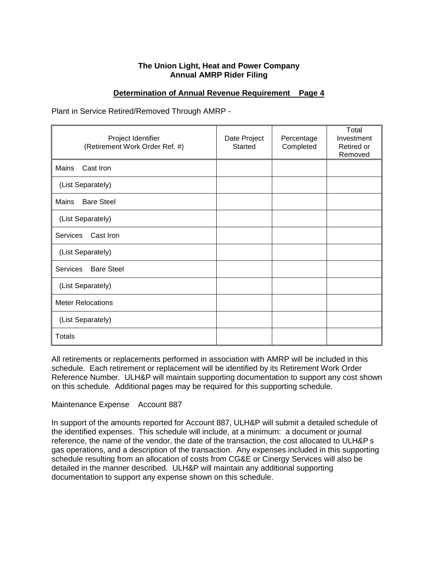### **Determination of Annual Revenue Requirement Page 4**

Plant in Service Retired/Removed Through AMRP -

| Project Identifier<br>(Retirement Work Order Ref. #) | Date Project<br>Started | Percentage<br>Completed | Total<br>Investment<br>Retired or<br>Removed |
|------------------------------------------------------|-------------------------|-------------------------|----------------------------------------------|
| Cast Iron<br>Mains                                   |                         |                         |                                              |
| (List Separately)                                    |                         |                         |                                              |
| Mains<br><b>Bare Steel</b>                           |                         |                         |                                              |
| (List Separately)                                    |                         |                         |                                              |
| Cast Iron<br>Services                                |                         |                         |                                              |
| (List Separately)                                    |                         |                         |                                              |
| Services<br><b>Bare Steel</b>                        |                         |                         |                                              |
| (List Separately)                                    |                         |                         |                                              |
| <b>Meter Relocations</b>                             |                         |                         |                                              |
| (List Separately)                                    |                         |                         |                                              |
| <b>Totals</b>                                        |                         |                         |                                              |

All retirements or replacements performed in association with AMRP will be included in this schedule. Each retirement or replacement will be identified by its Retirement Work Order Reference Number. ULH&P will maintain supporting documentation to support any cost shown on this schedule. Additional pages may be required for this supporting schedule.

### Maintenance Expense Account 887

In support of the amounts reported for Account 887, ULH&P will submit a detailed schedule of the identified expenses. This schedule will include, at a minimum: a document or journal reference, the name of the vendor, the date of the transaction, the cost allocated to ULH&P s gas operations, and a description of the transaction. Any expenses included in this supporting schedule resulting from an allocation of costs from CG&E or Cinergy Services will also be detailed in the manner described. ULH&P will maintain any additional supporting documentation to support any expense shown on this schedule.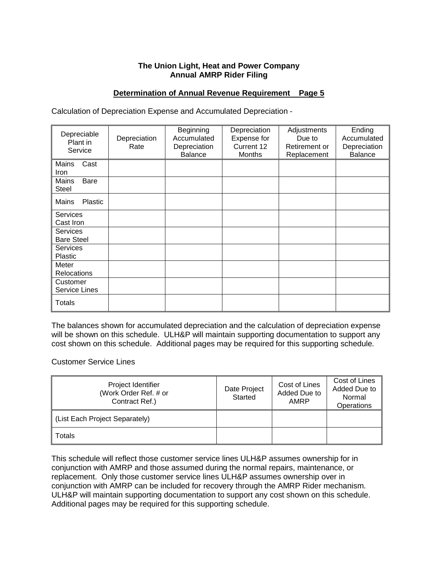### **Determination of Annual Revenue Requirement Page 5**

Calculation of Depreciation Expense and Accumulated Depreciation -

| Depreciable<br>Plant in<br>Service   | Depreciation<br>Rate | Beginning<br>Accumulated<br>Depreciation<br><b>Balance</b> | Depreciation<br>Expense for<br>Current 12<br>Months | Adjustments<br>Due to<br>Retirement or<br>Replacement | Ending<br>Accumulated<br>Depreciation<br><b>Balance</b> |
|--------------------------------------|----------------------|------------------------------------------------------------|-----------------------------------------------------|-------------------------------------------------------|---------------------------------------------------------|
| Mains<br>Cast<br>Iron                |                      |                                                            |                                                     |                                                       |                                                         |
| Mains<br><b>Bare</b><br><b>Steel</b> |                      |                                                            |                                                     |                                                       |                                                         |
| Plastic<br>Mains                     |                      |                                                            |                                                     |                                                       |                                                         |
| <b>Services</b><br>Cast Iron         |                      |                                                            |                                                     |                                                       |                                                         |
| <b>Services</b><br><b>Bare Steel</b> |                      |                                                            |                                                     |                                                       |                                                         |
| <b>Services</b><br>Plastic           |                      |                                                            |                                                     |                                                       |                                                         |
| Meter<br>Relocations                 |                      |                                                            |                                                     |                                                       |                                                         |
| Customer<br>Service Lines            |                      |                                                            |                                                     |                                                       |                                                         |
| Totals                               |                      |                                                            |                                                     |                                                       |                                                         |

The balances shown for accumulated depreciation and the calculation of depreciation expense will be shown on this schedule. ULH&P will maintain supporting documentation to support any cost shown on this schedule. Additional pages may be required for this supporting schedule.

Customer Service Lines

| Project Identifier<br>(Work Order Ref. # or<br>Contract Ref.) | Date Project<br>Started | Cost of Lines<br>Added Due to<br>AMRP | Cost of Lines<br>Added Due to<br>Normal<br><b>Operations</b> |
|---------------------------------------------------------------|-------------------------|---------------------------------------|--------------------------------------------------------------|
| (List Each Project Separately)                                |                         |                                       |                                                              |
| Totals                                                        |                         |                                       |                                                              |

This schedule will reflect those customer service lines ULH&P assumes ownership for in conjunction with AMRP and those assumed during the normal repairs, maintenance, or replacement. Only those customer service lines ULH&P assumes ownership over in conjunction with AMRP can be included for recovery through the AMRP Rider mechanism. ULH&P will maintain supporting documentation to support any cost shown on this schedule. Additional pages may be required for this supporting schedule.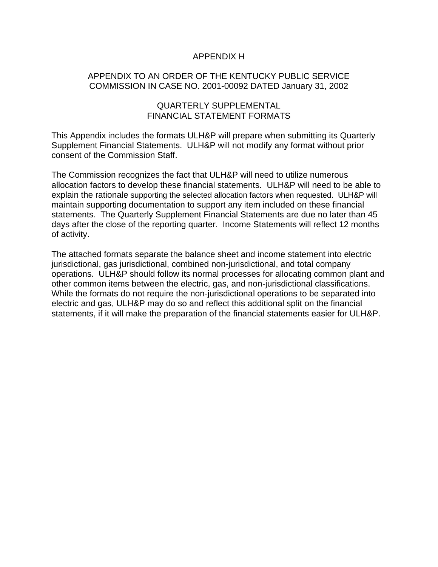## APPENDIX H

## APPENDIX TO AN ORDER OF THE KENTUCKY PUBLIC SERVICE COMMISSION IN CASE NO. 2001-00092 DATED January 31, 2002

## QUARTERLY SUPPLEMENTAL FINANCIAL STATEMENT FORMATS

This Appendix includes the formats ULH&P will prepare when submitting its Quarterly Supplement Financial Statements. ULH&P will not modify any format without prior consent of the Commission Staff.

The Commission recognizes the fact that ULH&P will need to utilize numerous allocation factors to develop these financial statements. ULH&P will need to be able to explain the rationale supporting the selected allocation factors when requested. ULH&P will maintain supporting documentation to support any item included on these financial statements. The Quarterly Supplement Financial Statements are due no later than 45 days after the close of the reporting quarter. Income Statements will reflect 12 months of activity.

The attached formats separate the balance sheet and income statement into electric jurisdictional, gas jurisdictional, combined non-jurisdictional, and total company operations. ULH&P should follow its normal processes for allocating common plant and other common items between the electric, gas, and non-jurisdictional classifications. While the formats do not require the non-jurisdictional operations to be separated into electric and gas, ULH&P may do so and reflect this additional split on the financial statements, if it will make the preparation of the financial statements easier for ULH&P.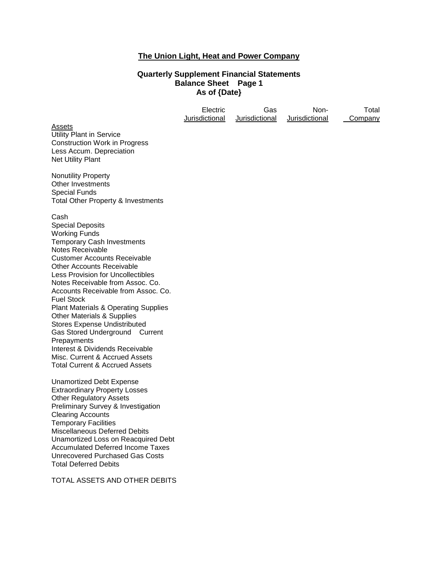# **The Union Light, Heat and Power Company**

## **Quarterly Supplement Financial Statements Balance Sheet Page 1 As of {Date}**

|                                                                                                                                                                                                                                                                                                                                                                                                                                                                                                                                                                                                                  | Electric<br>Jurisdictional | Gas<br>Jurisdictional | Non-<br>Jurisdictional | Total<br>Company |
|------------------------------------------------------------------------------------------------------------------------------------------------------------------------------------------------------------------------------------------------------------------------------------------------------------------------------------------------------------------------------------------------------------------------------------------------------------------------------------------------------------------------------------------------------------------------------------------------------------------|----------------------------|-----------------------|------------------------|------------------|
| Assets<br><b>Utility Plant in Service</b><br><b>Construction Work in Progress</b><br>Less Accum. Depreciation<br><b>Net Utility Plant</b>                                                                                                                                                                                                                                                                                                                                                                                                                                                                        |                            |                       |                        |                  |
| <b>Nonutility Property</b><br>Other Investments<br><b>Special Funds</b><br>Total Other Property & Investments                                                                                                                                                                                                                                                                                                                                                                                                                                                                                                    |                            |                       |                        |                  |
| Cash<br><b>Special Deposits</b><br><b>Working Funds</b><br>Temporary Cash Investments<br><b>Notes Receivable</b><br><b>Customer Accounts Receivable</b><br><b>Other Accounts Receivable</b><br>Less Provision for Uncollectibles<br>Notes Receivable from Assoc. Co.<br>Accounts Receivable from Assoc. Co.<br><b>Fuel Stock</b><br><b>Plant Materials &amp; Operating Supplies</b><br>Other Materials & Supplies<br><b>Stores Expense Undistributed</b><br>Gas Stored Underground Current<br>Prepayments<br>Interest & Dividends Receivable<br>Misc. Current & Accrued Assets<br>Total Current & Accrued Assets |                            |                       |                        |                  |
| <b>Unamortized Debt Expense</b><br><b>Extraordinary Property Losses</b><br><b>Other Regulatory Assets</b><br>Preliminary Survey & Investigation<br><b>Clearing Accounts</b><br><b>Temporary Facilities</b><br>Miscellaneous Deferred Debits<br>Unamortized Loss on Reacquired Debt<br><b>Accumulated Deferred Income Taxes</b><br><b>Unrecovered Purchased Gas Costs</b><br><b>Total Deferred Debits</b>                                                                                                                                                                                                         |                            |                       |                        |                  |

TOTAL ASSETS AND OTHER DEBITS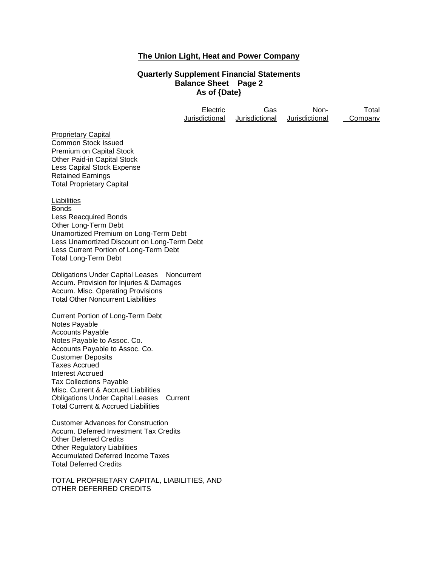### **The Union Light, Heat and Power Company**

#### **Quarterly Supplement Financial Statements Balance Sheet Page 2 As of {Date}**

| <b>Electric</b> | Gas            | Non-           | Total   |
|-----------------|----------------|----------------|---------|
| Jurisdictional  | Jurisdictional | Jurisdictional | Company |

**Proprietary Capital** Common Stock Issued Premium on Capital Stock Other Paid-in Capital Stock Less Capital Stock Expense Retained Earnings Total Proprietary Capital

Liabilities **Bonds** Less Reacquired Bonds Other Long-Term Debt Unamortized Premium on Long-Term Debt Less Unamortized Discount on Long-Term Debt Less Current Portion of Long-Term Debt Total Long-Term Debt

Obligations Under Capital Leases Noncurrent Accum. Provision for Injuries & Damages Accum. Misc. Operating Provisions Total Other Noncurrent Liabilities

Current Portion of Long-Term Debt Notes Payable Accounts Payable Notes Payable to Assoc. Co. Accounts Payable to Assoc. Co. Customer Deposits Taxes Accrued Interest Accrued Tax Collections Payable Misc. Current & Accrued Liabilities Obligations Under Capital Leases Current Total Current & Accrued Liabilities

Customer Advances for Construction Accum. Deferred Investment Tax Credits Other Deferred Credits Other Regulatory Liabilities Accumulated Deferred Income Taxes Total Deferred Credits

TOTAL PROPRIETARY CAPITAL, LIABILITIES, AND OTHER DEFERRED CREDITS